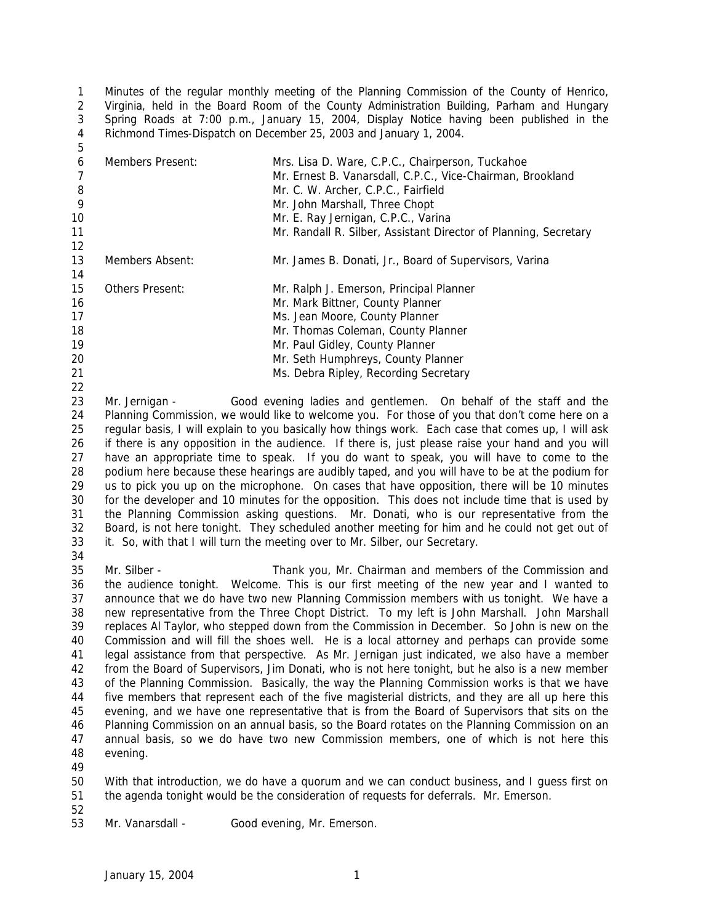Minutes of the regular monthly meeting of the Planning Commission of the County of Henrico, Virginia, held in the Board Room of the County Administration Building, Parham and Hungary Spring Roads at 7:00 p.m., January 15, 2004, Display Notice having been published in the Richmond Times-Dispatch on December 25, 2003 and January 1, 2004.

| 6<br>8<br>9<br>10<br>11<br>12 | Members Present:       | Mrs. Lisa D. Ware, C.P.C., Chairperson, Tuckahoe<br>Mr. Ernest B. Vanarsdall, C.P.C., Vice-Chairman, Brookland<br>Mr. C. W. Archer, C.P.C., Fairfield<br>Mr. John Marshall, Three Chopt<br>Mr. E. Ray Jernigan, C.P.C., Varina<br>Mr. Randall R. Silber, Assistant Director of Planning, Secretary |
|-------------------------------|------------------------|----------------------------------------------------------------------------------------------------------------------------------------------------------------------------------------------------------------------------------------------------------------------------------------------------|
| 13                            | Members Absent:        | Mr. James B. Donati, Jr., Board of Supervisors, Varina                                                                                                                                                                                                                                             |
| 14                            |                        |                                                                                                                                                                                                                                                                                                    |
| 15                            | <b>Others Present:</b> | Mr. Ralph J. Emerson, Principal Planner                                                                                                                                                                                                                                                            |
| 16                            |                        | Mr. Mark Bittner, County Planner                                                                                                                                                                                                                                                                   |
| 17                            |                        | Ms. Jean Moore, County Planner                                                                                                                                                                                                                                                                     |
| 18                            |                        | Mr. Thomas Coleman, County Planner                                                                                                                                                                                                                                                                 |
| 19                            |                        | Mr. Paul Gidley, County Planner                                                                                                                                                                                                                                                                    |
| 20                            |                        | Mr. Seth Humphreys, County Planner                                                                                                                                                                                                                                                                 |
| 21                            |                        | Ms. Debra Ripley, Recording Secretary                                                                                                                                                                                                                                                              |

 Mr. Jernigan - Good evening ladies and gentlemen. On behalf of the staff and the Planning Commission, we would like to welcome you. For those of you that don't come here on a regular basis, I will explain to you basically how things work. Each case that comes up, I will ask if there is any opposition in the audience. If there is, just please raise your hand and you will have an appropriate time to speak. If you do want to speak, you will have to come to the podium here because these hearings are audibly taped, and you will have to be at the podium for us to pick you up on the microphone. On cases that have opposition, there will be 10 minutes for the developer and 10 minutes for the opposition. This does not include time that is used by the Planning Commission asking questions. Mr. Donati, who is our representative from the Board, is not here tonight. They scheduled another meeting for him and he could not get out of it. So, with that I will turn the meeting over to Mr. Silber, our Secretary. 

 Mr. Silber - Thank you, Mr. Chairman and members of the Commission and the audience tonight. Welcome. This is our first meeting of the new year and I wanted to announce that we do have two new Planning Commission members with us tonight. We have a new representative from the Three Chopt District. To my left is John Marshall. John Marshall replaces Al Taylor, who stepped down from the Commission in December. So John is new on the Commission and will fill the shoes well. He is a local attorney and perhaps can provide some legal assistance from that perspective. As Mr. Jernigan just indicated, we also have a member from the Board of Supervisors, Jim Donati, who is not here tonight, but he also is a new member of the Planning Commission. Basically, the way the Planning Commission works is that we have five members that represent each of the five magisterial districts, and they are all up here this evening, and we have one representative that is from the Board of Supervisors that sits on the Planning Commission on an annual basis, so the Board rotates on the Planning Commission on an annual basis, so we do have two new Commission members, one of which is not here this evening.

 With that introduction, we do have a quorum and we can conduct business, and I guess first on the agenda tonight would be the consideration of requests for deferrals. Mr. Emerson. 

Mr. Vanarsdall - Good evening, Mr. Emerson.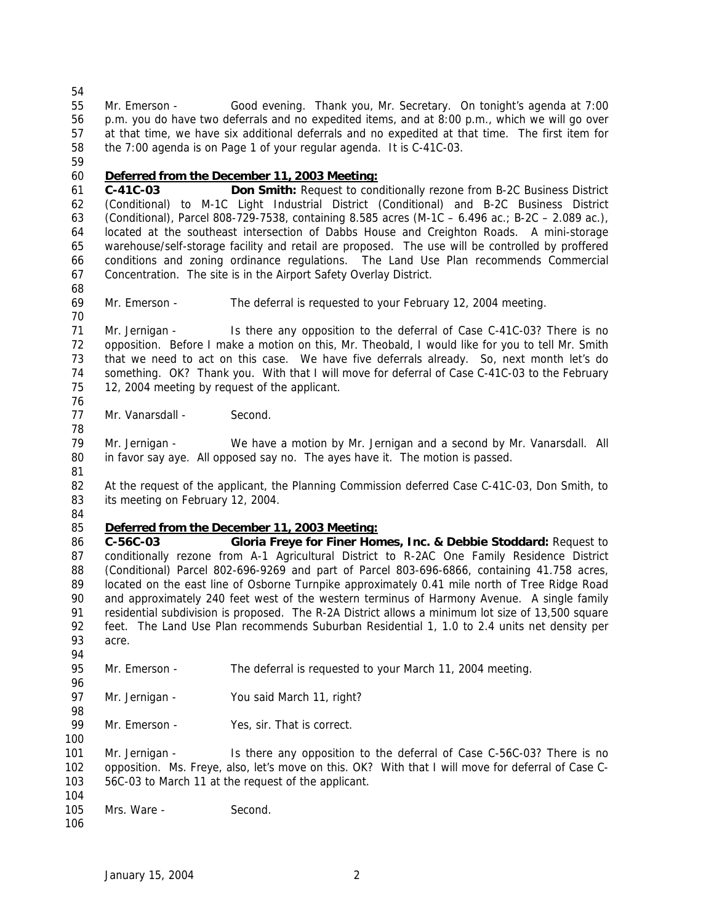at that time, we have six additional deferrals and no expedited at that time. The first item for the 7:00 agenda is on Page 1 of your regular agenda. It is C-41C-03. *Deferred from the December 11, 2003 Meeting:* **C-41C-03 Don Smith:** Request to conditionally rezone from B-2C Business District (Conditional) to M-1C Light Industrial District (Conditional) and B-2C Business District (Conditional), Parcel 808-729-7538, containing 8.585 acres (M-1C – 6.496 ac.; B-2C – 2.089 ac.), located at the southeast intersection of Dabbs House and Creighton Roads. A mini-storage warehouse/self-storage facility and retail are proposed. The use will be controlled by proffered conditions and zoning ordinance regulations. The Land Use Plan recommends Commercial Concentration. The site is in the Airport Safety Overlay District. Mr. Emerson - The deferral is requested to your February 12, 2004 meeting. Mr. Jernigan - Is there any opposition to the deferral of Case C-41C-03? There is no opposition. Before I make a motion on this, Mr. Theobald, I would like for you to tell Mr. Smith that we need to act on this case. We have five deferrals already. So, next month let's do something. OK? Thank you. With that I will move for deferral of Case C-41C-03 to the February 12, 2004 meeting by request of the applicant. 77 Mr. Vanarsdall - Second.

 Mr. Emerson - Good evening. Thank you, Mr. Secretary. On tonight's agenda at 7:00 p.m. you do have two deferrals and no expedited items, and at 8:00 p.m., which we will go over

 Mr. Jernigan - We have a motion by Mr. Jernigan and a second by Mr. Vanarsdall. All in favor say aye. All opposed say no. The ayes have it. The motion is passed. 

 At the request of the applicant, the Planning Commission deferred Case C-41C-03, Don Smith, to 83 its meeting on February 12, 2004.

#### *Deferred from the December 11, 2003 Meeting:*

 **C-56C-03 Gloria Freye for Finer Homes, Inc. & Debbie Stoddard:** Request to conditionally rezone from A-1 Agricultural District to R-2AC One Family Residence District (Conditional) Parcel 802-696-9269 and part of Parcel 803-696-6866, containing 41.758 acres, located on the east line of Osborne Turnpike approximately 0.41 mile north of Tree Ridge Road and approximately 240 feet west of the western terminus of Harmony Avenue. A single family residential subdivision is proposed. The R-2A District allows a minimum lot size of 13,500 square feet. The Land Use Plan recommends Suburban Residential 1, 1.0 to 2.4 units net density per acre.

 Mr. Emerson - The deferral is requested to your March 11, 2004 meeting. 

97 Mr. Jernigan - You said March 11, right? 

99 Mr. Emerson - Yes, sir. That is correct.

 Mr. Jernigan - Is there any opposition to the deferral of Case C-56C-03? There is no opposition. Ms. Freye, also, let's move on this. OK? With that I will move for deferral of Case C-56C-03 to March 11 at the request of the applicant.

- 105 Mrs. Ware Second.
-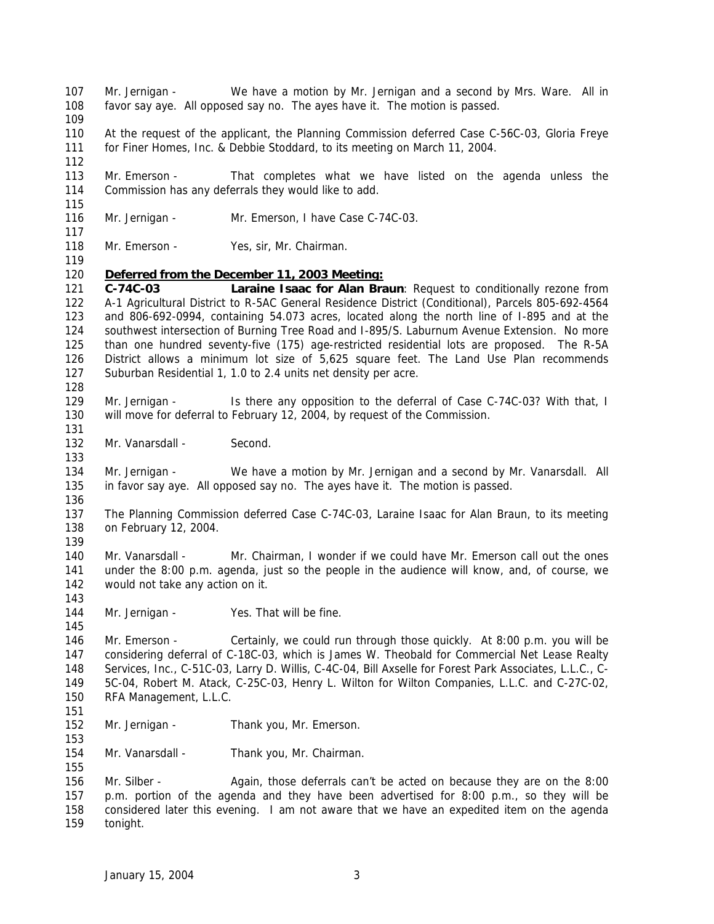Mr. Jernigan - We have a motion by Mr. Jernigan and a second by Mrs. Ware. All in favor say aye. All opposed say no. The ayes have it. The motion is passed. At the request of the applicant, the Planning Commission deferred Case C-56C-03, Gloria Freye for Finer Homes, Inc. & Debbie Stoddard, to its meeting on March 11, 2004. Mr. Emerson - That completes what we have listed on the agenda unless the Commission has any deferrals they would like to add. 116 Mr. Jernigan - Mr. Emerson, I have Case C-74C-03. 118 Mr. Emerson - Yes, sir, Mr. Chairman. *Deferred from the December 11, 2003 Meeting:* **C-74C-03 Laraine Isaac for Alan Braun**: Request to conditionally rezone from A-1 Agricultural District to R-5AC General Residence District (Conditional), Parcels 805-692-4564 and 806-692-0994, containing 54.073 acres, located along the north line of I-895 and at the southwest intersection of Burning Tree Road and I-895/S. Laburnum Avenue Extension. No more than one hundred seventy-five (175) age-restricted residential lots are proposed. The R-5A District allows a minimum lot size of 5,625 square feet. The Land Use Plan recommends Suburban Residential 1, 1.0 to 2.4 units net density per acre. Mr. Jernigan - Is there any opposition to the deferral of Case C-74C-03? With that, I will move for deferral to February 12, 2004, by request of the Commission. 132 Mr. Vanarsdall - Second. Mr. Jernigan - We have a motion by Mr. Jernigan and a second by Mr. Vanarsdall. All in favor say aye. All opposed say no. The ayes have it. The motion is passed. The Planning Commission deferred Case C-74C-03, Laraine Isaac for Alan Braun, to its meeting on February 12, 2004. Mr. Vanarsdall - Mr. Chairman, I wonder if we could have Mr. Emerson call out the ones under the 8:00 p.m. agenda, just so the people in the audience will know, and, of course, we would not take any action on it. 144 Mr. Jernigan - Yes. That will be fine. Mr. Emerson - Certainly, we could run through those quickly. At 8:00 p.m. you will be considering deferral of C-18C-03, which is James W. Theobald for Commercial Net Lease Realty Services, Inc., C-51C-03, Larry D. Willis, C-4C-04, Bill Axselle for Forest Park Associates, L.L.C., C- 5C-04, Robert M. Atack, C-25C-03, Henry L. Wilton for Wilton Companies, L.L.C. and C-27C-02, RFA Management, L.L.C. 152 Mr. Jernigan - Thank you, Mr. Emerson. Mr. Vanarsdall - Thank you, Mr. Chairman. 156 Mr. Silber - Again, those deferrals can't be acted on because they are on the 8:00 p.m. portion of the agenda and they have been advertised for 8:00 p.m., so they will be considered later this evening. I am not aware that we have an expedited item on the agenda tonight.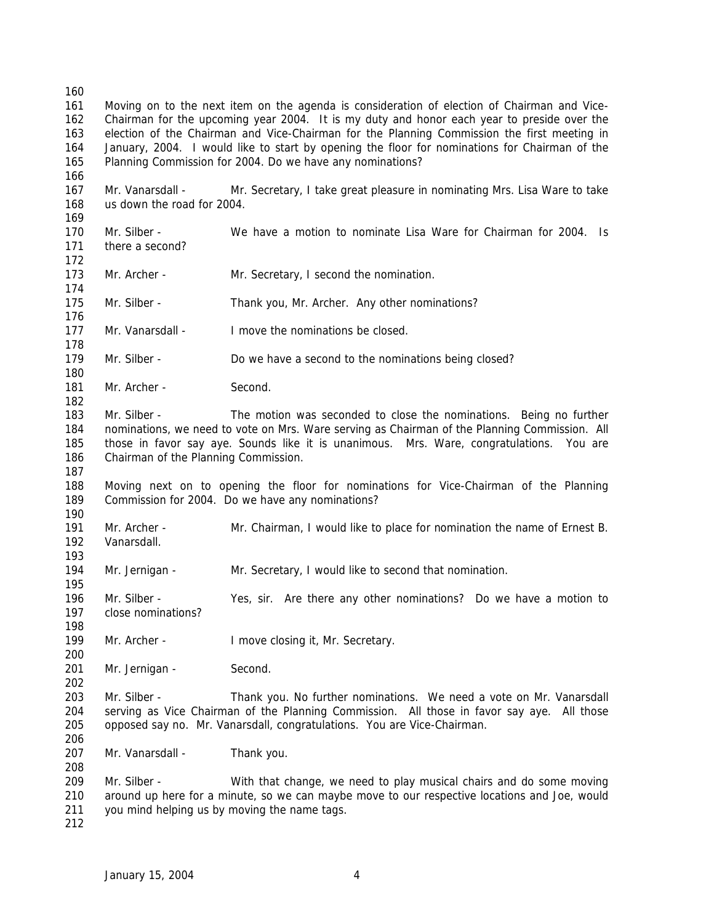Moving on to the next item on the agenda is consideration of election of Chairman and Vice- Chairman for the upcoming year 2004. It is my duty and honor each year to preside over the election of the Chairman and Vice-Chairman for the Planning Commission the first meeting in January, 2004. I would like to start by opening the floor for nominations for Chairman of the Planning Commission for 2004. Do we have any nominations? Mr. Vanarsdall - Mr. Secretary, I take great pleasure in nominating Mrs. Lisa Ware to take us down the road for 2004. Mr. Silber - We have a motion to nominate Lisa Ware for Chairman for 2004. Is there a second? 173 Mr. Archer - Mr. Secretary, I second the nomination. 175 Mr. Silber - Thank you, Mr. Archer. Any other nominations? Mr. Vanarsdall - I move the nominations be closed. 179 Mr. Silber - Do we have a second to the nominations being closed? 181 Mr. Archer - Second. Mr. Silber - The motion was seconded to close the nominations. Being no further nominations, we need to vote on Mrs. Ware serving as Chairman of the Planning Commission. All those in favor say aye. Sounds like it is unanimous. Mrs. Ware, congratulations. You are Chairman of the Planning Commission. Moving next on to opening the floor for nominations for Vice-Chairman of the Planning Commission for 2004. Do we have any nominations? Mr. Archer - Mr. Chairman, I would like to place for nomination the name of Ernest B. Vanarsdall. Mr. Jernigan - Mr. Secretary, I would like to second that nomination. Mr. Silber - Yes, sir. Are there any other nominations? Do we have a motion to close nominations? 199 Mr. Archer - I move closing it, Mr. Secretary. 201 Mr. Jernigan - Second. Mr. Silber - Thank you. No further nominations. We need a vote on Mr. Vanarsdall serving as Vice Chairman of the Planning Commission. All those in favor say aye. All those opposed say no. Mr. Vanarsdall, congratulations. You are Vice-Chairman. 207 Mr. Vanarsdall - Thank you. Mr. Silber - With that change, we need to play musical chairs and do some moving around up here for a minute, so we can maybe move to our respective locations and Joe, would you mind helping us by moving the name tags.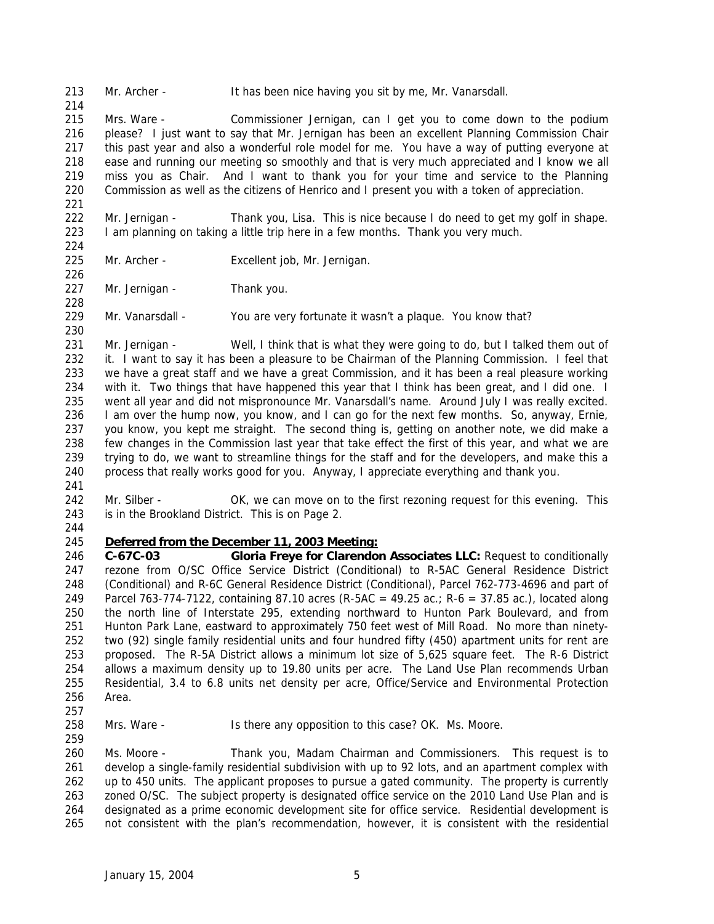Mr. Archer - It has been nice having you sit by me, Mr. Vanarsdall.

 Mrs. Ware - Commissioner Jernigan, can I get you to come down to the podium please? I just want to say that Mr. Jernigan has been an excellent Planning Commission Chair this past year and also a wonderful role model for me. You have a way of putting everyone at ease and running our meeting so smoothly and that is very much appreciated and I know we all miss you as Chair. And I want to thank you for your time and service to the Planning Commission as well as the citizens of Henrico and I present you with a token of appreciation.

 Mr. Jernigan - Thank you, Lisa. This is nice because I do need to get my golf in shape. I am planning on taking a little trip here in a few months. Thank you very much.

 

Mr. Archer - Excellent job, Mr. Jernigan.

227 Mr. Jernigan - Thank you.

Mr. Vanarsdall - You are very fortunate it wasn't a plaque. You know that?

231 Mr. Jernigan - Well, I think that is what they were going to do, but I talked them out of it. I want to say it has been a pleasure to be Chairman of the Planning Commission. I feel that we have a great staff and we have a great Commission, and it has been a real pleasure working with it. Two things that have happened this year that I think has been great, and I did one. I went all year and did not mispronounce Mr. Vanarsdall's name. Around July I was really excited. I am over the hump now, you know, and I can go for the next few months. So, anyway, Ernie, you know, you kept me straight. The second thing is, getting on another note, we did make a few changes in the Commission last year that take effect the first of this year, and what we are trying to do, we want to streamline things for the staff and for the developers, and make this a process that really works good for you. Anyway, I appreciate everything and thank you. 

- 242 Mr. Silber OK, we can move on to the first rezoning request for this evening. This is in the Brookland District. This is on Page 2.
- 

#### *Deferred from the December 11, 2003 Meeting:*

 **C-67C-03 Gloria Freye for Clarendon Associates LLC:** Request to conditionally rezone from O/SC Office Service District (Conditional) to R-5AC General Residence District (Conditional) and R-6C General Residence District (Conditional), Parcel 762-773-4696 and part of Parcel 763-774-7122, containing 87.10 acres (R-5AC = 49.25 ac.; R-6 = 37.85 ac.), located along the north line of Interstate 295, extending northward to Hunton Park Boulevard, and from Hunton Park Lane, eastward to approximately 750 feet west of Mill Road. No more than ninety- two (92) single family residential units and four hundred fifty (450) apartment units for rent are proposed. The R-5A District allows a minimum lot size of 5,625 square feet. The R-6 District allows a maximum density up to 19.80 units per acre. The Land Use Plan recommends Urban Residential, 3.4 to 6.8 units net density per acre, Office/Service and Environmental Protection Area.

258 Mrs. Ware - Is there any opposition to this case? OK. Ms. Moore.

 Ms. Moore - Thank you, Madam Chairman and Commissioners. This request is to develop a single-family residential subdivision with up to 92 lots, and an apartment complex with up to 450 units. The applicant proposes to pursue a gated community. The property is currently 263 zoned O/SC. The subject property is designated office service on the 2010 Land Use Plan and is designated as a prime economic development site for office service. Residential development is not consistent with the plan's recommendation, however, it is consistent with the residential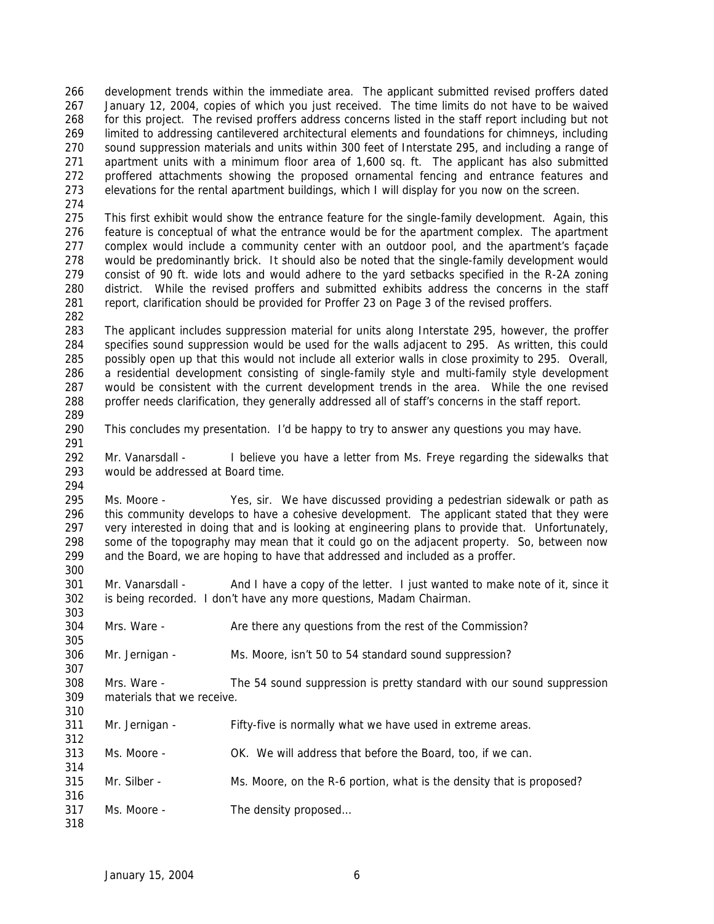development trends within the immediate area. The applicant submitted revised proffers dated January 12, 2004, copies of which you just received. The time limits do not have to be waived for this project. The revised proffers address concerns listed in the staff report including but not limited to addressing cantilevered architectural elements and foundations for chimneys, including sound suppression materials and units within 300 feet of Interstate 295, and including a range of apartment units with a minimum floor area of 1,600 sq. ft. The applicant has also submitted proffered attachments showing the proposed ornamental fencing and entrance features and elevations for the rental apartment buildings, which I will display for you now on the screen.

 This first exhibit would show the entrance feature for the single-family development. Again, this feature is conceptual of what the entrance would be for the apartment complex. The apartment complex would include a community center with an outdoor pool, and the apartment's façade would be predominantly brick. It should also be noted that the single-family development would consist of 90 ft. wide lots and would adhere to the yard setbacks specified in the R-2A zoning district. While the revised proffers and submitted exhibits address the concerns in the staff report, clarification should be provided for Proffer 23 on Page 3 of the revised proffers.

 The applicant includes suppression material for units along Interstate 295, however, the proffer specifies sound suppression would be used for the walls adjacent to 295. As written, this could possibly open up that this would not include all exterior walls in close proximity to 295. Overall, a residential development consisting of single-family style and multi-family style development would be consistent with the current development trends in the area. While the one revised proffer needs clarification, they generally addressed all of staff's concerns in the staff report. 

This concludes my presentation. I'd be happy to try to answer any questions you may have.

 Mr. Vanarsdall - I believe you have a letter from Ms. Freye regarding the sidewalks that would be addressed at Board time. 

 Ms. Moore - Yes, sir. We have discussed providing a pedestrian sidewalk or path as this community develops to have a cohesive development. The applicant stated that they were very interested in doing that and is looking at engineering plans to provide that. Unfortunately, some of the topography may mean that it could go on the adjacent property. So, between now and the Board, we are hoping to have that addressed and included as a proffer. 

301 Mr. Vanarsdall - And I have a copy of the letter. I just wanted to make note of it, since it is being recorded. I don't have any more questions, Madam Chairman.

Mrs. Ware - Are there any questions from the rest of the Commission?

Mr. Jernigan - Ms. Moore, isn't 50 to 54 standard sound suppression?

 Mrs. Ware - The 54 sound suppression is pretty standard with our sound suppression materials that we receive.

- Mr. Jernigan Fifty-five is normally what we have used in extreme areas.
- Ms. Moore OK. We will address that before the Board, too, if we can.
- Mr. Silber Ms. Moore, on the R-6 portion, what is the density that is proposed?
- Ms. Moore The density proposed…
-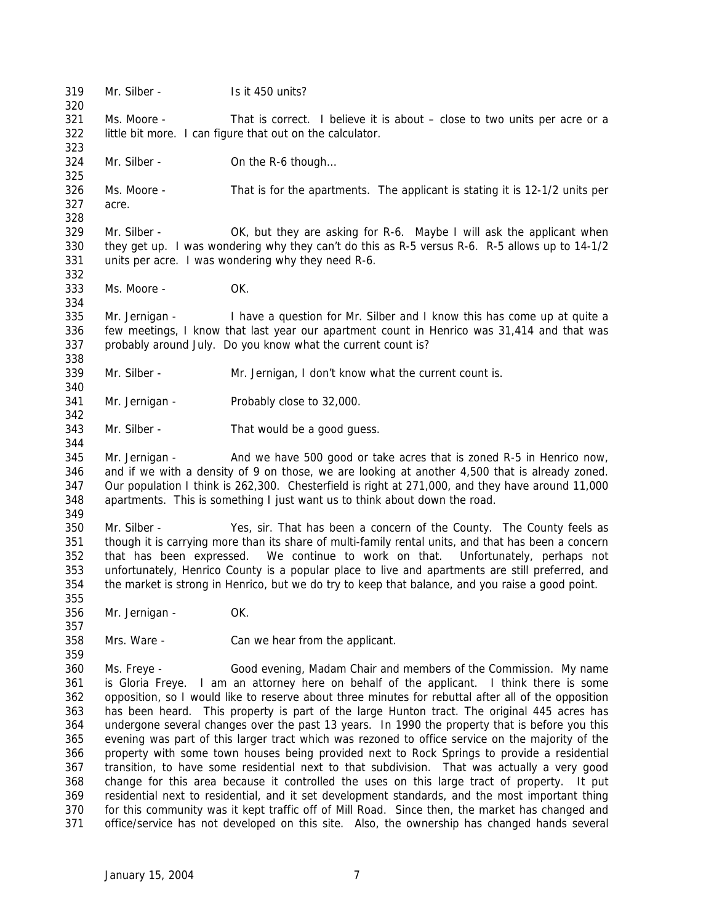319 Mr. Silber - Is it 450 units? Ms. Moore - That is correct. I believe it is about – close to two units per acre or a little bit more. I can figure that out on the calculator. 324 Mr. Silber - On the R-6 though... Ms. Moore - That is for the apartments. The applicant is stating it is 12-1/2 units per acre. Mr. Silber - OK, but they are asking for R-6. Maybe I will ask the applicant when they get up. I was wondering why they can't do this as R-5 versus R-6. R-5 allows up to 14-1/2 units per acre. I was wondering why they need R-6. Ms. Moore - OK. Mr. Jernigan - I have a question for Mr. Silber and I know this has come up at quite a few meetings, I know that last year our apartment count in Henrico was 31,414 and that was probably around July. Do you know what the current count is? Mr. Silber - Mr. Jernigan, I don't know what the current count is. Mr. Jernigan - Probably close to 32,000. Mr. Silber - That would be a good guess. Mr. Jernigan - And we have 500 good or take acres that is zoned R-5 in Henrico now, and if we with a density of 9 on those, we are looking at another 4,500 that is already zoned. Our population I think is 262,300. Chesterfield is right at 271,000, and they have around 11,000 apartments. This is something I just want us to think about down the road. Mr. Silber - Yes, sir. That has been a concern of the County. The County feels as though it is carrying more than its share of multi-family rental units, and that has been a concern that has been expressed. We continue to work on that. Unfortunately, perhaps not unfortunately, Henrico County is a popular place to live and apartments are still preferred, and the market is strong in Henrico, but we do try to keep that balance, and you raise a good point. Mr. Jernigan - OK. Mrs. Ware - Can we hear from the applicant. Ms. Freye - Good evening, Madam Chair and members of the Commission. My name is Gloria Freye. I am an attorney here on behalf of the applicant. I think there is some opposition, so I would like to reserve about three minutes for rebuttal after all of the opposition has been heard. This property is part of the large Hunton tract. The original 445 acres has undergone several changes over the past 13 years. In 1990 the property that is before you this evening was part of this larger tract which was rezoned to office service on the majority of the property with some town houses being provided next to Rock Springs to provide a residential transition, to have some residential next to that subdivision. That was actually a very good change for this area because it controlled the uses on this large tract of property. It put residential next to residential, and it set development standards, and the most important thing for this community was it kept traffic off of Mill Road. Since then, the market has changed and office/service has not developed on this site. Also, the ownership has changed hands several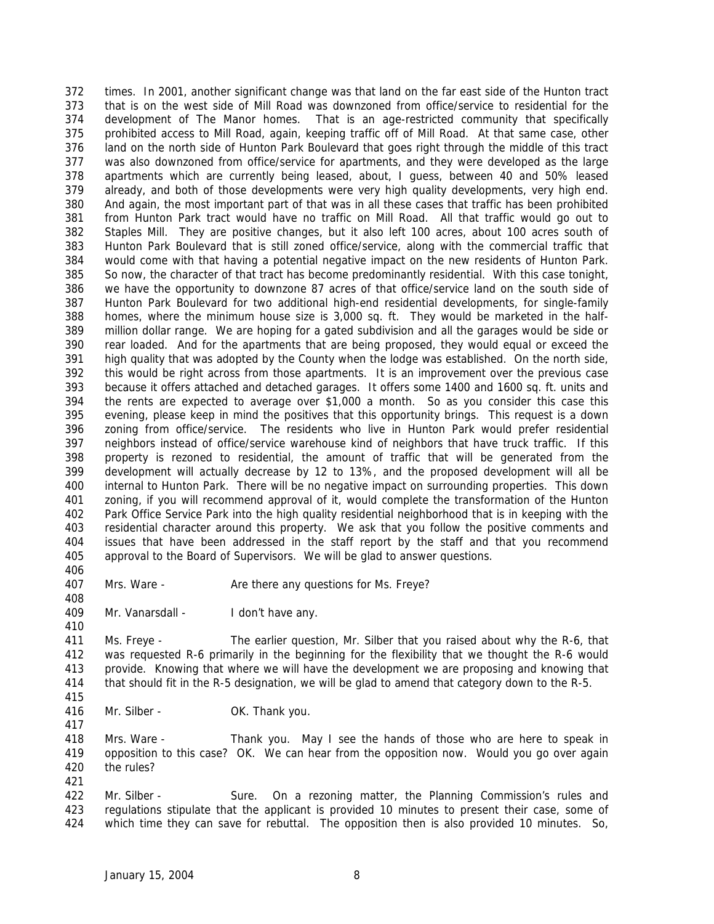times. In 2001, another significant change was that land on the far east side of the Hunton tract that is on the west side of Mill Road was downzoned from office/service to residential for the development of The Manor homes. That is an age-restricted community that specifically prohibited access to Mill Road, again, keeping traffic off of Mill Road. At that same case, other land on the north side of Hunton Park Boulevard that goes right through the middle of this tract was also downzoned from office/service for apartments, and they were developed as the large apartments which are currently being leased, about, I guess, between 40 and 50% leased already, and both of those developments were very high quality developments, very high end. And again, the most important part of that was in all these cases that traffic has been prohibited from Hunton Park tract would have no traffic on Mill Road. All that traffic would go out to Staples Mill. They are positive changes, but it also left 100 acres, about 100 acres south of Hunton Park Boulevard that is still zoned office/service, along with the commercial traffic that would come with that having a potential negative impact on the new residents of Hunton Park. So now, the character of that tract has become predominantly residential. With this case tonight, we have the opportunity to downzone 87 acres of that office/service land on the south side of Hunton Park Boulevard for two additional high-end residential developments, for single-family homes, where the minimum house size is 3,000 sq. ft. They would be marketed in the half- million dollar range. We are hoping for a gated subdivision and all the garages would be side or rear loaded. And for the apartments that are being proposed, they would equal or exceed the high quality that was adopted by the County when the lodge was established. On the north side, this would be right across from those apartments. It is an improvement over the previous case because it offers attached and detached garages. It offers some 1400 and 1600 sq. ft. units and the rents are expected to average over \$1,000 a month. So as you consider this case this evening, please keep in mind the positives that this opportunity brings. This request is a down zoning from office/service. The residents who live in Hunton Park would prefer residential neighbors instead of office/service warehouse kind of neighbors that have truck traffic. If this property is rezoned to residential, the amount of traffic that will be generated from the development will actually decrease by 12 to 13%, and the proposed development will all be internal to Hunton Park. There will be no negative impact on surrounding properties. This down zoning, if you will recommend approval of it, would complete the transformation of the Hunton Park Office Service Park into the high quality residential neighborhood that is in keeping with the residential character around this property. We ask that you follow the positive comments and issues that have been addressed in the staff report by the staff and that you recommend approval to the Board of Supervisors. We will be glad to answer questions.

407 Mrs. Ware - Are there any questions for Ms. Freye?

409 Mr. Vanarsdall - I don't have any.

 Ms. Freye - The earlier question, Mr. Silber that you raised about why the R-6, that was requested R-6 primarily in the beginning for the flexibility that we thought the R-6 would provide. Knowing that where we will have the development we are proposing and knowing that that should fit in the R-5 designation, we will be glad to amend that category down to the R-5.

416 Mr. Silber - OK. Thank you.

 Mrs. Ware - Thank you. May I see the hands of those who are here to speak in opposition to this case? OK. We can hear from the opposition now. Would you go over again the rules?

422 Mr. Silber - Sure. On a rezoning matter, the Planning Commission's rules and regulations stipulate that the applicant is provided 10 minutes to present their case, some of which time they can save for rebuttal. The opposition then is also provided 10 minutes. So,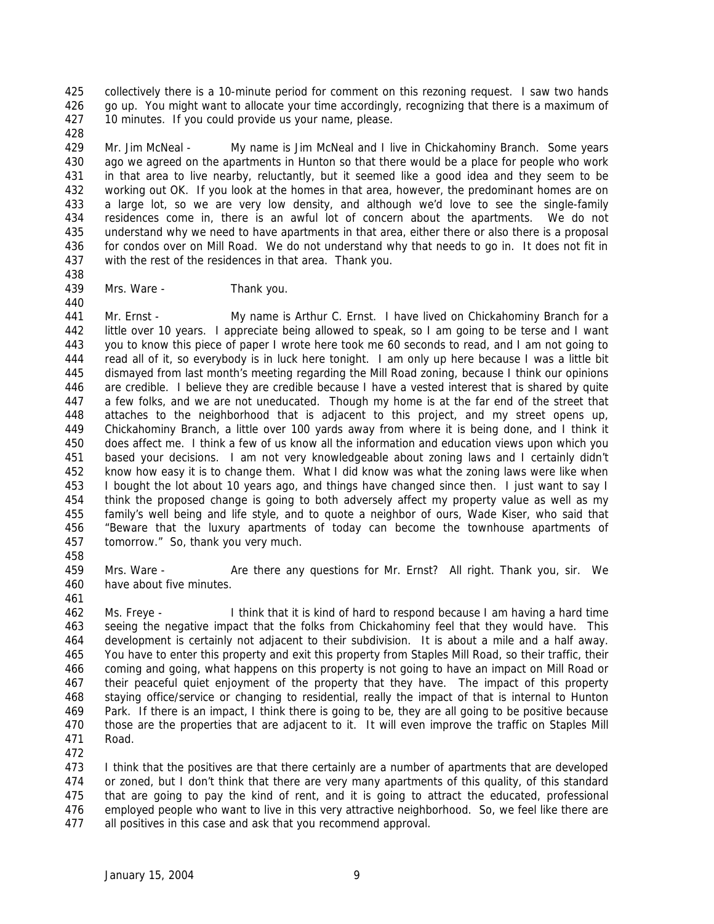collectively there is a 10-minute period for comment on this rezoning request. I saw two hands 426 go up. You might want to allocate your time accordingly, recognizing that there is a maximum of 10 minutes. If you could provide us your name, please.

 Mr. Jim McNeal - My name is Jim McNeal and I live in Chickahominy Branch. Some years ago we agreed on the apartments in Hunton so that there would be a place for people who work in that area to live nearby, reluctantly, but it seemed like a good idea and they seem to be working out OK. If you look at the homes in that area, however, the predominant homes are on a large lot, so we are very low density, and although we'd love to see the single-family residences come in, there is an awful lot of concern about the apartments. We do not understand why we need to have apartments in that area, either there or also there is a proposal for condos over on Mill Road. We do not understand why that needs to go in. It does not fit in with the rest of the residences in that area. Thank you.

439 Mrs. Ware - Thank you.

 Mr. Ernst - My name is Arthur C. Ernst. I have lived on Chickahominy Branch for a little over 10 years. I appreciate being allowed to speak, so I am going to be terse and I want you to know this piece of paper I wrote here took me 60 seconds to read, and I am not going to read all of it, so everybody is in luck here tonight. I am only up here because I was a little bit dismayed from last month's meeting regarding the Mill Road zoning, because I think our opinions are credible. I believe they are credible because I have a vested interest that is shared by quite a few folks, and we are not uneducated. Though my home is at the far end of the street that attaches to the neighborhood that is adjacent to this project, and my street opens up, Chickahominy Branch, a little over 100 yards away from where it is being done, and I think it does affect me. I think a few of us know all the information and education views upon which you based your decisions. I am not very knowledgeable about zoning laws and I certainly didn't know how easy it is to change them. What I did know was what the zoning laws were like when I bought the lot about 10 years ago, and things have changed since then. I just want to say I think the proposed change is going to both adversely affect my property value as well as my family's well being and life style, and to quote a neighbor of ours, Wade Kiser, who said that "Beware that the luxury apartments of today can become the townhouse apartments of tomorrow." So, thank you very much. 

 Mrs. Ware - Are there any questions for Mr. Ernst? All right. Thank you, sir. We have about five minutes.

 Ms. Freye - I think that it is kind of hard to respond because I am having a hard time seeing the negative impact that the folks from Chickahominy feel that they would have. This development is certainly not adjacent to their subdivision. It is about a mile and a half away. You have to enter this property and exit this property from Staples Mill Road, so their traffic, their coming and going, what happens on this property is not going to have an impact on Mill Road or their peaceful quiet enjoyment of the property that they have. The impact of this property staying office/service or changing to residential, really the impact of that is internal to Hunton Park. If there is an impact, I think there is going to be, they are all going to be positive because those are the properties that are adjacent to it. It will even improve the traffic on Staples Mill Road.

 I think that the positives are that there certainly are a number of apartments that are developed or zoned, but I don't think that there are very many apartments of this quality, of this standard that are going to pay the kind of rent, and it is going to attract the educated, professional employed people who want to live in this very attractive neighborhood. So, we feel like there are all positives in this case and ask that you recommend approval.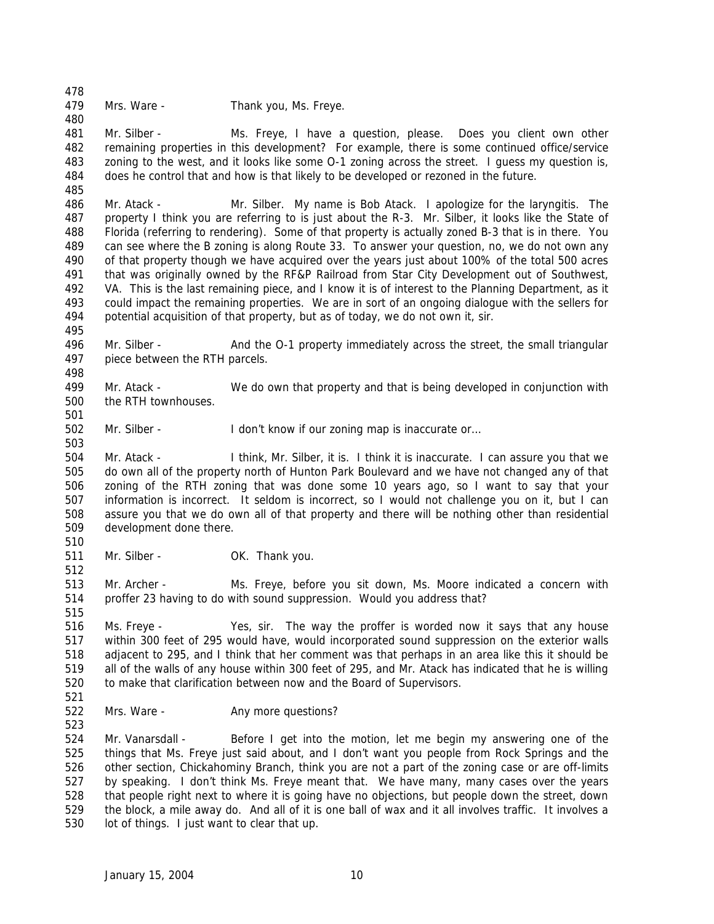Mrs. Ware - Thank you, Ms. Freye.

 Mr. Silber - Ms. Freye, I have a question, please. Does you client own other remaining properties in this development? For example, there is some continued office/service zoning to the west, and it looks like some O-1 zoning across the street. I guess my question is, does he control that and how is that likely to be developed or rezoned in the future.

 Mr. Atack - Mr. Silber. My name is Bob Atack. I apologize for the laryngitis. The property I think you are referring to is just about the R-3. Mr. Silber, it looks like the State of Florida (referring to rendering). Some of that property is actually zoned B-3 that is in there. You can see where the B zoning is along Route 33. To answer your question, no, we do not own any of that property though we have acquired over the years just about 100% of the total 500 acres that was originally owned by the RF&P Railroad from Star City Development out of Southwest, VA. This is the last remaining piece, and I know it is of interest to the Planning Department, as it could impact the remaining properties. We are in sort of an ongoing dialogue with the sellers for potential acquisition of that property, but as of today, we do not own it, sir.

 Mr. Silber - And the O-1 property immediately across the street, the small triangular piece between the RTH parcels.

 Mr. Atack - We do own that property and that is being developed in conjunction with the RTH townhouses.

502 Mr. Silber - I don't know if our zoning map is inaccurate or...

 Mr. Atack - I think, Mr. Silber, it is. I think it is inaccurate. I can assure you that we do own all of the property north of Hunton Park Boulevard and we have not changed any of that zoning of the RTH zoning that was done some 10 years ago, so I want to say that your information is incorrect. It seldom is incorrect, so I would not challenge you on it, but I can assure you that we do own all of that property and there will be nothing other than residential development done there.

511 Mr. Silber - OK. Thank you.

 Mr. Archer - Ms. Freye, before you sit down, Ms. Moore indicated a concern with proffer 23 having to do with sound suppression. Would you address that?

 Ms. Freye - Yes, sir. The way the proffer is worded now it says that any house within 300 feet of 295 would have, would incorporated sound suppression on the exterior walls adjacent to 295, and I think that her comment was that perhaps in an area like this it should be all of the walls of any house within 300 feet of 295, and Mr. Atack has indicated that he is willing to make that clarification between now and the Board of Supervisors.

522 Mrs. Ware - Any more questions?

 Mr. Vanarsdall - Before I get into the motion, let me begin my answering one of the things that Ms. Freye just said about, and I don't want you people from Rock Springs and the other section, Chickahominy Branch, think you are not a part of the zoning case or are off-limits by speaking. I don't think Ms. Freye meant that. We have many, many cases over the years that people right next to where it is going have no objections, but people down the street, down the block, a mile away do. And all of it is one ball of wax and it all involves traffic. It involves a lot of things. I just want to clear that up.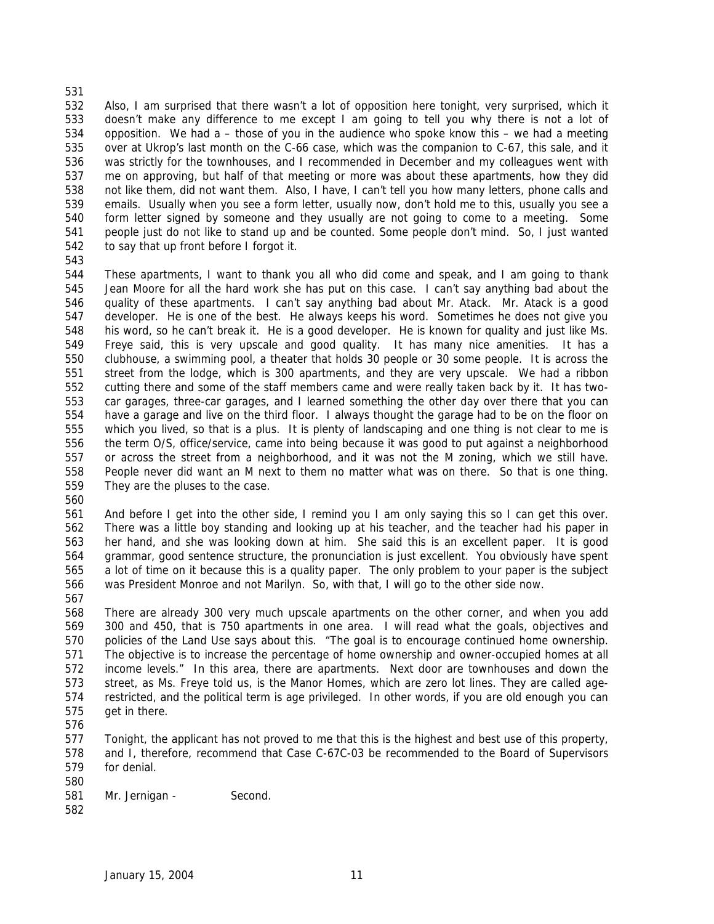Also, I am surprised that there wasn't a lot of opposition here tonight, very surprised, which it doesn't make any difference to me except I am going to tell you why there is not a lot of opposition. We had a – those of you in the audience who spoke know this – we had a meeting over at Ukrop's last month on the C-66 case, which was the companion to C-67, this sale, and it was strictly for the townhouses, and I recommended in December and my colleagues went with me on approving, but half of that meeting or more was about these apartments, how they did not like them, did not want them. Also, I have, I can't tell you how many letters, phone calls and emails. Usually when you see a form letter, usually now, don't hold me to this, usually you see a form letter signed by someone and they usually are not going to come to a meeting. Some people just do not like to stand up and be counted. Some people don't mind. So, I just wanted to say that up front before I forgot it.

 These apartments, I want to thank you all who did come and speak, and I am going to thank Jean Moore for all the hard work she has put on this case. I can't say anything bad about the quality of these apartments. I can't say anything bad about Mr. Atack. Mr. Atack is a good developer. He is one of the best. He always keeps his word. Sometimes he does not give you his word, so he can't break it. He is a good developer. He is known for quality and just like Ms. Freye said, this is very upscale and good quality. It has many nice amenities. It has a clubhouse, a swimming pool, a theater that holds 30 people or 30 some people. It is across the street from the lodge, which is 300 apartments, and they are very upscale. We had a ribbon cutting there and some of the staff members came and were really taken back by it. It has two- car garages, three-car garages, and I learned something the other day over there that you can have a garage and live on the third floor. I always thought the garage had to be on the floor on which you lived, so that is a plus. It is plenty of landscaping and one thing is not clear to me is the term O/S, office/service, came into being because it was good to put against a neighborhood or across the street from a neighborhood, and it was not the M zoning, which we still have. People never did want an M next to them no matter what was on there. So that is one thing. They are the pluses to the case.

 And before I get into the other side, I remind you I am only saying this so I can get this over. There was a little boy standing and looking up at his teacher, and the teacher had his paper in her hand, and she was looking down at him. She said this is an excellent paper. It is good grammar, good sentence structure, the pronunciation is just excellent. You obviously have spent a lot of time on it because this is a quality paper. The only problem to your paper is the subject was President Monroe and not Marilyn. So, with that, I will go to the other side now.

 There are already 300 very much upscale apartments on the other corner, and when you add 300 and 450, that is 750 apartments in one area. I will read what the goals, objectives and policies of the Land Use says about this. "The goal is to encourage continued home ownership. The objective is to increase the percentage of home ownership and owner-occupied homes at all income levels." In this area, there are apartments. Next door are townhouses and down the street, as Ms. Freye told us, is the Manor Homes, which are zero lot lines. They are called age- restricted, and the political term is age privileged. In other words, if you are old enough you can get in there.

 Tonight, the applicant has not proved to me that this is the highest and best use of this property, and I, therefore, recommend that Case C-67C-03 be recommended to the Board of Supervisors for denial. 

- 581 Mr. Jernigan Second.
-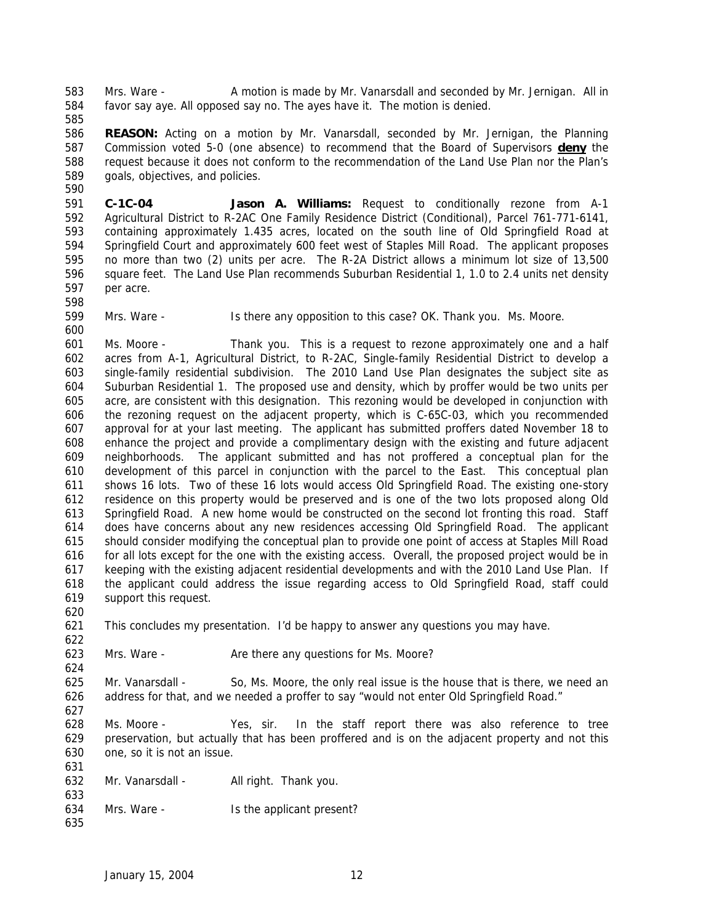Mrs. Ware - A motion is made by Mr. Vanarsdall and seconded by Mr. Jernigan. All in favor say aye. All opposed say no. The ayes have it. The motion is denied.

 **REASON:** Acting on a motion by Mr. Vanarsdall, seconded by Mr. Jernigan, the Planning Commission voted 5-0 (one absence) to recommend that the Board of Supervisors **deny** the request because it does not conform to the recommendation of the Land Use Plan nor the Plan's goals, objectives, and policies. 

 **C-1C-04 Jason A. Williams:** Request to conditionally rezone from A-1 Agricultural District to R-2AC One Family Residence District (Conditional), Parcel 761-771-6141, containing approximately 1.435 acres, located on the south line of Old Springfield Road at Springfield Court and approximately 600 feet west of Staples Mill Road. The applicant proposes no more than two (2) units per acre. The R-2A District allows a minimum lot size of 13,500 square feet. The Land Use Plan recommends Suburban Residential 1, 1.0 to 2.4 units net density per acre. 

Mrs. Ware - Is there any opposition to this case? OK. Thank you. Ms. Moore.

 Ms. Moore - Thank you. This is a request to rezone approximately one and a half acres from A-1, Agricultural District, to R-2AC, Single-family Residential District to develop a single-family residential subdivision. The 2010 Land Use Plan designates the subject site as Suburban Residential 1. The proposed use and density, which by proffer would be two units per acre, are consistent with this designation. This rezoning would be developed in conjunction with the rezoning request on the adjacent property, which is C-65C-03, which you recommended approval for at your last meeting. The applicant has submitted proffers dated November 18 to enhance the project and provide a complimentary design with the existing and future adjacent neighborhoods. The applicant submitted and has not proffered a conceptual plan for the development of this parcel in conjunction with the parcel to the East. This conceptual plan shows 16 lots. Two of these 16 lots would access Old Springfield Road. The existing one-story residence on this property would be preserved and is one of the two lots proposed along Old Springfield Road. A new home would be constructed on the second lot fronting this road. Staff does have concerns about any new residences accessing Old Springfield Road. The applicant should consider modifying the conceptual plan to provide one point of access at Staples Mill Road for all lots except for the one with the existing access. Overall, the proposed project would be in keeping with the existing adjacent residential developments and with the 2010 Land Use Plan. If the applicant could address the issue regarding access to Old Springfield Road, staff could support this request. 

This concludes my presentation. I'd be happy to answer any questions you may have.

623 Mrs. Ware - Are there any questions for Ms. Moore?

 Mr. Vanarsdall - So, Ms. Moore, the only real issue is the house that is there, we need an address for that, and we needed a proffer to say "would not enter Old Springfield Road."

 Ms. Moore - Yes, sir. In the staff report there was also reference to tree preservation, but actually that has been proffered and is on the adjacent property and not this one, so it is not an issue.

632 Mr. Vanarsdall - All right. Thank you.

- Mrs. Ware Is the applicant present?
-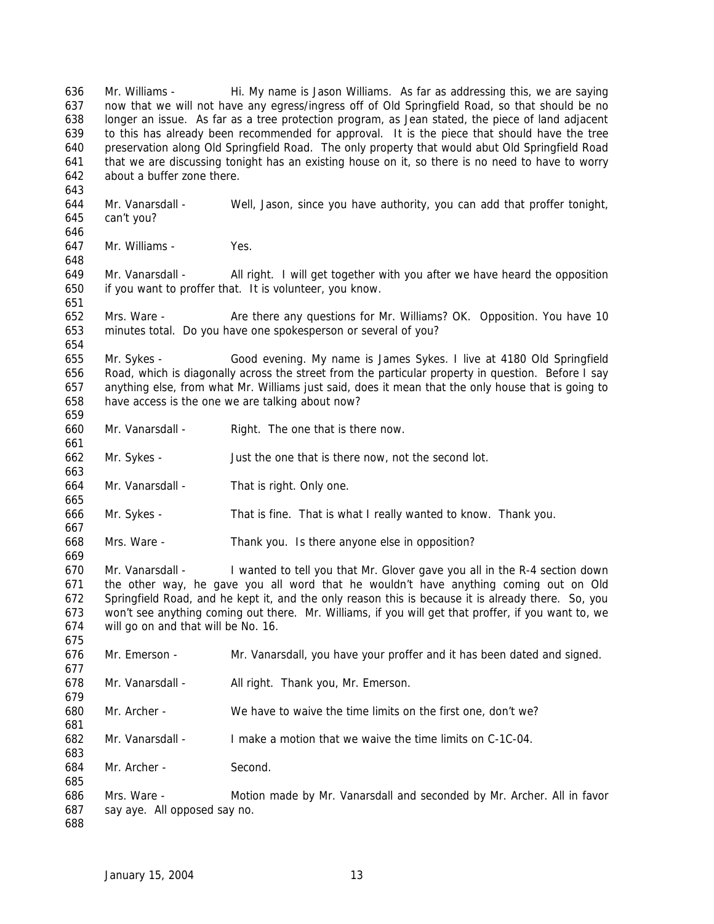Mr. Williams - Hi. My name is Jason Williams. As far as addressing this, we are saying now that we will not have any egress/ingress off of Old Springfield Road, so that should be no longer an issue. As far as a tree protection program, as Jean stated, the piece of land adjacent to this has already been recommended for approval. It is the piece that should have the tree preservation along Old Springfield Road. The only property that would abut Old Springfield Road that we are discussing tonight has an existing house on it, so there is no need to have to worry about a buffer zone there. Mr. Vanarsdall - Well, Jason, since you have authority, you can add that proffer tonight, can't you? Mr. Williams - Yes. Mr. Vanarsdall - All right. I will get together with you after we have heard the opposition if you want to proffer that. It is volunteer, you know. Mrs. Ware - Are there any questions for Mr. Williams? OK. Opposition. You have 10 minutes total. Do you have one spokesperson or several of you? Mr. Sykes - Good evening. My name is James Sykes. I live at 4180 Old Springfield Road, which is diagonally across the street from the particular property in question. Before I say anything else, from what Mr. Williams just said, does it mean that the only house that is going to have access is the one we are talking about now? Mr. Vanarsdall - Right. The one that is there now. Mr. Sykes - Just the one that is there now, not the second lot. Mr. Vanarsdall - That is right. Only one. Mr. Sykes - That is fine. That is what I really wanted to know. Thank you. Mrs. Ware - Thank you. Is there anyone else in opposition? Mr. Vanarsdall - I wanted to tell you that Mr. Glover gave you all in the R-4 section down the other way, he gave you all word that he wouldn't have anything coming out on Old Springfield Road, and he kept it, and the only reason this is because it is already there. So, you won't see anything coming out there. Mr. Williams, if you will get that proffer, if you want to, we will go on and that will be No. 16. Mr. Emerson - Mr. Vanarsdall, you have your proffer and it has been dated and signed. 678 Mr. Vanarsdall - All right. Thank you, Mr. Emerson. Mr. Archer - We have to waive the time limits on the first one, don't we? Mr. Vanarsdall - I make a motion that we waive the time limits on C-1C-04. Mr. Archer - Second. Mrs. Ware - Motion made by Mr. Vanarsdall and seconded by Mr. Archer. All in favor say aye. All opposed say no.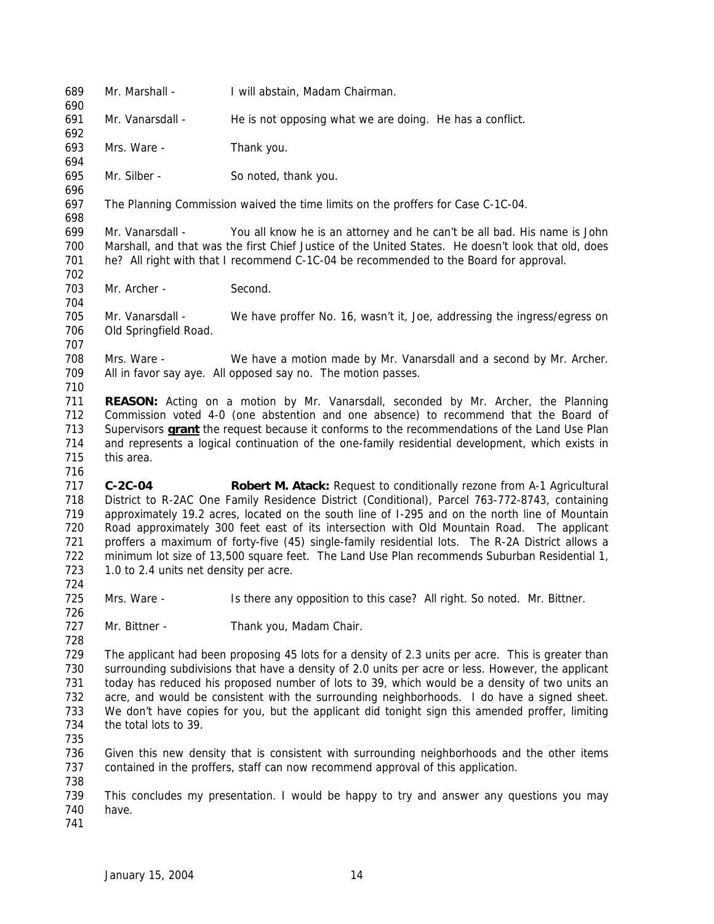Mr. Marshall - I will abstain, Madam Chairman. Mr. Vanarsdall - He is not opposing what we are doing. He has a conflict. Mrs. Ware - Thank you. Mr. Silber - So noted, thank you. The Planning Commission waived the time limits on the proffers for Case C-1C-04. Mr. Vanarsdall - You all know he is an attorney and he can't be all bad. His name is John Marshall, and that was the first Chief Justice of the United States. He doesn't look that old, does he? All right with that I recommend C-1C-04 be recommended to the Board for approval. 703 Mr. Archer - Second. Mr. Vanarsdall - We have proffer No. 16, wasn't it, Joe, addressing the ingress/egress on Old Springfield Road. Mrs. Ware - We have a motion made by Mr. Vanarsdall and a second by Mr. Archer. All in favor say aye. All opposed say no. The motion passes. **REASON:** Acting on a motion by Mr. Vanarsdall, seconded by Mr. Archer, the Planning Commission voted 4-0 (one abstention and one absence) to recommend that the Board of Supervisors **grant** the request because it conforms to the recommendations of the Land Use Plan and represents a logical continuation of the one-family residential development, which exists in this area. **C-2C-04 Robert M. Atack:** Request to conditionally rezone from A-1 Agricultural District to R-2AC One Family Residence District (Conditional), Parcel 763-772-8743, containing approximately 19.2 acres, located on the south line of I-295 and on the north line of Mountain Road approximately 300 feet east of its intersection with Old Mountain Road. The applicant proffers a maximum of forty-five (45) single-family residential lots. The R-2A District allows a minimum lot size of 13,500 square feet. The Land Use Plan recommends Suburban Residential 1, 723 1.0 to 2.4 units net density per acre. 725 Mrs. Ware - Is there any opposition to this case? All right. So noted. Mr. Bittner. 727 Mr. Bittner - Thank you, Madam Chair. The applicant had been proposing 45 lots for a density of 2.3 units per acre. This is greater than surrounding subdivisions that have a density of 2.0 units per acre or less. However, the applicant today has reduced his proposed number of lots to 39, which would be a density of two units an acre, and would be consistent with the surrounding neighborhoods. I do have a signed sheet. We don't have copies for you, but the applicant did tonight sign this amended proffer, limiting the total lots to 39. Given this new density that is consistent with surrounding neighborhoods and the other items contained in the proffers, staff can now recommend approval of this application. This concludes my presentation. I would be happy to try and answer any questions you may have.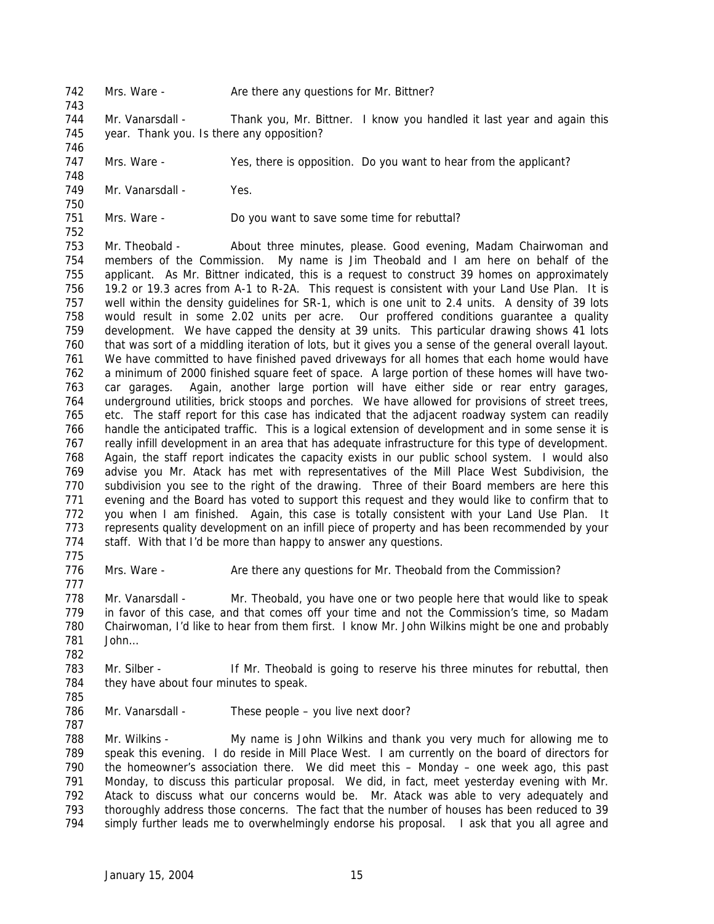- 742 Mrs. Ware Are there any questions for Mr. Bittner?
- Mr. Vanarsdall Thank you, Mr. Bittner. I know you handled it last year and again this year. Thank you. Is there any opposition?
- Mrs. Ware Yes, there is opposition. Do you want to hear from the applicant?
- 749 Mr. Vanarsdall Yes.
- Mrs. Ware Do you want to save some time for rebuttal?

 Mr. Theobald - About three minutes, please. Good evening, Madam Chairwoman and members of the Commission. My name is Jim Theobald and I am here on behalf of the applicant. As Mr. Bittner indicated, this is a request to construct 39 homes on approximately 19.2 or 19.3 acres from A-1 to R-2A. This request is consistent with your Land Use Plan. It is well within the density guidelines for SR-1, which is one unit to 2.4 units. A density of 39 lots would result in some 2.02 units per acre. Our proffered conditions guarantee a quality development. We have capped the density at 39 units. This particular drawing shows 41 lots that was sort of a middling iteration of lots, but it gives you a sense of the general overall layout. We have committed to have finished paved driveways for all homes that each home would have a minimum of 2000 finished square feet of space. A large portion of these homes will have two- car garages. Again, another large portion will have either side or rear entry garages, underground utilities, brick stoops and porches. We have allowed for provisions of street trees, etc. The staff report for this case has indicated that the adjacent roadway system can readily handle the anticipated traffic. This is a logical extension of development and in some sense it is really infill development in an area that has adequate infrastructure for this type of development. Again, the staff report indicates the capacity exists in our public school system. I would also advise you Mr. Atack has met with representatives of the Mill Place West Subdivision, the subdivision you see to the right of the drawing. Three of their Board members are here this evening and the Board has voted to support this request and they would like to confirm that to you when I am finished. Again, this case is totally consistent with your Land Use Plan. It represents quality development on an infill piece of property and has been recommended by your 774 staff. With that I'd be more than happy to answer any questions.

776 Mrs. Ware - Are there any questions for Mr. Theobald from the Commission? 

 Mr. Vanarsdall - Mr. Theobald, you have one or two people here that would like to speak in favor of this case, and that comes off your time and not the Commission's time, so Madam Chairwoman, I'd like to hear from them first. I know Mr. John Wilkins might be one and probably John…

- Mr. Silber If Mr. Theobald is going to reserve his three minutes for rebuttal, then 784 they have about four minutes to speak.
- 

786 Mr. Vanarsdall - These people – you live next door?

 Mr. Wilkins - My name is John Wilkins and thank you very much for allowing me to speak this evening. I do reside in Mill Place West. I am currently on the board of directors for the homeowner's association there. We did meet this – Monday – one week ago, this past Monday, to discuss this particular proposal. We did, in fact, meet yesterday evening with Mr. Atack to discuss what our concerns would be. Mr. Atack was able to very adequately and thoroughly address those concerns. The fact that the number of houses has been reduced to 39 simply further leads me to overwhelmingly endorse his proposal. I ask that you all agree and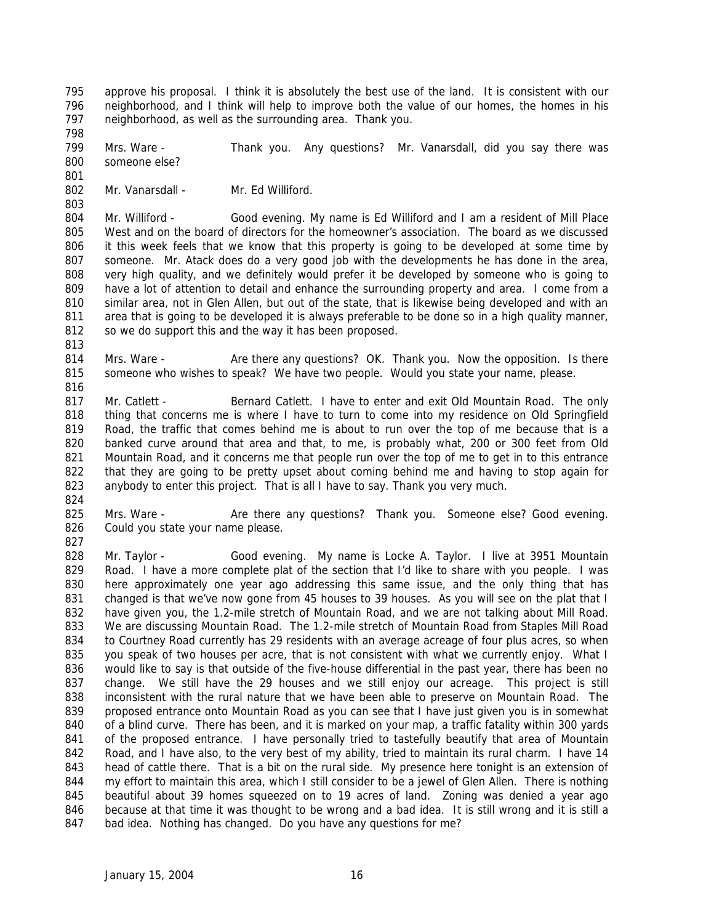approve his proposal. I think it is absolutely the best use of the land. It is consistent with our neighborhood, and I think will help to improve both the value of our homes, the homes in his neighborhood, as well as the surrounding area. Thank you. 

 Mrs. Ware - Thank you. Any questions? Mr. Vanarsdall, did you say there was someone else? 

802 Mr. Vanarsdall - Mr. Ed Williford.

 Mr. Williford - Good evening. My name is Ed Williford and I am a resident of Mill Place West and on the board of directors for the homeowner's association. The board as we discussed it this week feels that we know that this property is going to be developed at some time by someone. Mr. Atack does do a very good job with the developments he has done in the area, very high quality, and we definitely would prefer it be developed by someone who is going to have a lot of attention to detail and enhance the surrounding property and area. I come from a similar area, not in Glen Allen, but out of the state, that is likewise being developed and with an area that is going to be developed it is always preferable to be done so in a high quality manner, 812 so we do support this and the way it has been proposed.

814 Mrs. Ware - Are there any questions? OK. Thank you. Now the opposition. Is there someone who wishes to speak? We have two people. Would you state your name, please.

817 Mr. Catlett - Bernard Catlett. I have to enter and exit Old Mountain Road. The only thing that concerns me is where I have to turn to come into my residence on Old Springfield Road, the traffic that comes behind me is about to run over the top of me because that is a banked curve around that area and that, to me, is probably what, 200 or 300 feet from Old Mountain Road, and it concerns me that people run over the top of me to get in to this entrance that they are going to be pretty upset about coming behind me and having to stop again for anybody to enter this project. That is all I have to say. Thank you very much. 

825 Mrs. Ware - Are there any questions? Thank you. Someone else? Good evening. Could you state your name please.

 Mr. Taylor - Good evening. My name is Locke A. Taylor. I live at 3951 Mountain 829 Road. I have a more complete plat of the section that I'd like to share with you people. I was here approximately one year ago addressing this same issue, and the only thing that has 831 changed is that we've now gone from 45 houses to 39 houses. As you will see on the plat that I have given you, the 1.2-mile stretch of Mountain Road, and we are not talking about Mill Road. We are discussing Mountain Road. The 1.2-mile stretch of Mountain Road from Staples Mill Road to Courtney Road currently has 29 residents with an average acreage of four plus acres, so when 835 you speak of two houses per acre, that is not consistent with what we currently enjoy. What I would like to say is that outside of the five-house differential in the past year, there has been no change. We still have the 29 houses and we still enjoy our acreage. This project is still inconsistent with the rural nature that we have been able to preserve on Mountain Road. The proposed entrance onto Mountain Road as you can see that I have just given you is in somewhat of a blind curve. There has been, and it is marked on your map, a traffic fatality within 300 yards 841 of the proposed entrance. I have personally tried to tastefully beautify that area of Mountain 842 Road, and I have also, to the very best of my ability, tried to maintain its rural charm. I have 14 head of cattle there. That is a bit on the rural side. My presence here tonight is an extension of my effort to maintain this area, which I still consider to be a jewel of Glen Allen. There is nothing beautiful about 39 homes squeezed on to 19 acres of land. Zoning was denied a year ago because at that time it was thought to be wrong and a bad idea. It is still wrong and it is still a bad idea. Nothing has changed. Do you have any questions for me?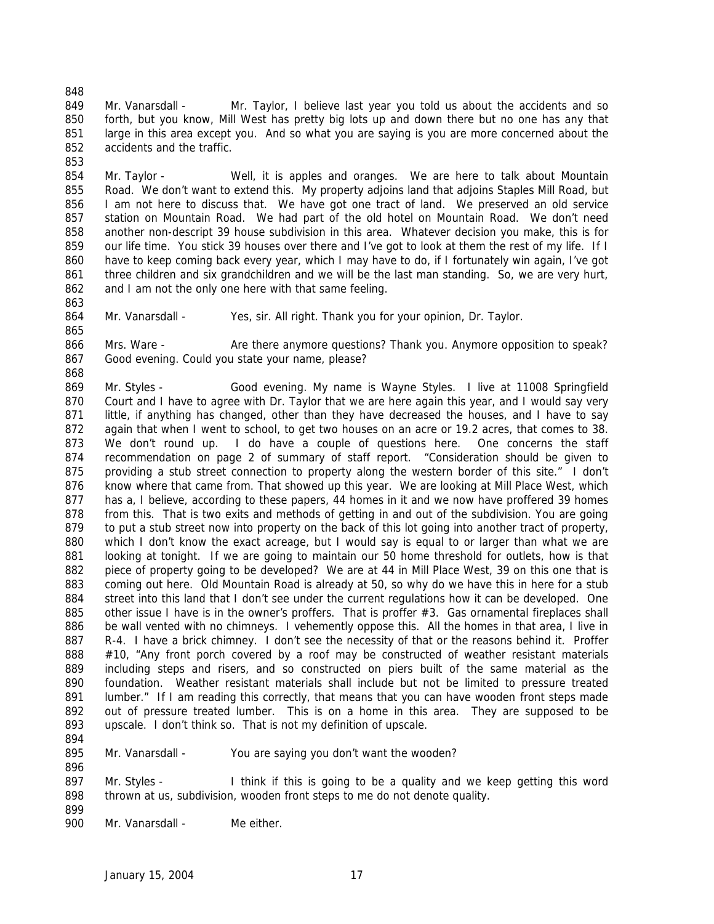Mr. Vanarsdall - Mr. Taylor, I believe last year you told us about the accidents and so forth, but you know, Mill West has pretty big lots up and down there but no one has any that large in this area except you. And so what you are saying is you are more concerned about the accidents and the traffic.

 Mr. Taylor - Well, it is apples and oranges. We are here to talk about Mountain Road. We don't want to extend this. My property adjoins land that adjoins Staples Mill Road, but I am not here to discuss that. We have got one tract of land. We preserved an old service station on Mountain Road. We had part of the old hotel on Mountain Road. We don't need another non-descript 39 house subdivision in this area. Whatever decision you make, this is for our life time. You stick 39 houses over there and I've got to look at them the rest of my life. If I have to keep coming back every year, which I may have to do, if I fortunately win again, I've got three children and six grandchildren and we will be the last man standing. So, we are very hurt, 862 and I am not the only one here with that same feeling.

864 Mr. Vanarsdall - Yes, sir. All right. Thank you for your opinion, Dr. Taylor.

866 Mrs. Ware - Are there anymore questions? Thank you. Anymore opposition to speak? Good evening. Could you state your name, please?

 Mr. Styles - Good evening. My name is Wayne Styles. I live at 11008 Springfield 870 Court and I have to agree with Dr. Taylor that we are here again this year, and I would say very little, if anything has changed, other than they have decreased the houses, and I have to say again that when I went to school, to get two houses on an acre or 19.2 acres, that comes to 38. We don't round up. I do have a couple of questions here. One concerns the staff recommendation on page 2 of summary of staff report. "Consideration should be given to providing a stub street connection to property along the western border of this site." I don't 876 know where that came from. That showed up this year. We are looking at Mill Place West, which 877 has a, I believe, according to these papers, 44 homes in it and we now have proffered 39 homes from this. That is two exits and methods of getting in and out of the subdivision. You are going 879 to put a stub street now into property on the back of this lot going into another tract of property, which I don't know the exact acreage, but I would say is equal to or larger than what we are looking at tonight. If we are going to maintain our 50 home threshold for outlets, how is that piece of property going to be developed? We are at 44 in Mill Place West, 39 on this one that is coming out here. Old Mountain Road is already at 50, so why do we have this in here for a stub 884 street into this land that I don't see under the current regulations how it can be developed. One 885 other issue I have is in the owner's proffers. That is proffer #3. Gas ornamental fireplaces shall be wall vented with no chimneys. I vehemently oppose this. All the homes in that area, I live in 887 R-4. I have a brick chimney. I don't see the necessity of that or the reasons behind it. Proffer 888 #10, "Any front porch covered by a roof may be constructed of weather resistant materials including steps and risers, and so constructed on piers built of the same material as the foundation. Weather resistant materials shall include but not be limited to pressure treated 891 lumber." If I am reading this correctly, that means that you can have wooden front steps made out of pressure treated lumber. This is on a home in this area. They are supposed to be upscale. I don't think so. That is not my definition of upscale.

895 Mr. Vanarsdall - You are saying you don't want the wooden?

897 Mr. Styles - I think if this is going to be a quality and we keep getting this word thrown at us, subdivision, wooden front steps to me do not denote quality.

900 Mr. Vanarsdall - Me either.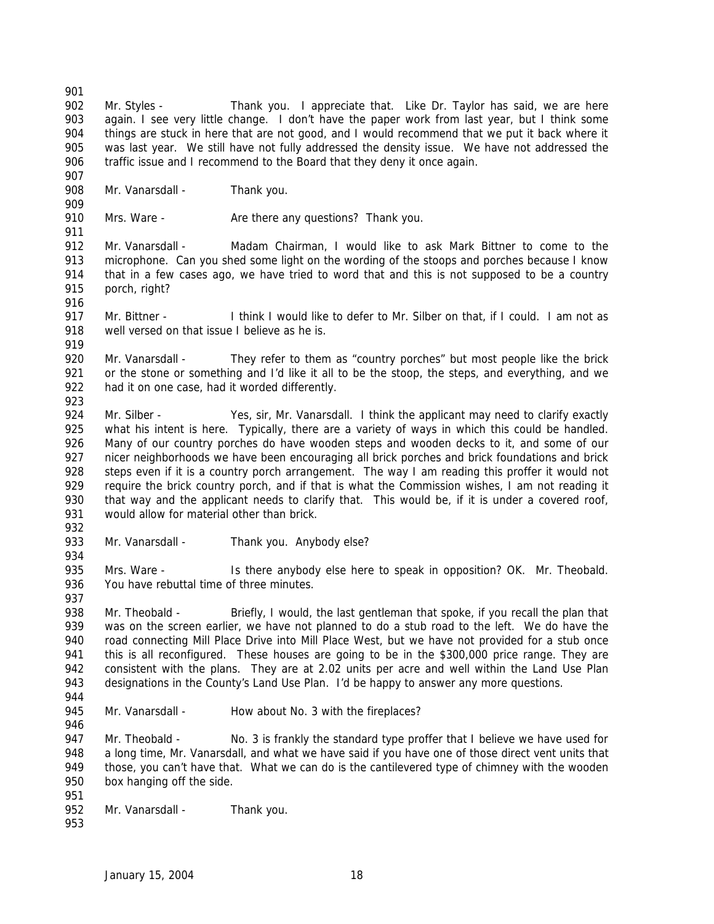Mr. Styles - Thank you. I appreciate that. Like Dr. Taylor has said, we are here again. I see very little change. I don't have the paper work from last year, but I think some things are stuck in here that are not good, and I would recommend that we put it back where it was last year. We still have not fully addressed the density issue. We have not addressed the traffic issue and I recommend to the Board that they deny it once again.

908 Mr. Vanarsdall - Thank you.

910 Mrs. Ware - Are there any questions? Thank you. 

 Mr. Vanarsdall - Madam Chairman, I would like to ask Mark Bittner to come to the microphone. Can you shed some light on the wording of the stoops and porches because I know that in a few cases ago, we have tried to word that and this is not supposed to be a country porch, right?

 Mr. Bittner - I think I would like to defer to Mr. Silber on that, if I could. I am not as 918 well versed on that issue I believe as he is.

920 Mr. Vanarsdall - They refer to them as "country porches" but most people like the brick or the stone or something and I'd like it all to be the stoop, the steps, and everything, and we had it on one case, had it worded differently.

- 924 Mr. Silber Yes, sir, Mr. Vanarsdall. I think the applicant may need to clarify exactly 925 what his intent is here. Typically, there are a variety of ways in which this could be handled. Many of our country porches do have wooden steps and wooden decks to it, and some of our nicer neighborhoods we have been encouraging all brick porches and brick foundations and brick 928 steps even if it is a country porch arrangement. The way I am reading this proffer it would not require the brick country porch, and if that is what the Commission wishes, I am not reading it 930 that way and the applicant needs to clarify that. This would be, if it is under a covered roof, would allow for material other than brick.
- 

933 Mr. Vanarsdall - Thank you. Anybody else?

935 Mrs. Ware - Is there anybody else here to speak in opposition? OK. Mr. Theobald. You have rebuttal time of three minutes. 

938 Mr. Theobald - Briefly, I would, the last gentleman that spoke, if you recall the plan that was on the screen earlier, we have not planned to do a stub road to the left. We do have the 940 road connecting Mill Place Drive into Mill Place West, but we have not provided for a stub once 941 this is all reconfigured. These houses are going to be in the \$300,000 price range. They are consistent with the plans. They are at 2.02 units per acre and well within the Land Use Plan designations in the County's Land Use Plan. I'd be happy to answer any more questions.

945 Mr. Vanarsdall - How about No. 3 with the fireplaces?

947 Mr. Theobald - No. 3 is frankly the standard type proffer that I believe we have used for a long time, Mr. Vanarsdall, and what we have said if you have one of those direct vent units that 949 those, you can't have that. What we can do is the cantilevered type of chimney with the wooden box hanging off the side.

- 
- 952 Mr. Vanarsdall Thank you.
-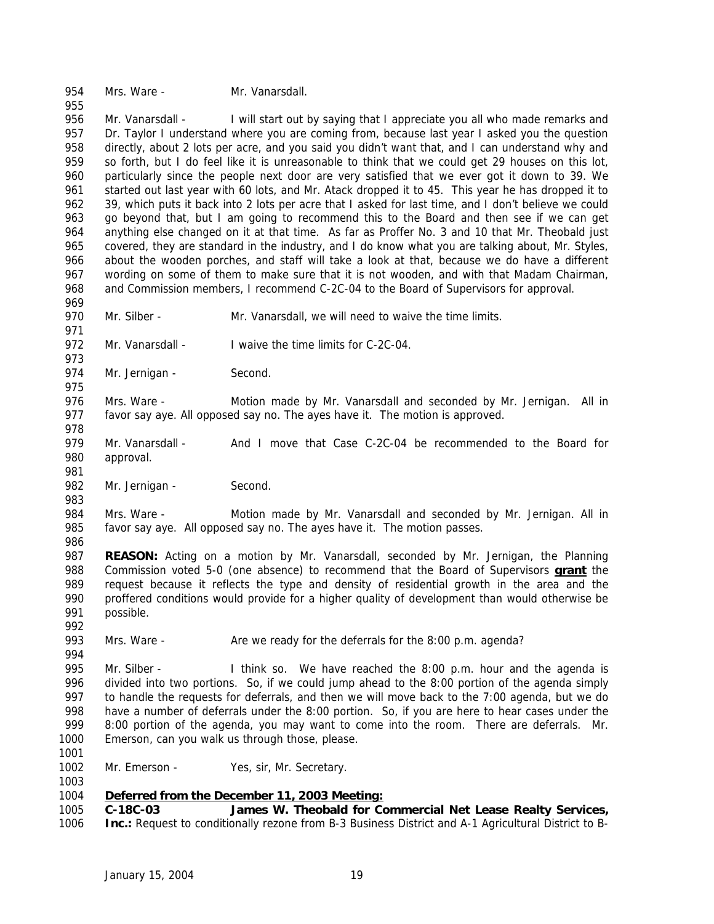Mrs. Ware - Mr. Vanarsdall.

 Mr. Vanarsdall - I will start out by saying that I appreciate you all who made remarks and 957 Dr. Taylor I understand where you are coming from, because last year I asked you the question directly, about 2 lots per acre, and you said you didn't want that, and I can understand why and so forth, but I do feel like it is unreasonable to think that we could get 29 houses on this lot, particularly since the people next door are very satisfied that we ever got it down to 39. We started out last year with 60 lots, and Mr. Atack dropped it to 45. This year he has dropped it to 39, which puts it back into 2 lots per acre that I asked for last time, and I don't believe we could go beyond that, but I am going to recommend this to the Board and then see if we can get anything else changed on it at that time. As far as Proffer No. 3 and 10 that Mr. Theobald just covered, they are standard in the industry, and I do know what you are talking about, Mr. Styles, about the wooden porches, and staff will take a look at that, because we do have a different wording on some of them to make sure that it is not wooden, and with that Madam Chairman, and Commission members, I recommend C-2C-04 to the Board of Supervisors for approval. 

970 Mr. Silber - Mr. Vanarsdall, we will need to waive the time limits.

 972 Mr. Vanarsdall - I waive the time limits for C-2C-04. 

974 Mr. Jernigan - Second.

 Mrs. Ware - Motion made by Mr. Vanarsdall and seconded by Mr. Jernigan. All in favor say aye. All opposed say no. The ayes have it. The motion is approved.

979 Mr. Vanarsdall - And I move that Case C-2C-04 be recommended to the Board for approval.

982 Mr. Jernigan - Second.

 Mrs. Ware - Motion made by Mr. Vanarsdall and seconded by Mr. Jernigan. All in favor say aye. All opposed say no. The ayes have it. The motion passes.

 **REASON:** Acting on a motion by Mr. Vanarsdall, seconded by Mr. Jernigan, the Planning Commission voted 5-0 (one absence) to recommend that the Board of Supervisors **grant** the request because it reflects the type and density of residential growth in the area and the proffered conditions would provide for a higher quality of development than would otherwise be possible. 

 Mrs. Ware - Are we ready for the deferrals for the 8:00 p.m. agenda? 

 Mr. Silber - I think so. We have reached the 8:00 p.m. hour and the agenda is divided into two portions. So, if we could jump ahead to the 8:00 portion of the agenda simply to handle the requests for deferrals, and then we will move back to the 7:00 agenda, but we do have a number of deferrals under the 8:00 portion. So, if you are here to hear cases under the 999 8:00 portion of the agenda, you may want to come into the room. There are deferrals. Mr. Emerson, can you walk us through those, please. 

1002 Mr. Emerson - Yes, sir, Mr. Secretary. 

# *Deferred from the December 11, 2003 Meeting:*

 **C-18C-03 James W. Theobald for Commercial Net Lease Realty Services, Inc.:** Request to conditionally rezone from B-3 Business District and A-1 Agricultural District to B-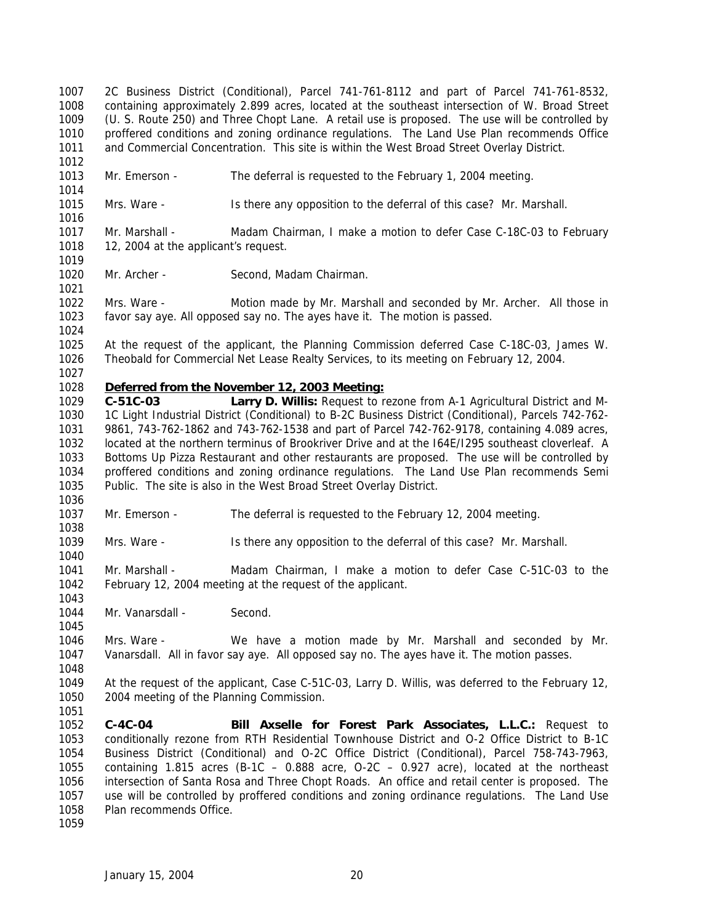2C Business District (Conditional), Parcel 741-761-8112 and part of Parcel 741-761-8532, containing approximately 2.899 acres, located at the southeast intersection of W. Broad Street (U. S. Route 250) and Three Chopt Lane. A retail use is proposed. The use will be controlled by proffered conditions and zoning ordinance regulations. The Land Use Plan recommends Office and Commercial Concentration. This site is within the West Broad Street Overlay District. 

Mr. Emerson - The deferral is requested to the February 1, 2004 meeting.

- Mrs. Ware Is there any opposition to the deferral of this case? Mr. Marshall.
- 1017 Mr. Marshall Madam Chairman, I make a motion to defer Case C-18C-03 to February 1018 12, 2004 at the applicant's request.
- 1020 Mr. Archer Second, Madam Chairman.

 Mrs. Ware - Motion made by Mr. Marshall and seconded by Mr. Archer. All those in favor say aye. All opposed say no. The ayes have it. The motion is passed.

 At the request of the applicant, the Planning Commission deferred Case C-18C-03, James W. Theobald for Commercial Net Lease Realty Services, to its meeting on February 12, 2004.

## *Deferred from the November 12, 2003 Meeting:*

 **C-51C-03 Larry D. Willis:** Request to rezone from A-1 Agricultural District and M- 1C Light Industrial District (Conditional) to B-2C Business District (Conditional), Parcels 742-762- 9861, 743-762-1862 and 743-762-1538 and part of Parcel 742-762-9178, containing 4.089 acres, located at the northern terminus of Brookriver Drive and at the I64E/I295 southeast cloverleaf. A Bottoms Up Pizza Restaurant and other restaurants are proposed. The use will be controlled by proffered conditions and zoning ordinance regulations. The Land Use Plan recommends Semi Public. The site is also in the West Broad Street Overlay District.

Mr. Emerson - The deferral is requested to the February 12, 2004 meeting.

Mrs. Ware - Is there any opposition to the deferral of this case? Mr. Marshall.

 Mr. Marshall - Madam Chairman, I make a motion to defer Case C-51C-03 to the February 12, 2004 meeting at the request of the applicant.

1044 Mr. Vanarsdall - Second.

 Mrs. Ware - We have a motion made by Mr. Marshall and seconded by Mr. Vanarsdall. All in favor say aye. All opposed say no. The ayes have it. The motion passes.

 At the request of the applicant, Case C-51C-03, Larry D. Willis, was deferred to the February 12, 2004 meeting of the Planning Commission.

 **C-4C-04 Bill Axselle for Forest Park Associates, L.L.C.:** Request to conditionally rezone from RTH Residential Townhouse District and O-2 Office District to B-1C Business District (Conditional) and O-2C Office District (Conditional), Parcel 758-743-7963, containing 1.815 acres (B-1C – 0.888 acre, O-2C – 0.927 acre), located at the northeast intersection of Santa Rosa and Three Chopt Roads. An office and retail center is proposed. The use will be controlled by proffered conditions and zoning ordinance regulations. The Land Use Plan recommends Office.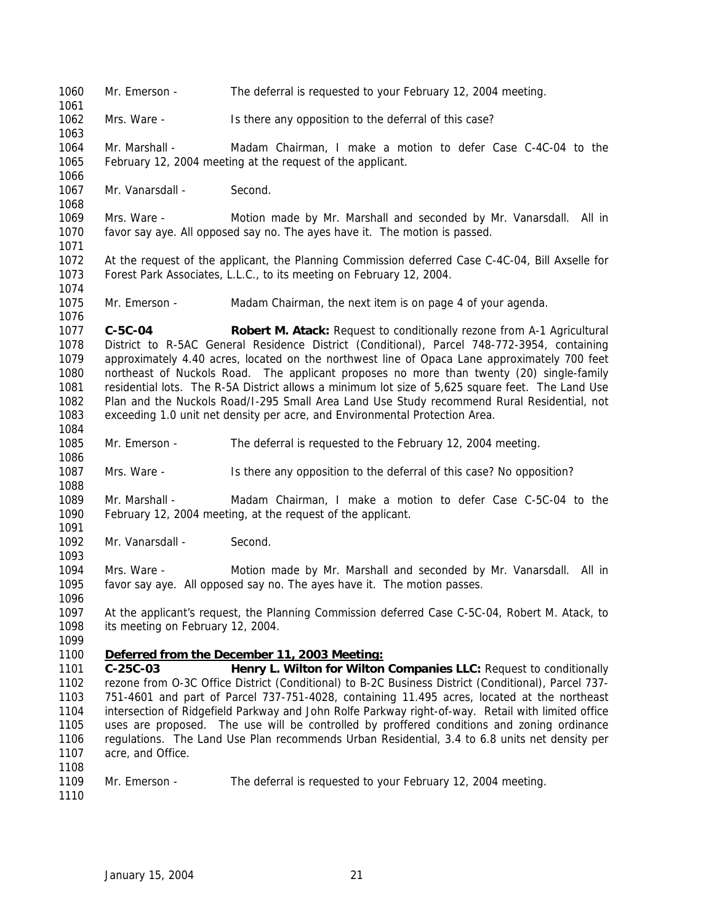Mr. Emerson - The deferral is requested to your February 12, 2004 meeting. Mrs. Ware - Is there any opposition to the deferral of this case? Mr. Marshall - Madam Chairman, I make a motion to defer Case C-4C-04 to the February 12, 2004 meeting at the request of the applicant. 1067 Mr. Vanarsdall - Second. Mrs. Ware - Motion made by Mr. Marshall and seconded by Mr. Vanarsdall. All in favor say aye. All opposed say no. The ayes have it. The motion is passed. At the request of the applicant, the Planning Commission deferred Case C-4C-04, Bill Axselle for Forest Park Associates, L.L.C., to its meeting on February 12, 2004. Mr. Emerson - Madam Chairman, the next item is on page 4 of your agenda. **C-5C-04 Robert M. Atack:** Request to conditionally rezone from A-1 Agricultural District to R-5AC General Residence District (Conditional), Parcel 748-772-3954, containing approximately 4.40 acres, located on the northwest line of Opaca Lane approximately 700 feet northeast of Nuckols Road. The applicant proposes no more than twenty (20) single-family residential lots. The R-5A District allows a minimum lot size of 5,625 square feet. The Land Use Plan and the Nuckols Road/I-295 Small Area Land Use Study recommend Rural Residential, not exceeding 1.0 unit net density per acre, and Environmental Protection Area. Mr. Emerson - The deferral is requested to the February 12, 2004 meeting. Mrs. Ware - Is there any opposition to the deferral of this case? No opposition? Mr. Marshall - Madam Chairman, I make a motion to defer Case C-5C-04 to the February 12, 2004 meeting, at the request of the applicant. 1092 Mr. Vanarsdall - Second. Mrs. Ware - Motion made by Mr. Marshall and seconded by Mr. Vanarsdall. All in favor say aye. All opposed say no. The ayes have it. The motion passes. At the applicant's request, the Planning Commission deferred Case C-5C-04, Robert M. Atack, to its meeting on February 12, 2004. *Deferred from the December 11, 2003 Meeting:* **C-25C-03 Henry L. Wilton for Wilton Companies LLC:** Request to conditionally rezone from O-3C Office District (Conditional) to B-2C Business District (Conditional), Parcel 737- 751-4601 and part of Parcel 737-751-4028, containing 11.495 acres, located at the northeast intersection of Ridgefield Parkway and John Rolfe Parkway right-of-way. Retail with limited office uses are proposed. The use will be controlled by proffered conditions and zoning ordinance regulations. The Land Use Plan recommends Urban Residential, 3.4 to 6.8 units net density per 1107 acre, and Office. Mr. Emerson - The deferral is requested to your February 12, 2004 meeting.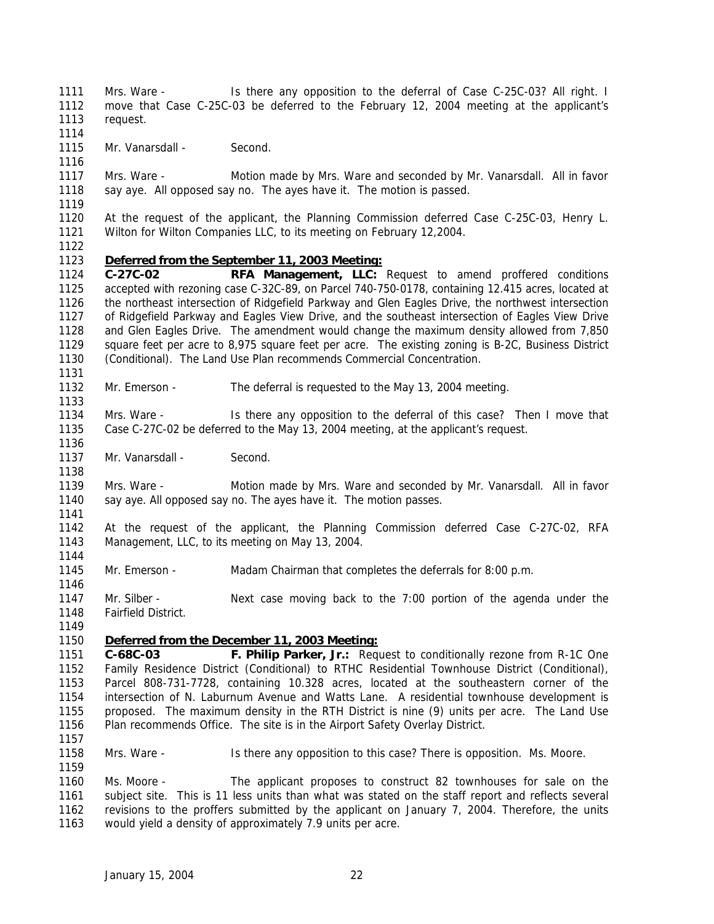1111 Mrs. Ware - Is there any opposition to the deferral of Case C-25C-03? All right. I move that Case C-25C-03 be deferred to the February 12, 2004 meeting at the applicant's request.

 1115 Mr. Vanarsdall - Second.

 Mrs. Ware - Motion made by Mrs. Ware and seconded by Mr. Vanarsdall. All in favor say aye. All opposed say no. The ayes have it. The motion is passed.

 At the request of the applicant, the Planning Commission deferred Case C-25C-03, Henry L. Wilton for Wilton Companies LLC, to its meeting on February 12,2004.

#### *Deferred from the September 11, 2003 Meeting:*

 **C-27C-02 RFA Management, LLC:** Request to amend proffered conditions accepted with rezoning case C-32C-89, on Parcel 740-750-0178, containing 12.415 acres, located at the northeast intersection of Ridgefield Parkway and Glen Eagles Drive, the northwest intersection of Ridgefield Parkway and Eagles View Drive, and the southeast intersection of Eagles View Drive and Glen Eagles Drive. The amendment would change the maximum density allowed from 7,850 square feet per acre to 8,975 square feet per acre. The existing zoning is B-2C, Business District (Conditional). The Land Use Plan recommends Commercial Concentration. 

Mr. Emerson - The deferral is requested to the May 13, 2004 meeting.

 Mrs. Ware - Is there any opposition to the deferral of this case? Then I move that Case C-27C-02 be deferred to the May 13, 2004 meeting, at the applicant's request.

1137 Mr. Vanarsdall - Second.

 Mrs. Ware - Motion made by Mrs. Ware and seconded by Mr. Vanarsdall. All in favor say aye. All opposed say no. The ayes have it. The motion passes.

- At the request of the applicant, the Planning Commission deferred Case C-27C-02, RFA Management, LLC, to its meeting on May 13, 2004.
- Mr. Emerson Madam Chairman that completes the deferrals for 8:00 p.m.
- Mr. Silber Next case moving back to the 7:00 portion of the agenda under the Fairfield District.

#### *Deferred from the December 11, 2003 Meeting:*

 **C-68C-03 F. Philip Parker, Jr.:** Request to conditionally rezone from R-1C One Family Residence District (Conditional) to RTHC Residential Townhouse District (Conditional), Parcel 808-731-7728, containing 10.328 acres, located at the southeastern corner of the intersection of N. Laburnum Avenue and Watts Lane. A residential townhouse development is proposed. The maximum density in the RTH District is nine (9) units per acre. The Land Use Plan recommends Office. The site is in the Airport Safety Overlay District.

Mrs. Ware - Is there any opposition to this case? There is opposition. Ms. Moore.

 Ms. Moore - The applicant proposes to construct 82 townhouses for sale on the subject site. This is 11 less units than what was stated on the staff report and reflects several revisions to the proffers submitted by the applicant on January 7, 2004. Therefore, the units would yield a density of approximately 7.9 units per acre.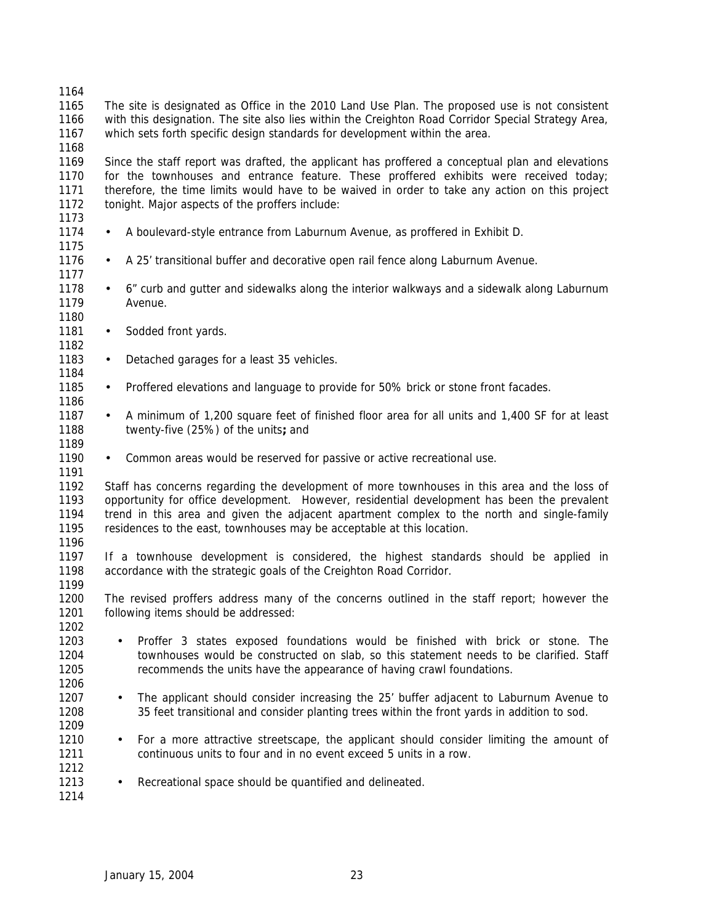- The site is designated as Office in the 2010 Land Use Plan. The proposed use is not consistent with this designation. The site also lies within the Creighton Road Corridor Special Strategy Area, which sets forth specific design standards for development within the area.
- Since the staff report was drafted, the applicant has proffered a conceptual plan and elevations for the townhouses and entrance feature. These proffered exhibits were received today; therefore, the time limits would have to be waived in order to take any action on this project tonight. Major aspects of the proffers include:
- 1174 A boulevard-style entrance from Laburnum Avenue, as proffered in Exhibit D.
- 1176 A 25' transitional buffer and decorative open rail fence along Laburnum Avenue.
- 1178 6" curb and gutter and sidewalks along the interior walkways and a sidewalk along Laburnum Avenue.
- 1181 Sodded front yards.

- 1183 Detached garages for a least 35 vehicles.
- 1185 Proffered elevations and language to provide for 50% brick or stone front facades.
- 1187 A minimum of 1,200 square feet of finished floor area for all units and 1,400 SF for at least twenty-five (25%) of the units**;** and
- 1190 Common areas would be reserved for passive or active recreational use.
- Staff has concerns regarding the development of more townhouses in this area and the loss of opportunity for office development. However, residential development has been the prevalent trend in this area and given the adjacent apartment complex to the north and single-family residences to the east, townhouses may be acceptable at this location.
- If a townhouse development is considered, the highest standards should be applied in accordance with the strategic goals of the Creighton Road Corridor.
- The revised proffers address many of the concerns outlined in the staff report; however the following items should be addressed:
- Proffer 3 states exposed foundations would be finished with brick or stone. The townhouses would be constructed on slab, so this statement needs to be clarified. Staff recommends the units have the appearance of having crawl foundations.
- 1207 The applicant should consider increasing the 25' buffer adjacent to Laburnum Avenue to 35 feet transitional and consider planting trees within the front yards in addition to sod.
- 1210 For a more attractive streetscape, the applicant should consider limiting the amount of continuous units to four and in no event exceed 5 units in a row.
- 1213 Recreational space should be quantified and delineated.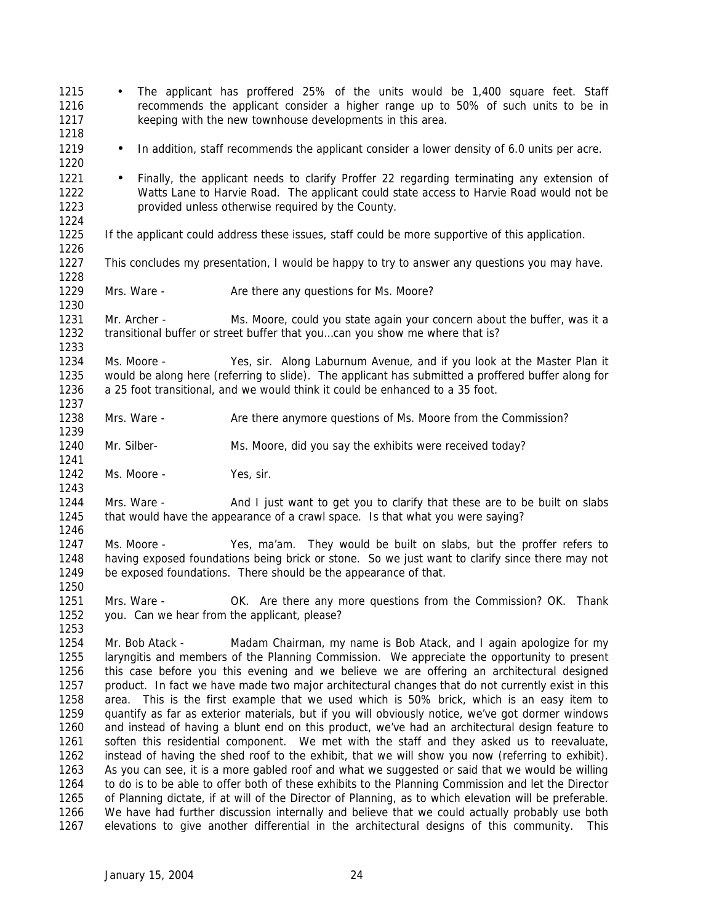| 1215<br>1216<br>1217<br>1218                                                                                 | $\bullet$                                                                                                                                                                                                                                                                                                                                                                                                                                                                                                                                                                                                                                                                                                                                                                                                                                                                                                                                                                                                                                                                                                                                                                                                                                                                                                                                                                                                               | The applicant has proffered 25% of the units would be 1,400 square feet. Staff<br>recommends the applicant consider a higher range up to 50% of such units to be in<br>keeping with the new townhouse developments in this area.                              |
|--------------------------------------------------------------------------------------------------------------|-------------------------------------------------------------------------------------------------------------------------------------------------------------------------------------------------------------------------------------------------------------------------------------------------------------------------------------------------------------------------------------------------------------------------------------------------------------------------------------------------------------------------------------------------------------------------------------------------------------------------------------------------------------------------------------------------------------------------------------------------------------------------------------------------------------------------------------------------------------------------------------------------------------------------------------------------------------------------------------------------------------------------------------------------------------------------------------------------------------------------------------------------------------------------------------------------------------------------------------------------------------------------------------------------------------------------------------------------------------------------------------------------------------------------|---------------------------------------------------------------------------------------------------------------------------------------------------------------------------------------------------------------------------------------------------------------|
| 1219<br>1220                                                                                                 | $\bullet$                                                                                                                                                                                                                                                                                                                                                                                                                                                                                                                                                                                                                                                                                                                                                                                                                                                                                                                                                                                                                                                                                                                                                                                                                                                                                                                                                                                                               | In addition, staff recommends the applicant consider a lower density of 6.0 units per acre.                                                                                                                                                                   |
| 1221<br>1222<br>1223<br>1224                                                                                 | $\bullet$                                                                                                                                                                                                                                                                                                                                                                                                                                                                                                                                                                                                                                                                                                                                                                                                                                                                                                                                                                                                                                                                                                                                                                                                                                                                                                                                                                                                               | Finally, the applicant needs to clarify Proffer 22 regarding terminating any extension of<br>Watts Lane to Harvie Road. The applicant could state access to Harvie Road would not be<br>provided unless otherwise required by the County.                     |
| 1225<br>1226                                                                                                 |                                                                                                                                                                                                                                                                                                                                                                                                                                                                                                                                                                                                                                                                                                                                                                                                                                                                                                                                                                                                                                                                                                                                                                                                                                                                                                                                                                                                                         | If the applicant could address these issues, staff could be more supportive of this application.                                                                                                                                                              |
| 1227<br>1228                                                                                                 |                                                                                                                                                                                                                                                                                                                                                                                                                                                                                                                                                                                                                                                                                                                                                                                                                                                                                                                                                                                                                                                                                                                                                                                                                                                                                                                                                                                                                         | This concludes my presentation, I would be happy to try to answer any questions you may have.                                                                                                                                                                 |
| 1229<br>1230                                                                                                 | Mrs. Ware -                                                                                                                                                                                                                                                                                                                                                                                                                                                                                                                                                                                                                                                                                                                                                                                                                                                                                                                                                                                                                                                                                                                                                                                                                                                                                                                                                                                                             | Are there any questions for Ms. Moore?                                                                                                                                                                                                                        |
| 1231<br>1232<br>1233                                                                                         | Mr. Archer -                                                                                                                                                                                                                                                                                                                                                                                                                                                                                                                                                                                                                                                                                                                                                                                                                                                                                                                                                                                                                                                                                                                                                                                                                                                                                                                                                                                                            | Ms. Moore, could you state again your concern about the buffer, was it a<br>transitional buffer or street buffer that youcan you show me where that is?                                                                                                       |
| 1234<br>1235<br>1236<br>1237                                                                                 | Ms. Moore -                                                                                                                                                                                                                                                                                                                                                                                                                                                                                                                                                                                                                                                                                                                                                                                                                                                                                                                                                                                                                                                                                                                                                                                                                                                                                                                                                                                                             | Yes, sir. Along Laburnum Avenue, and if you look at the Master Plan it<br>would be along here (referring to slide). The applicant has submitted a proffered buffer along for<br>a 25 foot transitional, and we would think it could be enhanced to a 35 foot. |
| 1238<br>1239                                                                                                 | Mrs. Ware -                                                                                                                                                                                                                                                                                                                                                                                                                                                                                                                                                                                                                                                                                                                                                                                                                                                                                                                                                                                                                                                                                                                                                                                                                                                                                                                                                                                                             | Are there anymore questions of Ms. Moore from the Commission?                                                                                                                                                                                                 |
| 1240<br>1241                                                                                                 | Mr. Silber-                                                                                                                                                                                                                                                                                                                                                                                                                                                                                                                                                                                                                                                                                                                                                                                                                                                                                                                                                                                                                                                                                                                                                                                                                                                                                                                                                                                                             | Ms. Moore, did you say the exhibits were received today?                                                                                                                                                                                                      |
| 1242<br>1243                                                                                                 | Ms. Moore -                                                                                                                                                                                                                                                                                                                                                                                                                                                                                                                                                                                                                                                                                                                                                                                                                                                                                                                                                                                                                                                                                                                                                                                                                                                                                                                                                                                                             | Yes, sir.                                                                                                                                                                                                                                                     |
| 1244<br>1245<br>1246                                                                                         | Mrs. Ware -                                                                                                                                                                                                                                                                                                                                                                                                                                                                                                                                                                                                                                                                                                                                                                                                                                                                                                                                                                                                                                                                                                                                                                                                                                                                                                                                                                                                             | And I just want to get you to clarify that these are to be built on slabs<br>that would have the appearance of a crawl space. Is that what you were saying?                                                                                                   |
| 1247<br>1248<br>1249<br>1250                                                                                 | Ms. Moore -                                                                                                                                                                                                                                                                                                                                                                                                                                                                                                                                                                                                                                                                                                                                                                                                                                                                                                                                                                                                                                                                                                                                                                                                                                                                                                                                                                                                             | Yes, ma'am. They would be built on slabs, but the proffer refers to<br>having exposed foundations being brick or stone. So we just want to clarify since there may not<br>be exposed foundations. There should be the appearance of that.                     |
| 1251<br>1252<br>1253                                                                                         | Mrs. Ware -<br>you. Can we hear from the applicant, please?                                                                                                                                                                                                                                                                                                                                                                                                                                                                                                                                                                                                                                                                                                                                                                                                                                                                                                                                                                                                                                                                                                                                                                                                                                                                                                                                                             | OK. Are there any more questions from the Commission? OK. Thank                                                                                                                                                                                               |
| 1254<br>1255<br>1256<br>1257<br>1258<br>1259<br>1260<br>1261<br>1262<br>1263<br>1264<br>1265<br>1266<br>1267 | Mr. Bob Atack -<br>Madam Chairman, my name is Bob Atack, and I again apologize for my<br>laryngitis and members of the Planning Commission. We appreciate the opportunity to present<br>this case before you this evening and we believe we are offering an architectural designed<br>product. In fact we have made two major architectural changes that do not currently exist in this<br>area. This is the first example that we used which is 50% brick, which is an easy item to<br>quantify as far as exterior materials, but if you will obviously notice, we've got dormer windows<br>and instead of having a blunt end on this product, we've had an architectural design feature to<br>soften this residential component. We met with the staff and they asked us to reevaluate,<br>instead of having the shed roof to the exhibit, that we will show you now (referring to exhibit).<br>As you can see, it is a more gabled roof and what we suggested or said that we would be willing<br>to do is to be able to offer both of these exhibits to the Planning Commission and let the Director<br>of Planning dictate, if at will of the Director of Planning, as to which elevation will be preferable.<br>We have had further discussion internally and believe that we could actually probably use both<br>elevations to give another differential in the architectural designs of this community.<br>This |                                                                                                                                                                                                                                                               |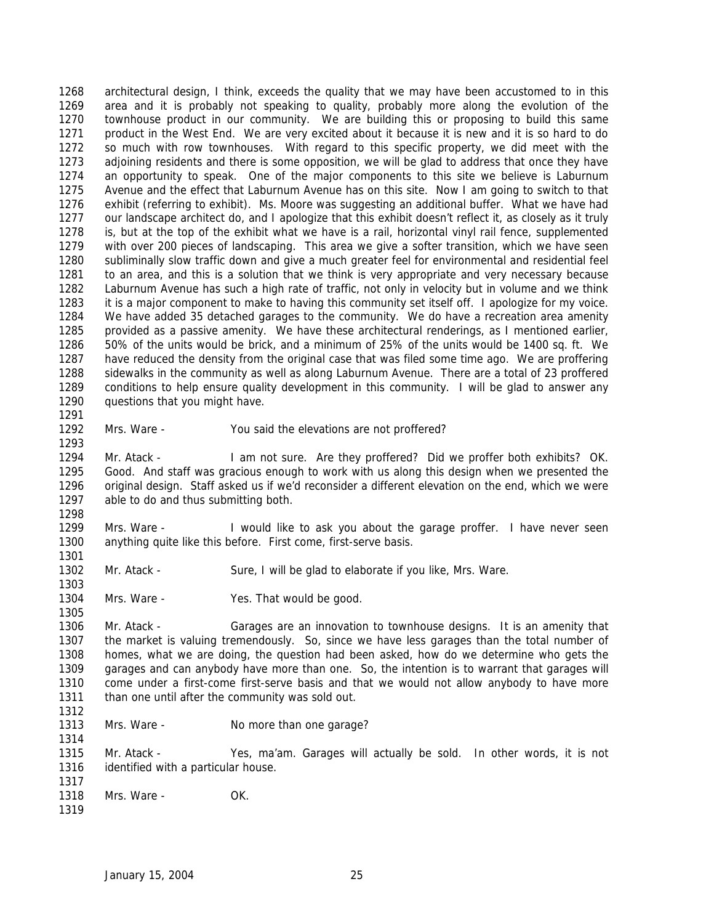architectural design, I think, exceeds the quality that we may have been accustomed to in this area and it is probably not speaking to quality, probably more along the evolution of the townhouse product in our community. We are building this or proposing to build this same product in the West End. We are very excited about it because it is new and it is so hard to do so much with row townhouses. With regard to this specific property, we did meet with the adjoining residents and there is some opposition, we will be glad to address that once they have an opportunity to speak. One of the major components to this site we believe is Laburnum Avenue and the effect that Laburnum Avenue has on this site. Now I am going to switch to that exhibit (referring to exhibit). Ms. Moore was suggesting an additional buffer. What we have had our landscape architect do, and I apologize that this exhibit doesn't reflect it, as closely as it truly is, but at the top of the exhibit what we have is a rail, horizontal vinyl rail fence, supplemented with over 200 pieces of landscaping. This area we give a softer transition, which we have seen subliminally slow traffic down and give a much greater feel for environmental and residential feel to an area, and this is a solution that we think is very appropriate and very necessary because Laburnum Avenue has such a high rate of traffic, not only in velocity but in volume and we think it is a major component to make to having this community set itself off. I apologize for my voice. We have added 35 detached garages to the community. We do have a recreation area amenity provided as a passive amenity. We have these architectural renderings, as I mentioned earlier, 50% of the units would be brick, and a minimum of 25% of the units would be 1400 sq. ft. We have reduced the density from the original case that was filed some time ago. We are proffering sidewalks in the community as well as along Laburnum Avenue. There are a total of 23 proffered conditions to help ensure quality development in this community. I will be glad to answer any 1290 questions that you might have. 

Mrs. Ware - You said the elevations are not proffered?

 Mr. Atack - I am not sure. Are they proffered? Did we proffer both exhibits? OK. Good. And staff was gracious enough to work with us along this design when we presented the original design. Staff asked us if we'd reconsider a different elevation on the end, which we were able to do and thus submitting both. 

 Mrs. Ware - I would like to ask you about the garage proffer. I have never seen anything quite like this before. First come, first-serve basis.

- Mr. Atack Sure, I will be glad to elaborate if you like, Mrs. Ware.
- 1304 Mrs. Ware Yes. That would be good.

 Mr. Atack - Garages are an innovation to townhouse designs. It is an amenity that the market is valuing tremendously. So, since we have less garages than the total number of homes, what we are doing, the question had been asked, how do we determine who gets the garages and can anybody have more than one. So, the intention is to warrant that garages will come under a first-come first-serve basis and that we would not allow anybody to have more 1311 than one until after the community was sold out.

1313 Mrs. Ware - No more than one garage?

 Mr. Atack - Yes, ma'am. Garages will actually be sold. In other words, it is not 1316 identified with a particular house.

- Mrs. Ware OK.
-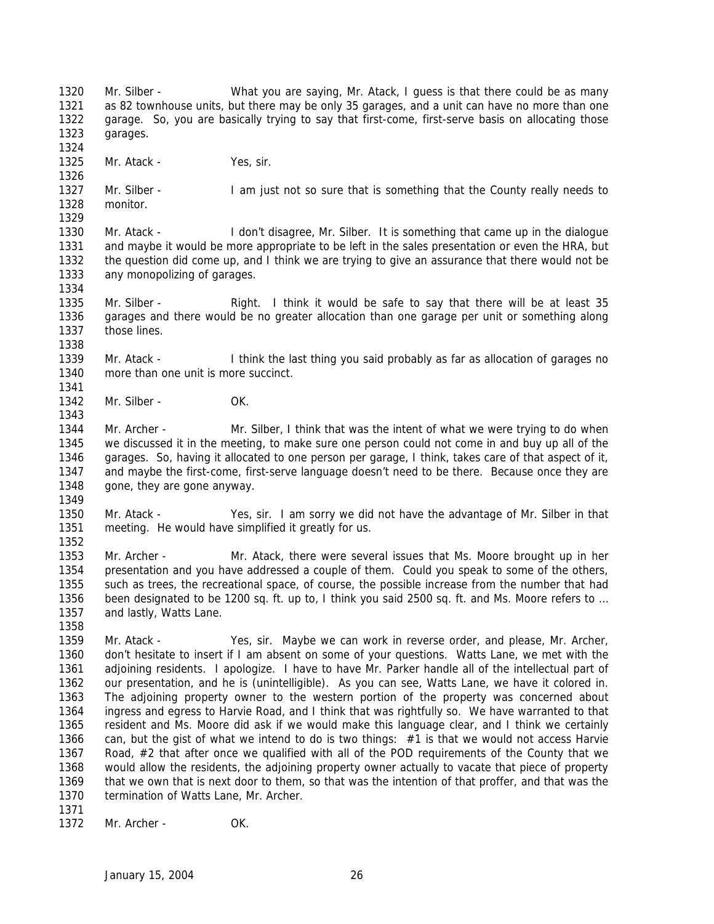Mr. Silber - What you are saying, Mr. Atack, I guess is that there could be as many as 82 townhouse units, but there may be only 35 garages, and a unit can have no more than one garage. So, you are basically trying to say that first-come, first-serve basis on allocating those garages. 

1325 Mr. Atack - Yes, sir.

1327 Mr. Silber - I am just not so sure that is something that the County really needs to monitor. 

 Mr. Atack - I don't disagree, Mr. Silber. It is something that came up in the dialogue and maybe it would be more appropriate to be left in the sales presentation or even the HRA, but the question did come up, and I think we are trying to give an assurance that there would not be any monopolizing of garages. 

1335 Mr. Silber - Right. I think it would be safe to say that there will be at least 35 garages and there would be no greater allocation than one garage per unit or something along those lines.

1339 Mr. Atack - I think the last thing you said probably as far as allocation of garages no more than one unit is more succinct. 

1342 Mr. Silber - OK.

 Mr. Archer - Mr. Silber, I think that was the intent of what we were trying to do when we discussed it in the meeting, to make sure one person could not come in and buy up all of the garages. So, having it allocated to one person per garage, I think, takes care of that aspect of it, and maybe the first-come, first-serve language doesn't need to be there. Because once they are gone, they are gone anyway.

 Mr. Atack - Yes, sir. I am sorry we did not have the advantage of Mr. Silber in that meeting. He would have simplified it greatly for us.

 Mr. Archer - Mr. Atack, there were several issues that Ms. Moore brought up in her presentation and you have addressed a couple of them. Could you speak to some of the others, such as trees, the recreational space, of course, the possible increase from the number that had been designated to be 1200 sq. ft. up to, I think you said 2500 sq. ft. and Ms. Moore refers to … and lastly, Watts Lane.

 Mr. Atack - Yes, sir. Maybe we can work in reverse order, and please, Mr. Archer, don't hesitate to insert if I am absent on some of your questions. Watts Lane, we met with the adjoining residents. I apologize. I have to have Mr. Parker handle all of the intellectual part of our presentation, and he is (unintelligible). As you can see, Watts Lane, we have it colored in. The adjoining property owner to the western portion of the property was concerned about ingress and egress to Harvie Road, and I think that was rightfully so. We have warranted to that resident and Ms. Moore did ask if we would make this language clear, and I think we certainly can, but the gist of what we intend to do is two things: #1 is that we would not access Harvie 1367 Road, #2 that after once we qualified with all of the POD requirements of the County that we would allow the residents, the adjoining property owner actually to vacate that piece of property that we own that is next door to them, so that was the intention of that proffer, and that was the 1370 termination of Watts Lane, Mr. Archer. 

1372 Mr. Archer - OK.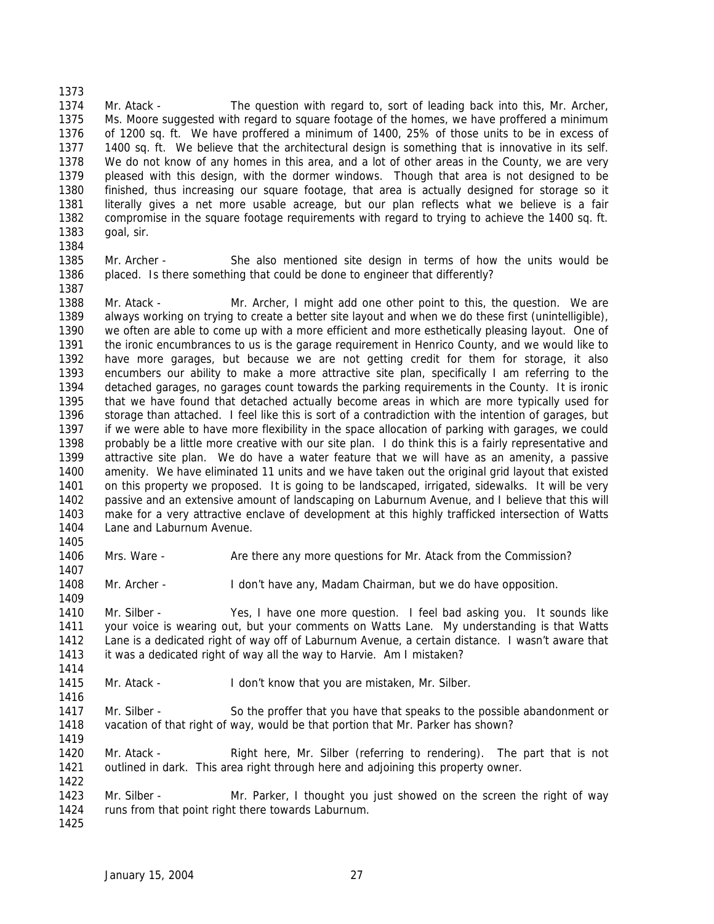Mr. Atack - The question with regard to, sort of leading back into this, Mr. Archer, Ms. Moore suggested with regard to square footage of the homes, we have proffered a minimum of 1200 sq. ft. We have proffered a minimum of 1400, 25% of those units to be in excess of 1400 sq. ft. We believe that the architectural design is something that is innovative in its self. We do not know of any homes in this area, and a lot of other areas in the County, we are very pleased with this design, with the dormer windows. Though that area is not designed to be finished, thus increasing our square footage, that area is actually designed for storage so it literally gives a net more usable acreage, but our plan reflects what we believe is a fair compromise in the square footage requirements with regard to trying to achieve the 1400 sq. ft. goal, sir. 

 Mr. Archer - She also mentioned site design in terms of how the units would be placed. Is there something that could be done to engineer that differently?

 Mr. Atack - Mr. Archer, I might add one other point to this, the question. We are always working on trying to create a better site layout and when we do these first (unintelligible), we often are able to come up with a more efficient and more esthetically pleasing layout. One of the ironic encumbrances to us is the garage requirement in Henrico County, and we would like to have more garages, but because we are not getting credit for them for storage, it also encumbers our ability to make a more attractive site plan, specifically I am referring to the detached garages, no garages count towards the parking requirements in the County. It is ironic that we have found that detached actually become areas in which are more typically used for storage than attached. I feel like this is sort of a contradiction with the intention of garages, but if we were able to have more flexibility in the space allocation of parking with garages, we could probably be a little more creative with our site plan. I do think this is a fairly representative and attractive site plan. We do have a water feature that we will have as an amenity, a passive amenity. We have eliminated 11 units and we have taken out the original grid layout that existed on this property we proposed. It is going to be landscaped, irrigated, sidewalks. It will be very passive and an extensive amount of landscaping on Laburnum Avenue, and I believe that this will make for a very attractive enclave of development at this highly trafficked intersection of Watts 1404 Lane and Laburnum Avenue. 

Mrs. Ware - Are there any more questions for Mr. Atack from the Commission?

Mr. Archer - I don't have any, Madam Chairman, but we do have opposition.

 Mr. Silber - Yes, I have one more question. I feel bad asking you. It sounds like your voice is wearing out, but your comments on Watts Lane. My understanding is that Watts Lane is a dedicated right of way off of Laburnum Avenue, a certain distance. I wasn't aware that 1413 it was a dedicated right of way all the way to Harvie. Am I mistaken?

Mr. Atack - I don't know that you are mistaken, Mr. Silber.

 Mr. Silber - So the proffer that you have that speaks to the possible abandonment or vacation of that right of way, would be that portion that Mr. Parker has shown?

 Mr. Atack - Right here, Mr. Silber (referring to rendering). The part that is not outlined in dark. This area right through here and adjoining this property owner. 

1423 Mr. Silber - Mr. Parker, I thought you just showed on the screen the right of way runs from that point right there towards Laburnum.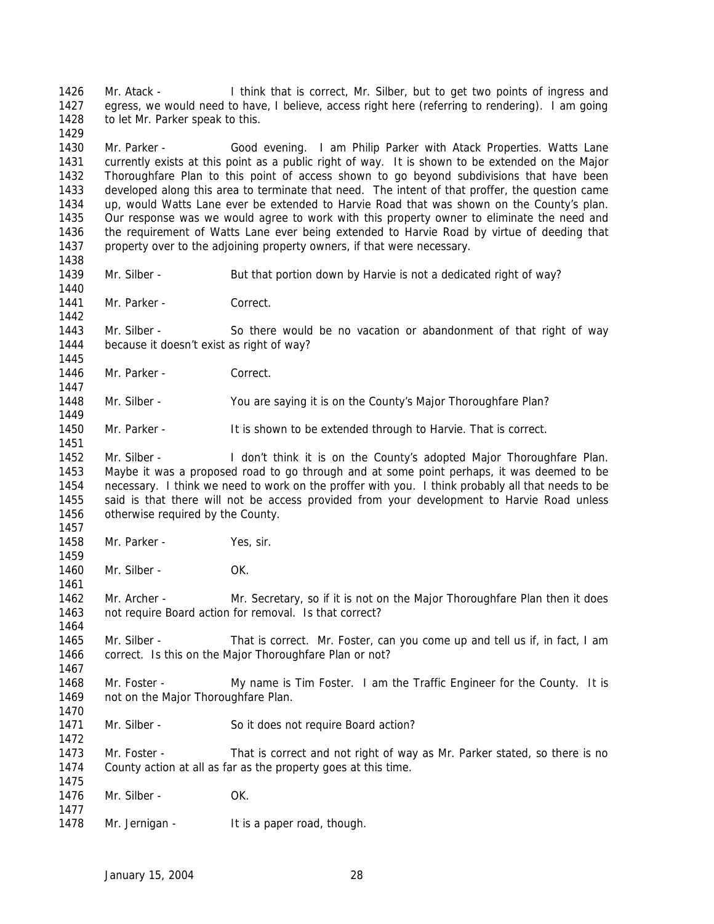Mr. Atack - I think that is correct, Mr. Silber, but to get two points of ingress and egress, we would need to have, I believe, access right here (referring to rendering). I am going 1428 to let Mr. Parker speak to this. Mr. Parker - Good evening. I am Philip Parker with Atack Properties. Watts Lane currently exists at this point as a public right of way. It is shown to be extended on the Major Thoroughfare Plan to this point of access shown to go beyond subdivisions that have been developed along this area to terminate that need. The intent of that proffer, the question came up, would Watts Lane ever be extended to Harvie Road that was shown on the County's plan. Our response was we would agree to work with this property owner to eliminate the need and the requirement of Watts Lane ever being extended to Harvie Road by virtue of deeding that 1437 property over to the adjoining property owners, if that were necessary. Mr. Silber - But that portion down by Harvie is not a dedicated right of way? 1441 Mr. Parker - Correct. Mr. Silber - So there would be no vacation or abandonment of that right of way because it doesn't exist as right of way? 1446 Mr. Parker - Correct. Mr. Silber - You are saying it is on the County's Major Thoroughfare Plan? 1450 Mr. Parker - It is shown to be extended through to Harvie. That is correct. 1452 Mr. Silber - I don't think it is on the County's adopted Major Thoroughfare Plan. Maybe it was a proposed road to go through and at some point perhaps, it was deemed to be necessary. I think we need to work on the proffer with you. I think probably all that needs to be said is that there will not be access provided from your development to Harvie Road unless otherwise required by the County. Mr. Parker - Yes, sir. Mr. Silber - OK. Mr. Archer - Mr. Secretary, so if it is not on the Major Thoroughfare Plan then it does not require Board action for removal. Is that correct? 1465 Mr. Silber - That is correct. Mr. Foster, can you come up and tell us if, in fact, I am correct. Is this on the Major Thoroughfare Plan or not? Mr. Foster - My name is Tim Foster. I am the Traffic Engineer for the County. It is 1469 not on the Major Thoroughfare Plan. 1471 Mr. Silber - So it does not require Board action? Mr. Foster - That is correct and not right of way as Mr. Parker stated, so there is no County action at all as far as the property goes at this time. Mr. Silber - OK. 1478 Mr. Jernigan - It is a paper road, though.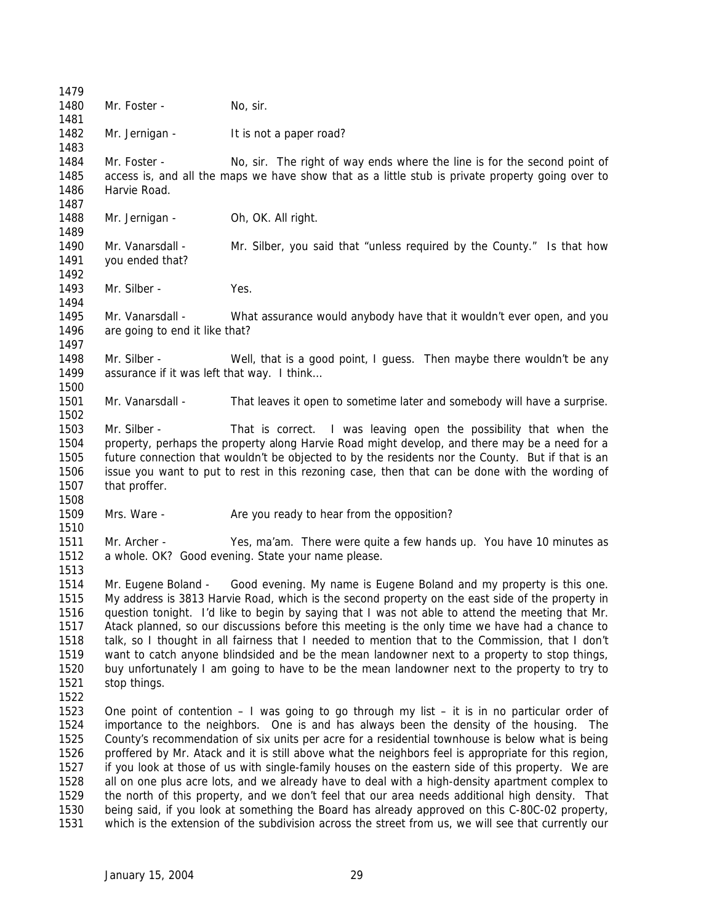1480 Mr. Foster - No. sir. 1482 Mr. Jernigan - It is not a paper road? Mr. Foster - No, sir. The right of way ends where the line is for the second point of access is, and all the maps we have show that as a little stub is private property going over to Harvie Road. 1488 Mr. Jernigan - Oh, OK. All right. Mr. Vanarsdall - Mr. Silber, you said that "unless required by the County." Is that how you ended that? 1493 Mr. Silber - Yes. Mr. Vanarsdall - What assurance would anybody have that it wouldn't ever open, and you 1496 are going to end it like that? 1498 Mr. Silber - Well, that is a good point, I guess. Then maybe there wouldn't be any 1499 assurance if it was left that way. I think... Mr. Vanarsdall - That leaves it open to sometime later and somebody will have a surprise. Mr. Silber - That is correct. I was leaving open the possibility that when the property, perhaps the property along Harvie Road might develop, and there may be a need for a future connection that wouldn't be objected to by the residents nor the County. But if that is an issue you want to put to rest in this rezoning case, then that can be done with the wording of that proffer. 1509 Mrs. Ware - Are you ready to hear from the opposition? Mr. Archer - Yes, ma'am. There were quite a few hands up. You have 10 minutes as a whole. OK? Good evening. State your name please. Mr. Eugene Boland - Good evening. My name is Eugene Boland and my property is this one. My address is 3813 Harvie Road, which is the second property on the east side of the property in question tonight. I'd like to begin by saying that I was not able to attend the meeting that Mr. Atack planned, so our discussions before this meeting is the only time we have had a chance to talk, so I thought in all fairness that I needed to mention that to the Commission, that I don't want to catch anyone blindsided and be the mean landowner next to a property to stop things, buy unfortunately I am going to have to be the mean landowner next to the property to try to stop things. One point of contention – I was going to go through my list – it is in no particular order of importance to the neighbors. One is and has always been the density of the housing. The County's recommendation of six units per acre for a residential townhouse is below what is being proffered by Mr. Atack and it is still above what the neighbors feel is appropriate for this region, if you look at those of us with single-family houses on the eastern side of this property. We are all on one plus acre lots, and we already have to deal with a high-density apartment complex to the north of this property, and we don't feel that our area needs additional high density. That being said, if you look at something the Board has already approved on this C-80C-02 property, which is the extension of the subdivision across the street from us, we will see that currently our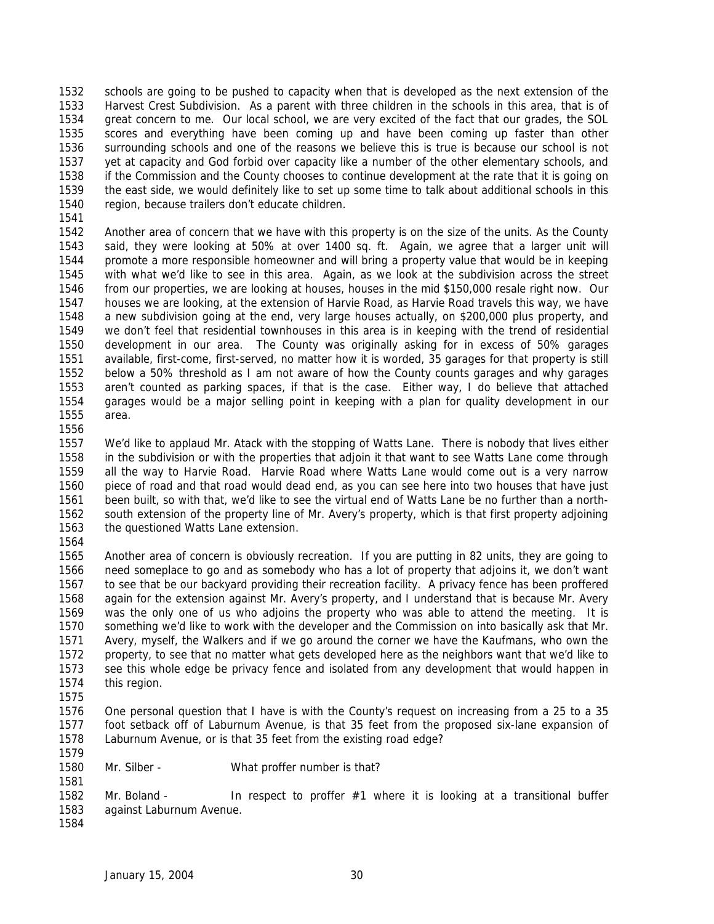schools are going to be pushed to capacity when that is developed as the next extension of the Harvest Crest Subdivision. As a parent with three children in the schools in this area, that is of great concern to me. Our local school, we are very excited of the fact that our grades, the SOL scores and everything have been coming up and have been coming up faster than other surrounding schools and one of the reasons we believe this is true is because our school is not yet at capacity and God forbid over capacity like a number of the other elementary schools, and if the Commission and the County chooses to continue development at the rate that it is going on the east side, we would definitely like to set up some time to talk about additional schools in this region, because trailers don't educate children.

 Another area of concern that we have with this property is on the size of the units. As the County said, they were looking at 50% at over 1400 sq. ft. Again, we agree that a larger unit will promote a more responsible homeowner and will bring a property value that would be in keeping with what we'd like to see in this area. Again, as we look at the subdivision across the street from our properties, we are looking at houses, houses in the mid \$150,000 resale right now. Our houses we are looking, at the extension of Harvie Road, as Harvie Road travels this way, we have a new subdivision going at the end, very large houses actually, on \$200,000 plus property, and we don't feel that residential townhouses in this area is in keeping with the trend of residential development in our area. The County was originally asking for in excess of 50% garages available, first-come, first-served, no matter how it is worded, 35 garages for that property is still below a 50% threshold as I am not aware of how the County counts garages and why garages aren't counted as parking spaces, if that is the case. Either way, I do believe that attached garages would be a major selling point in keeping with a plan for quality development in our area.

 We'd like to applaud Mr. Atack with the stopping of Watts Lane. There is nobody that lives either in the subdivision or with the properties that adjoin it that want to see Watts Lane come through all the way to Harvie Road. Harvie Road where Watts Lane would come out is a very narrow piece of road and that road would dead end, as you can see here into two houses that have just been built, so with that, we'd like to see the virtual end of Watts Lane be no further than a north- south extension of the property line of Mr. Avery's property, which is that first property adjoining the questioned Watts Lane extension.

 Another area of concern is obviously recreation. If you are putting in 82 units, they are going to need someplace to go and as somebody who has a lot of property that adjoins it, we don't want to see that be our backyard providing their recreation facility. A privacy fence has been proffered again for the extension against Mr. Avery's property, and I understand that is because Mr. Avery was the only one of us who adjoins the property who was able to attend the meeting. It is something we'd like to work with the developer and the Commission on into basically ask that Mr. Avery, myself, the Walkers and if we go around the corner we have the Kaufmans, who own the property, to see that no matter what gets developed here as the neighbors want that we'd like to see this whole edge be privacy fence and isolated from any development that would happen in this region.

- 
- One personal question that I have is with the County's request on increasing from a 25 to a 35 foot setback off of Laburnum Avenue, is that 35 feet from the proposed six-lane expansion of Laburnum Avenue, or is that 35 feet from the existing road edge?
- Mr. Silber What proffer number is that?

1582 Mr. Boland - In respect to proffer #1 where it is looking at a transitional buffer against Laburnum Avenue.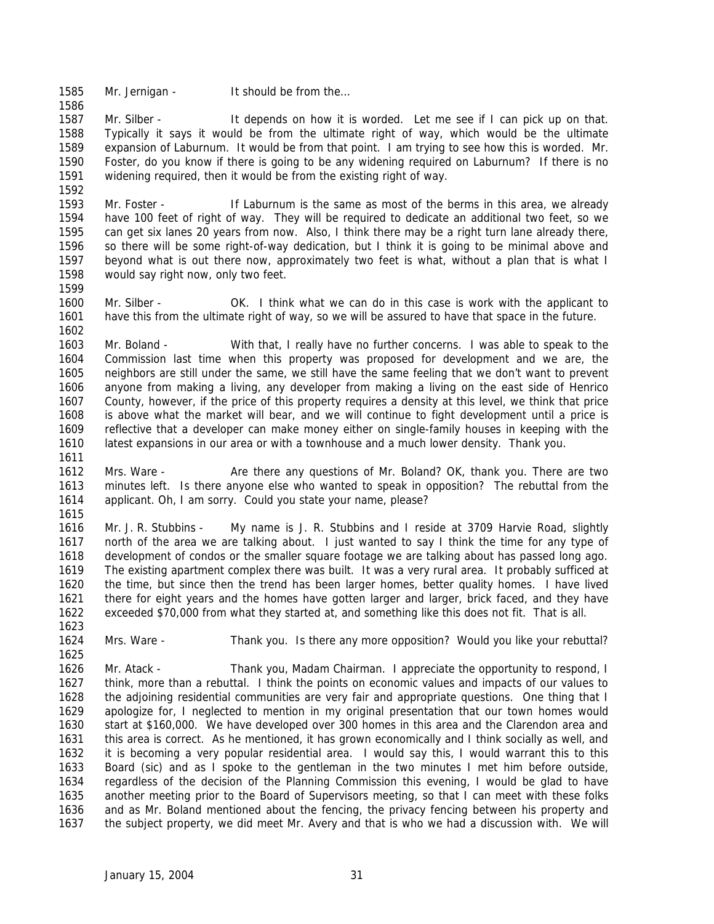1585 Mr. Jernigan - It should be from the...

1587 Mr. Silber - It depends on how it is worded. Let me see if I can pick up on that. Typically it says it would be from the ultimate right of way, which would be the ultimate expansion of Laburnum. It would be from that point. I am trying to see how this is worded. Mr. Foster, do you know if there is going to be any widening required on Laburnum? If there is no widening required, then it would be from the existing right of way. 

 Mr. Foster - If Laburnum is the same as most of the berms in this area, we already have 100 feet of right of way. They will be required to dedicate an additional two feet, so we can get six lanes 20 years from now. Also, I think there may be a right turn lane already there, so there will be some right-of-way dedication, but I think it is going to be minimal above and beyond what is out there now, approximately two feet is what, without a plan that is what I would say right now, only two feet. 

 Mr. Silber - OK. I think what we can do in this case is work with the applicant to have this from the ultimate right of way, so we will be assured to have that space in the future. 

 Mr. Boland - With that, I really have no further concerns. I was able to speak to the Commission last time when this property was proposed for development and we are, the neighbors are still under the same, we still have the same feeling that we don't want to prevent anyone from making a living, any developer from making a living on the east side of Henrico County, however, if the price of this property requires a density at this level, we think that price is above what the market will bear, and we will continue to fight development until a price is reflective that a developer can make money either on single-family houses in keeping with the latest expansions in our area or with a townhouse and a much lower density. Thank you. 

 Mrs. Ware - Are there any questions of Mr. Boland? OK, thank you. There are two minutes left. Is there anyone else who wanted to speak in opposition? The rebuttal from the applicant. Oh, I am sorry. Could you state your name, please? 

 Mr. J. R. Stubbins - My name is J. R. Stubbins and I reside at 3709 Harvie Road, slightly north of the area we are talking about. I just wanted to say I think the time for any type of development of condos or the smaller square footage we are talking about has passed long ago. The existing apartment complex there was built. It was a very rural area. It probably sufficed at the time, but since then the trend has been larger homes, better quality homes. I have lived there for eight years and the homes have gotten larger and larger, brick faced, and they have exceeded \$70,000 from what they started at, and something like this does not fit. That is all.

Mrs. Ware - Thank you. Is there any more opposition? Would you like your rebuttal?

 Mr. Atack - Thank you, Madam Chairman. I appreciate the opportunity to respond, I think, more than a rebuttal. I think the points on economic values and impacts of our values to the adjoining residential communities are very fair and appropriate questions. One thing that I apologize for, I neglected to mention in my original presentation that our town homes would start at \$160,000. We have developed over 300 homes in this area and the Clarendon area and this area is correct. As he mentioned, it has grown economically and I think socially as well, and it is becoming a very popular residential area. I would say this, I would warrant this to this Board (sic) and as I spoke to the gentleman in the two minutes I met him before outside, regardless of the decision of the Planning Commission this evening, I would be glad to have another meeting prior to the Board of Supervisors meeting, so that I can meet with these folks and as Mr. Boland mentioned about the fencing, the privacy fencing between his property and the subject property, we did meet Mr. Avery and that is who we had a discussion with. We will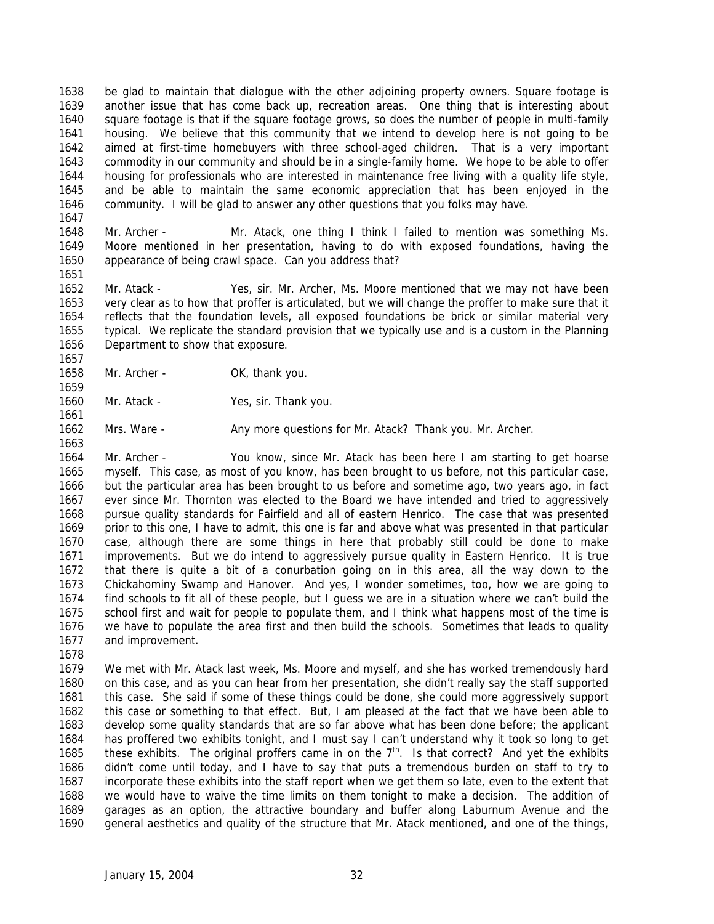be glad to maintain that dialogue with the other adjoining property owners. Square footage is another issue that has come back up, recreation areas. One thing that is interesting about square footage is that if the square footage grows, so does the number of people in multi-family housing. We believe that this community that we intend to develop here is not going to be aimed at first-time homebuyers with three school-aged children. That is a very important commodity in our community and should be in a single-family home. We hope to be able to offer housing for professionals who are interested in maintenance free living with a quality life style, and be able to maintain the same economic appreciation that has been enjoyed in the community. I will be glad to answer any other questions that you folks may have. 

 Mr. Archer - Mr. Atack, one thing I think I failed to mention was something Ms. Moore mentioned in her presentation, having to do with exposed foundations, having the appearance of being crawl space. Can you address that?

 Mr. Atack - Yes, sir. Mr. Archer, Ms. Moore mentioned that we may not have been very clear as to how that proffer is articulated, but we will change the proffer to make sure that it reflects that the foundation levels, all exposed foundations be brick or similar material very typical. We replicate the standard provision that we typically use and is a custom in the Planning Department to show that exposure. 

- 1658 Mr. Archer OK, thank you.
- Mr. Atack Yes, sir. Thank you.
- 1662 Mrs. Ware Any more questions for Mr. Atack? Thank you. Mr. Archer.

 Mr. Archer - You know, since Mr. Atack has been here I am starting to get hoarse myself. This case, as most of you know, has been brought to us before, not this particular case, but the particular area has been brought to us before and sometime ago, two years ago, in fact ever since Mr. Thornton was elected to the Board we have intended and tried to aggressively pursue quality standards for Fairfield and all of eastern Henrico. The case that was presented prior to this one, I have to admit, this one is far and above what was presented in that particular case, although there are some things in here that probably still could be done to make improvements. But we do intend to aggressively pursue quality in Eastern Henrico. It is true that there is quite a bit of a conurbation going on in this area, all the way down to the Chickahominy Swamp and Hanover. And yes, I wonder sometimes, too, how we are going to find schools to fit all of these people, but I guess we are in a situation where we can't build the school first and wait for people to populate them, and I think what happens most of the time is we have to populate the area first and then build the schools. Sometimes that leads to quality and improvement.

 We met with Mr. Atack last week, Ms. Moore and myself, and she has worked tremendously hard on this case, and as you can hear from her presentation, she didn't really say the staff supported this case. She said if some of these things could be done, she could more aggressively support this case or something to that effect. But, I am pleased at the fact that we have been able to develop some quality standards that are so far above what has been done before; the applicant has proffered two exhibits tonight, and I must say I can't understand why it took so long to get 1685 these exhibits. The original proffers came in on the  $7<sup>th</sup>$ . Is that correct? And yet the exhibits didn't come until today, and I have to say that puts a tremendous burden on staff to try to incorporate these exhibits into the staff report when we get them so late, even to the extent that we would have to waive the time limits on them tonight to make a decision. The addition of garages as an option, the attractive boundary and buffer along Laburnum Avenue and the general aesthetics and quality of the structure that Mr. Atack mentioned, and one of the things,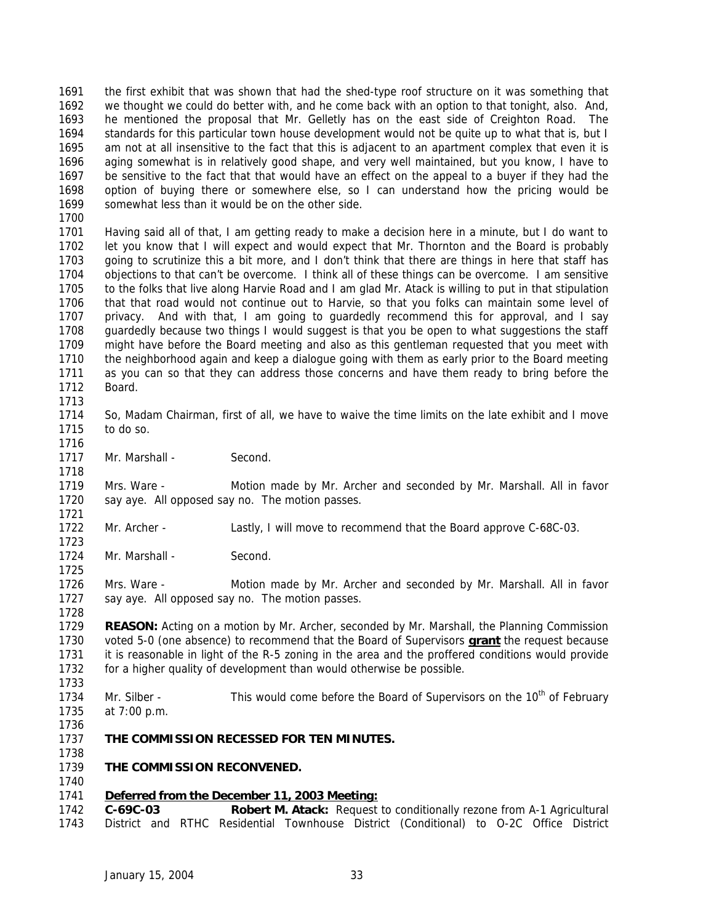the first exhibit that was shown that had the shed-type roof structure on it was something that we thought we could do better with, and he come back with an option to that tonight, also. And, he mentioned the proposal that Mr. Gelletly has on the east side of Creighton Road. The standards for this particular town house development would not be quite up to what that is, but I am not at all insensitive to the fact that this is adjacent to an apartment complex that even it is aging somewhat is in relatively good shape, and very well maintained, but you know, I have to be sensitive to the fact that that would have an effect on the appeal to a buyer if they had the option of buying there or somewhere else, so I can understand how the pricing would be somewhat less than it would be on the other side.

 Having said all of that, I am getting ready to make a decision here in a minute, but I do want to let you know that I will expect and would expect that Mr. Thornton and the Board is probably going to scrutinize this a bit more, and I don't think that there are things in here that staff has objections to that can't be overcome. I think all of these things can be overcome. I am sensitive to the folks that live along Harvie Road and I am glad Mr. Atack is willing to put in that stipulation that that road would not continue out to Harvie, so that you folks can maintain some level of privacy. And with that, I am going to guardedly recommend this for approval, and I say guardedly because two things I would suggest is that you be open to what suggestions the staff might have before the Board meeting and also as this gentleman requested that you meet with the neighborhood again and keep a dialogue going with them as early prior to the Board meeting as you can so that they can address those concerns and have them ready to bring before the Board.

- So, Madam Chairman, first of all, we have to waive the time limits on the late exhibit and I move to do so.
- 1717 Mr. Marshall Second.

 Mrs. Ware - Motion made by Mr. Archer and seconded by Mr. Marshall. All in favor say aye. All opposed say no. The motion passes.

- Mr. Archer Lastly, I will move to recommend that the Board approve C-68C-03.
- 1724 Mr. Marshall Second

 Mrs. Ware - Motion made by Mr. Archer and seconded by Mr. Marshall. All in favor say aye. All opposed say no. The motion passes.

 **REASON:** Acting on a motion by Mr. Archer, seconded by Mr. Marshall, the Planning Commission voted 5-0 (one absence) to recommend that the Board of Supervisors **grant** the request because it is reasonable in light of the R-5 zoning in the area and the proffered conditions would provide for a higher quality of development than would otherwise be possible. 

1734 Mr. Silber - This would come before the Board of Supervisors on the 10<sup>th</sup> of February at 7:00 p.m.

- **THE COMMISSION RECESSED FOR TEN MINUTES.**
- **THE COMMISSION RECONVENED.**

# *Deferred from the December 11, 2003 Meeting:*

 **C-69C-03 Robert M. Atack:** Request to conditionally rezone from A-1 Agricultural District and RTHC Residential Townhouse District (Conditional) to O-2C Office District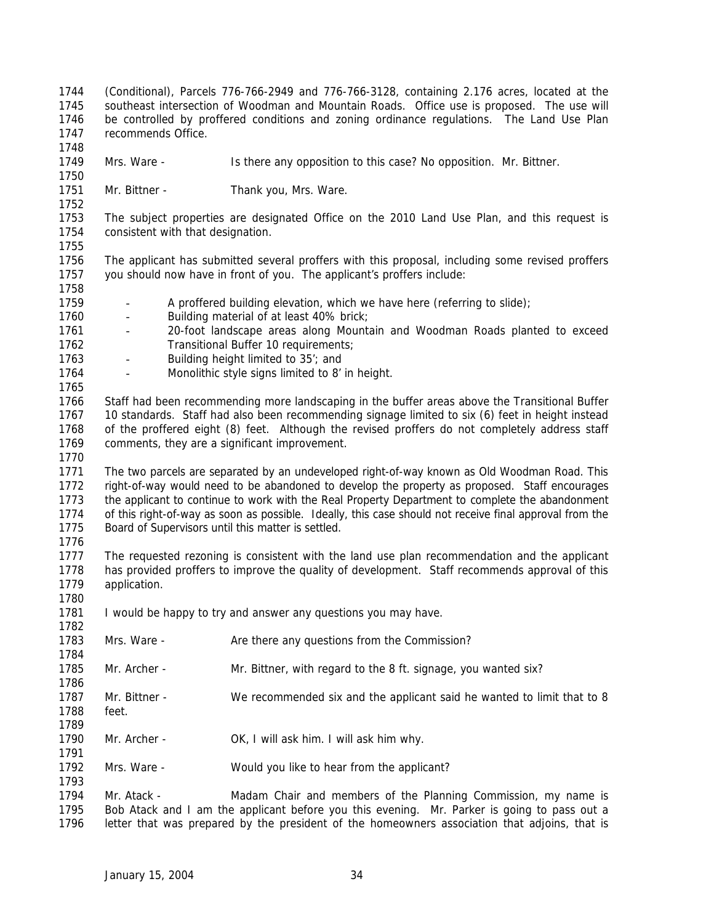- (Conditional), Parcels 776-766-2949 and 776-766-3128, containing 2.176 acres, located at the southeast intersection of Woodman and Mountain Roads. Office use is proposed. The use will be controlled by proffered conditions and zoning ordinance regulations. The Land Use Plan recommends Office.
- Mrs. Ware Is there any opposition to this case? No opposition. Mr. Bittner.
- 1751 Mr. Bittner Thank you, Mrs. Ware.

 The subject properties are designated Office on the 2010 Land Use Plan, and this request is consistent with that designation. 

- The applicant has submitted several proffers with this proposal, including some revised proffers you should now have in front of you. The applicant's proffers include:
- 1759 A proffered building elevation, which we have here (referring to slide);
- Building material of at least 40% brick;
- 20-foot landscape areas along Mountain and Woodman Roads planted to exceed 1762 Transitional Buffer 10 requirements;
- Building height limited to 35'; and
- Monolithic style signs limited to 8' in height.

 Staff had been recommending more landscaping in the buffer areas above the Transitional Buffer 10 standards. Staff had also been recommending signage limited to six (6) feet in height instead of the proffered eight (8) feet.Although the revised proffers do not completely address staff comments, they are a significant improvement. 

 The two parcels are separated by an undeveloped right-of-way known as Old Woodman Road. This right-of-way would need to be abandoned to develop the property as proposed. Staff encourages 1773 the applicant to continue to work with the Real Property Department to complete the abandonment of this right-of-way as soon as possible. Ideally, this case should not receive final approval from the Board of Supervisors until this matter is settled.

 The requested rezoning is consistent with the land use plan recommendation and the applicant has provided proffers to improve the quality of development. Staff recommends approval of this 1779 application.

- 1781 I would be happy to try and answer any questions you may have.
- 1783 Mrs. Ware Are there any questions from the Commission?
- Mr. Archer Mr. Bittner, with regard to the 8 ft. signage, you wanted six?
- Mr. Bittner We recommended six and the applicant said he wanted to limit that to 8 feet.
- Mr. Archer OK, I will ask him. I will ask him why.
- Mrs. Ware Would you like to hear from the applicant?

1794 Mr. Atack - Madam Chair and members of the Planning Commission, my name is Bob Atack and I am the applicant before you this evening. Mr. Parker is going to pass out a letter that was prepared by the president of the homeowners association that adjoins, that is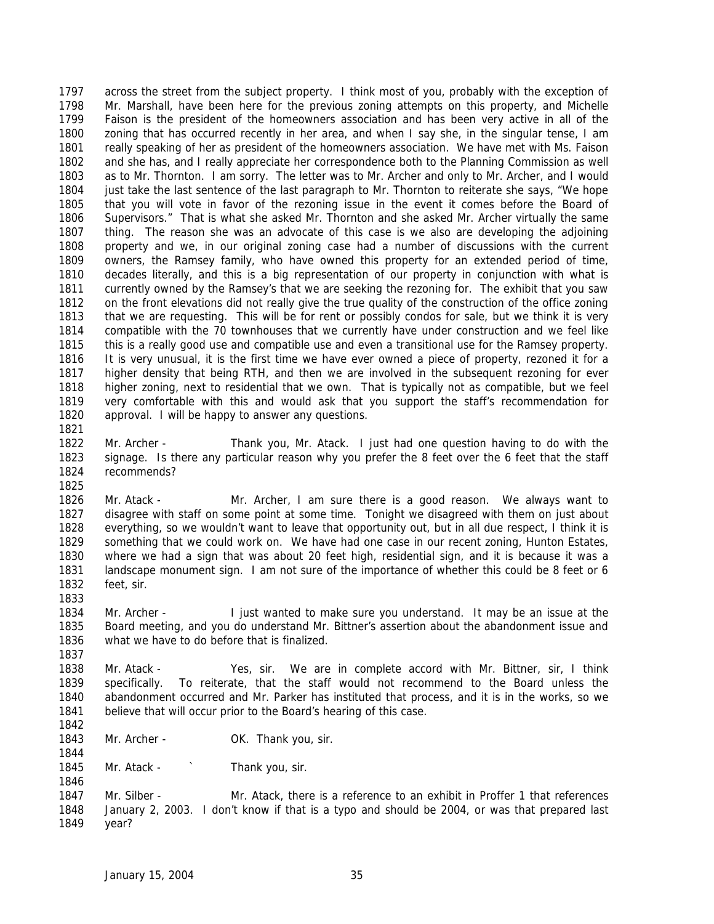across the street from the subject property. I think most of you, probably with the exception of Mr. Marshall, have been here for the previous zoning attempts on this property, and Michelle Faison is the president of the homeowners association and has been very active in all of the zoning that has occurred recently in her area, and when I say she, in the singular tense, I am really speaking of her as president of the homeowners association. We have met with Ms. Faison and she has, and I really appreciate her correspondence both to the Planning Commission as well as to Mr. Thornton. I am sorry. The letter was to Mr. Archer and only to Mr. Archer, and I would just take the last sentence of the last paragraph to Mr. Thornton to reiterate she says, "We hope that you will vote in favor of the rezoning issue in the event it comes before the Board of Supervisors." That is what she asked Mr. Thornton and she asked Mr. Archer virtually the same thing. The reason she was an advocate of this case is we also are developing the adjoining property and we, in our original zoning case had a number of discussions with the current owners, the Ramsey family, who have owned this property for an extended period of time, decades literally, and this is a big representation of our property in conjunction with what is currently owned by the Ramsey's that we are seeking the rezoning for. The exhibit that you saw on the front elevations did not really give the true quality of the construction of the office zoning that we are requesting. This will be for rent or possibly condos for sale, but we think it is very compatible with the 70 townhouses that we currently have under construction and we feel like this is a really good use and compatible use and even a transitional use for the Ramsey property. It is very unusual, it is the first time we have ever owned a piece of property, rezoned it for a higher density that being RTH, and then we are involved in the subsequent rezoning for ever higher zoning, next to residential that we own. That is typically not as compatible, but we feel very comfortable with this and would ask that you support the staff's recommendation for approval. I will be happy to answer any questions.

 Mr. Archer - Thank you, Mr. Atack. I just had one question having to do with the signage. Is there any particular reason why you prefer the 8 feet over the 6 feet that the staff recommends? 

- Mr. Atack Mr. Archer, I am sure there is a good reason. We always want to disagree with staff on some point at some time. Tonight we disagreed with them on just about everything, so we wouldn't want to leave that opportunity out, but in all due respect, I think it is something that we could work on. We have had one case in our recent zoning, Hunton Estates, where we had a sign that was about 20 feet high, residential sign, and it is because it was a landscape monument sign. I am not sure of the importance of whether this could be 8 feet or 6 feet, sir.
- Mr. Archer I just wanted to make sure you understand. It may be an issue at the Board meeting, and you do understand Mr. Bittner's assertion about the abandonment issue and what we have to do before that is finalized.
- Mr. Atack Yes, sir. We are in complete accord with Mr. Bittner, sir, I think specifically. To reiterate, that the staff would not recommend to the Board unless the abandonment occurred and Mr. Parker has instituted that process, and it is in the works, so we believe that will occur prior to the Board's hearing of this case.
- 

- 1843 Mr. Archer OK. Thank you, sir.
- 1845 Mr. Atack ` Thank you, sir.

1847 Mr. Silber - Mr. Atack, there is a reference to an exhibit in Proffer 1 that references January 2, 2003. I don't know if that is a typo and should be 2004, or was that prepared last year?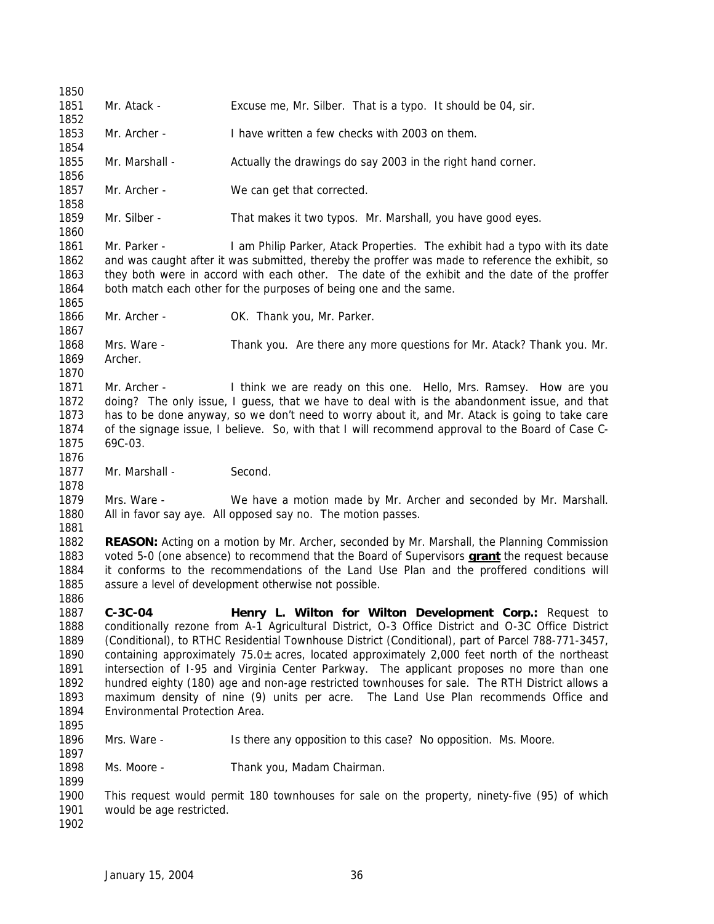Mr. Atack - Excuse me, Mr. Silber. That is a typo. It should be 04, sir. Mr. Archer - I have written a few checks with 2003 on them. Mr. Marshall - Actually the drawings do say 2003 in the right hand corner. 1857 Mr. Archer - We can get that corrected. Mr. Silber - That makes it two typos. Mr. Marshall, you have good eyes. Mr. Parker - I am Philip Parker, Atack Properties. The exhibit had a typo with its date and was caught after it was submitted, thereby the proffer was made to reference the exhibit, so they both were in accord with each other. The date of the exhibit and the date of the proffer both match each other for the purposes of being one and the same. 1866 Mr. Archer - OK. Thank you, Mr. Parker. Mrs. Ware - Thank you. Are there any more questions for Mr. Atack? Thank you. Mr. Archer. Mr. Archer - I think we are ready on this one. Hello, Mrs. Ramsey. How are you doing? The only issue, I guess, that we have to deal with is the abandonment issue, and that has to be done anyway, so we don't need to worry about it, and Mr. Atack is going to take care of the signage issue, I believe. So, with that I will recommend approval to the Board of Case C- 69C-03. 1877 Mr. Marshall - Second. Mrs. Ware - We have a motion made by Mr. Archer and seconded by Mr. Marshall. All in favor say aye. All opposed say no. The motion passes. **REASON:** Acting on a motion by Mr. Archer, seconded by Mr. Marshall, the Planning Commission voted 5-0 (one absence) to recommend that the Board of Supervisors **grant** the request because it conforms to the recommendations of the Land Use Plan and the proffered conditions will assure a level of development otherwise not possible. **C-3C-04 Henry L. Wilton for Wilton Development Corp.:** Request to conditionally rezone from A-1 Agricultural District, O-3 Office District and O-3C Office District (Conditional), to RTHC Residential Townhouse District (Conditional), part of Parcel 788-771-3457, containing approximately 75.0± acres, located approximately 2,000 feet north of the northeast intersection of I-95 and Virginia Center Parkway. The applicant proposes no more than one hundred eighty (180) age and non-age restricted townhouses for sale. The RTH District allows a maximum density of nine (9) units per acre. The Land Use Plan recommends Office and Environmental Protection Area. Mrs. Ware - Is there any opposition to this case? No opposition. Ms. Moore. Ms. Moore - Thank you, Madam Chairman. This request would permit 180 townhouses for sale on the property, ninety-five (95) of which would be age restricted.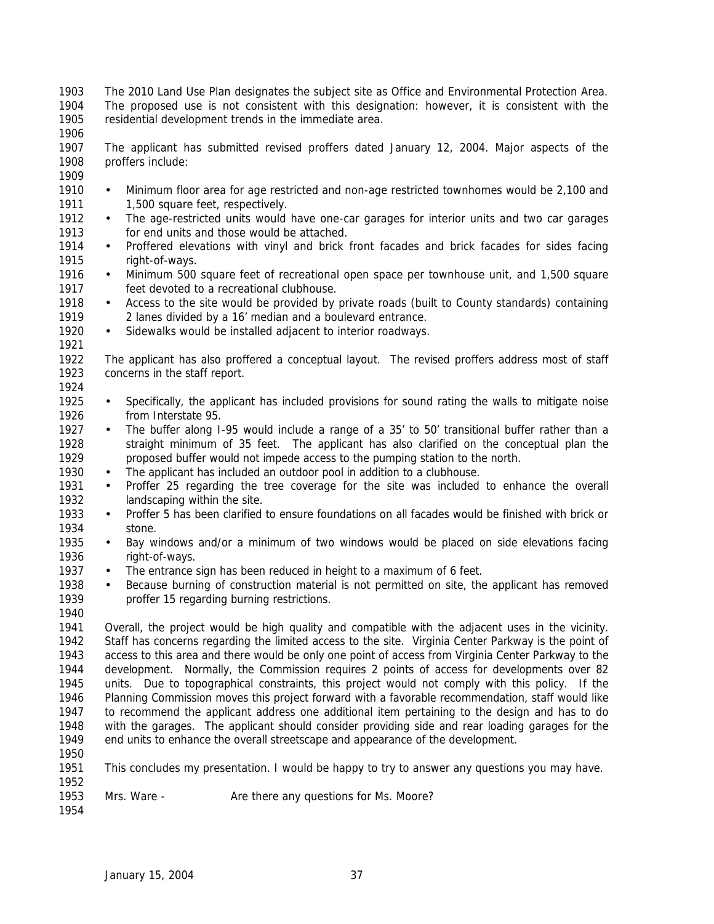The 2010 Land Use Plan designates the subject site as Office and Environmental Protection Area. The proposed use is not consistent with this designation: however, it is consistent with the residential development trends in the immediate area.

 The applicant has submitted revised proffers dated January 12, 2004. Major aspects of the proffers include:

- 
- 1910 Minimum floor area for age restricted and non-age restricted townhomes would be 2,100 and 1911 1,500 square feet, respectively.
- 1912 The age-restricted units would have one-car garages for interior units and two car garages for end units and those would be attached.
- Proffered elevations with vinyl and brick front facades and brick facades for sides facing right-of-ways.
- 1916 Minimum 500 square feet of recreational open space per townhouse unit, and 1,500 square feet devoted to a recreational clubhouse.
- 1918 Access to the site would be provided by private roads (built to County standards) containing 2 lanes divided by a 16' median and a boulevard entrance.
- 1920 Sidewalks would be installed adjacent to interior roadways.
- The applicant has also proffered a conceptual layout. The revised proffers address most of staff concerns in the staff report.
- 

- Specifically, the applicant has included provisions for sound rating the walls to mitigate noise from Interstate 95.
- 1927 The buffer along I-95 would include a range of a 35' to 50' transitional buffer rather than a straight minimum of 35 feet. The applicant has also clarified on the conceptual plan the proposed buffer would not impede access to the pumping station to the north.
- The applicant has included an outdoor pool in addition to a clubhouse.
- Proffer 25 regarding the tree coverage for the site was included to enhance the overall landscaping within the site.
- Proffer 5 has been clarified to ensure foundations on all facades would be finished with brick or stone.
- Bay windows and/or a minimum of two windows would be placed on side elevations facing right-of-ways.
- 1937 The entrance sign has been reduced in height to a maximum of 6 feet.
- Because burning of construction material is not permitted on site, the applicant has removed proffer 15 regarding burning restrictions.
- Overall, the project would be high quality and compatible with the adjacent uses in the vicinity. Staff has concerns regarding the limited access to the site. Virginia Center Parkway is the point of access to this area and there would be only one point of access from Virginia Center Parkway to the development. Normally, the Commission requires 2 points of access for developments over 82 units. Due to topographical constraints, this project would not comply with this policy. If the Planning Commission moves this project forward with a favorable recommendation, staff would like to recommend the applicant address one additional item pertaining to the design and has to do with the garages. The applicant should consider providing side and rear loading garages for the end units to enhance the overall streetscape and appearance of the development.
- 

- This concludes my presentation. I would be happy to try to answer any questions you may have.
- 1953 Mrs. Ware Are there any questions for Ms. Moore?
-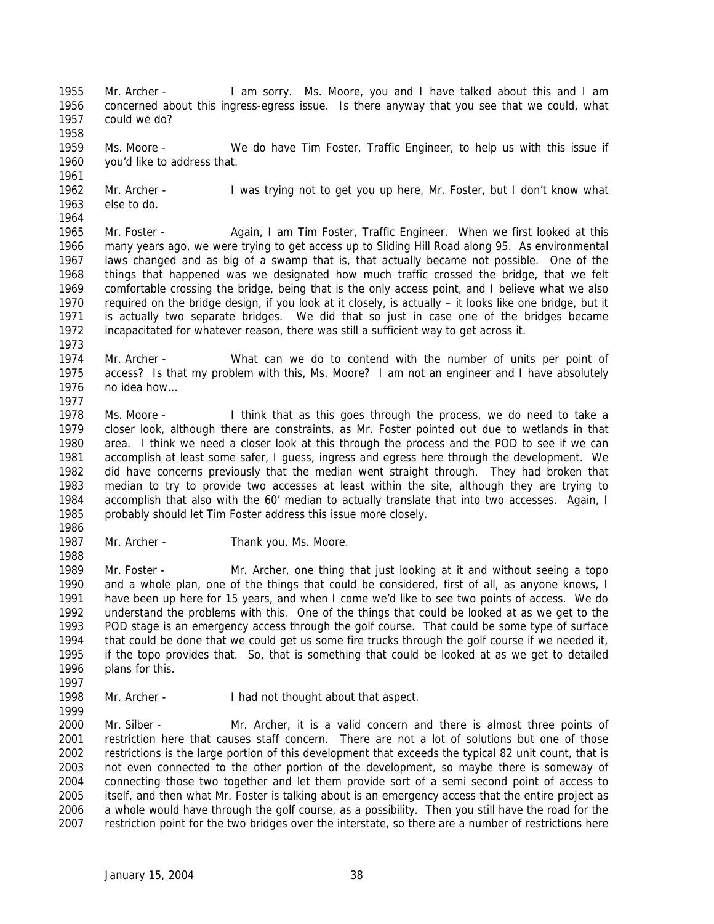Mr. Archer - I am sorry. Ms. Moore, you and I have talked about this and I am concerned about this ingress-egress issue. Is there anyway that you see that we could, what could we do? 

 Ms. Moore - We do have Tim Foster, Traffic Engineer, to help us with this issue if you'd like to address that.

 Mr. Archer - I was trying not to get you up here, Mr. Foster, but I don't know what else to do. 

 Mr. Foster - Again, I am Tim Foster, Traffic Engineer. When we first looked at this many years ago, we were trying to get access up to Sliding Hill Road along 95. As environmental laws changed and as big of a swamp that is, that actually became not possible. One of the things that happened was we designated how much traffic crossed the bridge, that we felt comfortable crossing the bridge, being that is the only access point, and I believe what we also required on the bridge design, if you look at it closely, is actually – it looks like one bridge, but it is actually two separate bridges. We did that so just in case one of the bridges became incapacitated for whatever reason, there was still a sufficient way to get across it.

 Mr. Archer - What can we do to contend with the number of units per point of access? Is that my problem with this, Ms. Moore? I am not an engineer and I have absolutely no idea how…

 Ms. Moore - I think that as this goes through the process, we do need to take a closer look, although there are constraints, as Mr. Foster pointed out due to wetlands in that area. I think we need a closer look at this through the process and the POD to see if we can accomplish at least some safer, I guess, ingress and egress here through the development. We did have concerns previously that the median went straight through. They had broken that median to try to provide two accesses at least within the site, although they are trying to accomplish that also with the 60' median to actually translate that into two accesses. Again, I probably should let Tim Foster address this issue more closely.

1987 Mr. Archer - Thank you, Ms. Moore.

 Mr. Foster - Mr. Archer, one thing that just looking at it and without seeing a topo and a whole plan, one of the things that could be considered, first of all, as anyone knows, I have been up here for 15 years, and when I come we'd like to see two points of access. We do understand the problems with this. One of the things that could be looked at as we get to the POD stage is an emergency access through the golf course. That could be some type of surface that could be done that we could get us some fire trucks through the golf course if we needed it, if the topo provides that. So, that is something that could be looked at as we get to detailed plans for this. 

Mr. Archer - I had not thought about that aspect.

 Mr. Silber - Mr. Archer, it is a valid concern and there is almost three points of restriction here that causes staff concern. There are not a lot of solutions but one of those restrictions is the large portion of this development that exceeds the typical 82 unit count, that is not even connected to the other portion of the development, so maybe there is someway of connecting those two together and let them provide sort of a semi second point of access to itself, and then what Mr. Foster is talking about is an emergency access that the entire project as a whole would have through the golf course, as a possibility. Then you still have the road for the restriction point for the two bridges over the interstate, so there are a number of restrictions here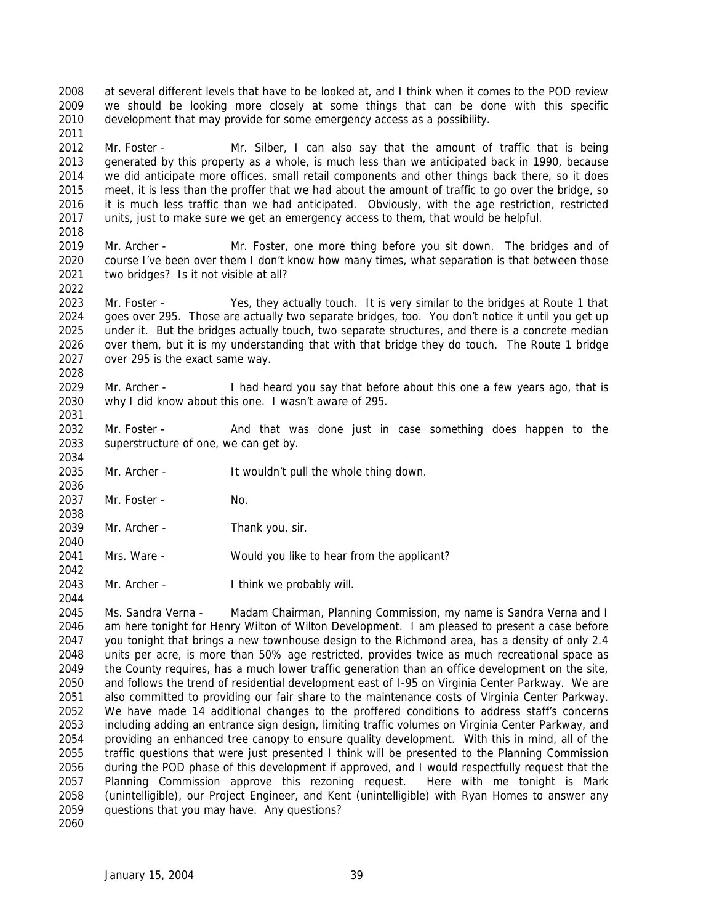at several different levels that have to be looked at, and I think when it comes to the POD review we should be looking more closely at some things that can be done with this specific development that may provide for some emergency access as a possibility.

 Mr. Foster - Mr. Silber, I can also say that the amount of traffic that is being generated by this property as a whole, is much less than we anticipated back in 1990, because we did anticipate more offices, small retail components and other things back there, so it does meet, it is less than the proffer that we had about the amount of traffic to go over the bridge, so it is much less traffic than we had anticipated. Obviously, with the age restriction, restricted units, just to make sure we get an emergency access to them, that would be helpful.

 Mr. Archer - Mr. Foster, one more thing before you sit down. The bridges and of course I've been over them I don't know how many times, what separation is that between those two bridges? Is it not visible at all?

 Mr. Foster - Yes, they actually touch. It is very similar to the bridges at Route 1 that goes over 295. Those are actually two separate bridges, too. You don't notice it until you get up under it. But the bridges actually touch, two separate structures, and there is a concrete median over them, but it is my understanding that with that bridge they do touch. The Route 1 bridge over 295 is the exact same way. 

- Mr. Archer I had heard you say that before about this one a few years ago, that is why I did know about this one. I wasn't aware of 295.
- 2032 Mr. Foster And that was done just in case something does happen to the superstructure of one, we can get by.
- Mr. Archer It wouldn't pull the whole thing down.
- Mr. Foster No.

- 2039 Mr. Archer Thank you, sir.
- Mrs. Ware Would you like to hear from the applicant?
- 2043 Mr. Archer I think we probably will.

 Ms. Sandra Verna - Madam Chairman, Planning Commission, my name is Sandra Verna and I am here tonight for Henry Wilton of Wilton Development. I am pleased to present a case before you tonight that brings a new townhouse design to the Richmond area, has a density of only 2.4 units per acre, is more than 50% age restricted, provides twice as much recreational space as the County requires, has a much lower traffic generation than an office development on the site, and follows the trend of residential development east of I-95 on Virginia Center Parkway. We are also committed to providing our fair share to the maintenance costs of Virginia Center Parkway. We have made 14 additional changes to the proffered conditions to address staff's concerns including adding an entrance sign design, limiting traffic volumes on Virginia Center Parkway, and providing an enhanced tree canopy to ensure quality development. With this in mind, all of the traffic questions that were just presented I think will be presented to the Planning Commission during the POD phase of this development if approved, and I would respectfully request that the Planning Commission approve this rezoning request. Here with me tonight is Mark (unintelligible), our Project Engineer, and Kent (unintelligible) with Ryan Homes to answer any questions that you may have. Any questions? 

January 15, 2004 39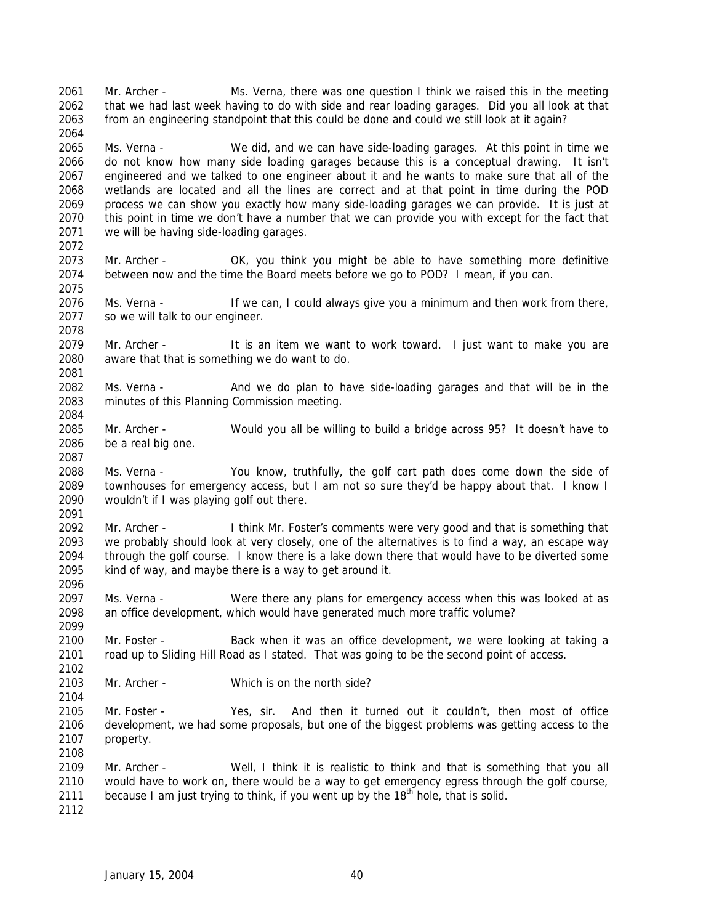Mr. Archer - Ms. Verna, there was one question I think we raised this in the meeting that we had last week having to do with side and rear loading garages. Did you all look at that from an engineering standpoint that this could be done and could we still look at it again?

 Ms. Verna - We did, and we can have side-loading garages. At this point in time we do not know how many side loading garages because this is a conceptual drawing. It isn't engineered and we talked to one engineer about it and he wants to make sure that all of the wetlands are located and all the lines are correct and at that point in time during the POD process we can show you exactly how many side-loading garages we can provide. It is just at this point in time we don't have a number that we can provide you with except for the fact that we will be having side-loading garages.

 Mr. Archer - OK, you think you might be able to have something more definitive between now and the time the Board meets before we go to POD? I mean, if you can.

 Ms. Verna - If we can, I could always give you a minimum and then work from there, so we will talk to our engineer.

 Mr. Archer - It is an item we want to work toward. I just want to make you are aware that that is something we do want to do.

 Ms. Verna - And we do plan to have side-loading garages and that will be in the minutes of this Planning Commission meeting.

 Mr. Archer - Would you all be willing to build a bridge across 95? It doesn't have to be a real big one.

 Ms. Verna - You know, truthfully, the golf cart path does come down the side of townhouses for emergency access, but I am not so sure they'd be happy about that. I know I wouldn't if I was playing golf out there. 

 Mr. Archer - I think Mr. Foster's comments were very good and that is something that we probably should look at very closely, one of the alternatives is to find a way, an escape way through the golf course. I know there is a lake down there that would have to be diverted some kind of way, and maybe there is a way to get around it.

 Ms. Verna - Were there any plans for emergency access when this was looked at as an office development, which would have generated much more traffic volume?

 Mr. Foster - Back when it was an office development, we were looking at taking a road up to Sliding Hill Road as I stated. That was going to be the second point of access.

Mr. Archer - Which is on the north side?

 Mr. Foster - Yes, sir. And then it turned out it couldn't, then most of office development, we had some proposals, but one of the biggest problems was getting access to the property. 

 Mr. Archer - Well, I think it is realistic to think and that is something that you all would have to work on, there would be a way to get emergency egress through the golf course, 2111 because I am just trying to think, if you went up by the  $18<sup>th</sup>$  hole, that is solid.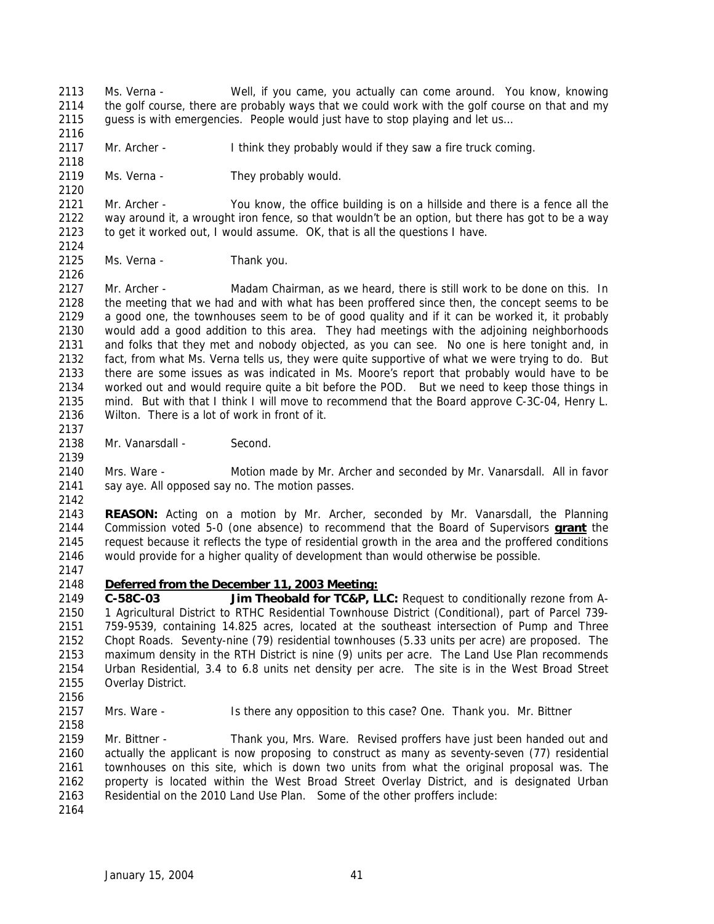- Ms. Verna Well, if you came, you actually can come around. You know, knowing the golf course, there are probably ways that we could work with the golf course on that and my guess is with emergencies. People would just have to stop playing and let us…
- Mr. Archer I think they probably would if they saw a fire truck coming.
- 2119 Ms. Verna They probably would.

 Mr. Archer - You know, the office building is on a hillside and there is a fence all the way around it, a wrought iron fence, so that wouldn't be an option, but there has got to be a way to get it worked out, I would assume. OK, that is all the questions I have.

2125 Ms. Verna - Thank you.

 Mr. Archer - Madam Chairman, as we heard, there is still work to be done on this. In the meeting that we had and with what has been proffered since then, the concept seems to be a good one, the townhouses seem to be of good quality and if it can be worked it, it probably would add a good addition to this area. They had meetings with the adjoining neighborhoods and folks that they met and nobody objected, as you can see. No one is here tonight and, in fact, from what Ms. Verna tells us, they were quite supportive of what we were trying to do. But there are some issues as was indicated in Ms. Moore's report that probably would have to be worked out and would require quite a bit before the POD. But we need to keep those things in mind. But with that I think I will move to recommend that the Board approve C-3C-04, Henry L. Wilton. There is a lot of work in front of it.

2138 Mr. Vanarsdall - Second.

 Mrs. Ware - Motion made by Mr. Archer and seconded by Mr. Vanarsdall. All in favor say aye. All opposed say no. The motion passes.

 **REASON:** Acting on a motion by Mr. Archer, seconded by Mr. Vanarsdall, the Planning Commission voted 5-0 (one absence) to recommend that the Board of Supervisors **grant** the request because it reflects the type of residential growth in the area and the proffered conditions would provide for a higher quality of development than would otherwise be possible.

#### *Deferred from the December 11, 2003 Meeting:*

 **C-58C-03 Jim Theobald for TC&P, LLC:** Request to conditionally rezone from A- 1 Agricultural District to RTHC Residential Townhouse District (Conditional), part of Parcel 739- 759-9539, containing 14.825 acres, located at the southeast intersection of Pump and Three Chopt Roads. Seventy-nine (79) residential townhouses (5.33 units per acre) are proposed. The maximum density in the RTH District is nine (9) units per acre. The Land Use Plan recommends Urban Residential, 3.4 to 6.8 units net density per acre. The site is in the West Broad Street Overlay District.

Mrs. Ware - Is there any opposition to this case? One. Thank you. Mr. Bittner

 Mr. Bittner - Thank you, Mrs. Ware. Revised proffers have just been handed out and actually the applicant is now proposing to construct as many as seventy-seven (77) residential townhouses on this site, which is down two units from what the original proposal was. The property is located within the West Broad Street Overlay District, and is designated Urban Residential on the 2010 Land Use Plan. Some of the other proffers include: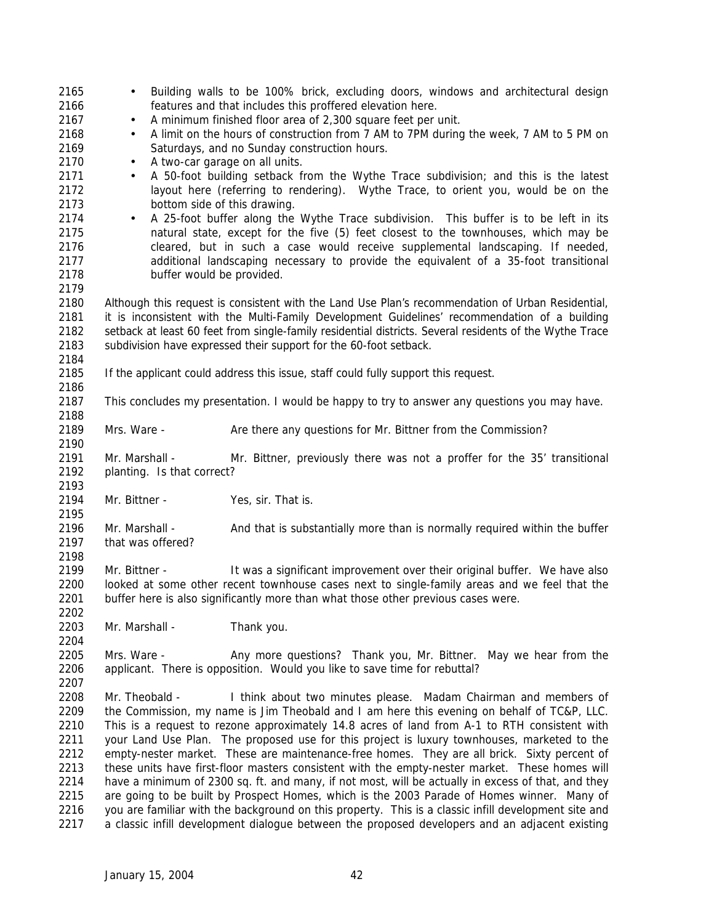| $\bullet$<br>$\bullet$                                                                                                                                                                                                                                                                                                                                                                                                                                                                                                                                                                                                                                                                                                                                                                                                                                                                                                                                                                        | Building walls to be 100% brick, excluding doors, windows and architectural design<br>features and that includes this proffered elevation here.<br>A minimum finished floor area of 2,300 square feet per unit.<br>A limit on the hours of construction from 7 AM to 7PM during the week, 7 AM to 5 PM on |  |
|-----------------------------------------------------------------------------------------------------------------------------------------------------------------------------------------------------------------------------------------------------------------------------------------------------------------------------------------------------------------------------------------------------------------------------------------------------------------------------------------------------------------------------------------------------------------------------------------------------------------------------------------------------------------------------------------------------------------------------------------------------------------------------------------------------------------------------------------------------------------------------------------------------------------------------------------------------------------------------------------------|-----------------------------------------------------------------------------------------------------------------------------------------------------------------------------------------------------------------------------------------------------------------------------------------------------------|--|
| Saturdays, and no Sunday construction hours.<br>A two-car garage on all units.<br>$\bullet$<br>A 50-foot building setback from the Wythe Trace subdivision; and this is the latest<br>$\bullet$<br>layout here (referring to rendering). Wythe Trace, to orient you, would be on the<br>bottom side of this drawing.                                                                                                                                                                                                                                                                                                                                                                                                                                                                                                                                                                                                                                                                          |                                                                                                                                                                                                                                                                                                           |  |
| A 25-foot buffer along the Wythe Trace subdivision. This buffer is to be left in its<br>$\bullet$<br>natural state, except for the five (5) feet closest to the townhouses, which may be<br>cleared, but in such a case would receive supplemental landscaping. If needed,<br>additional landscaping necessary to provide the equivalent of a 35-foot transitional<br>buffer would be provided.                                                                                                                                                                                                                                                                                                                                                                                                                                                                                                                                                                                               |                                                                                                                                                                                                                                                                                                           |  |
| 2179<br>2180<br>Although this request is consistent with the Land Use Plan's recommendation of Urban Residential,<br>it is inconsistent with the Multi-Family Development Guidelines' recommendation of a building<br>2182<br>setback at least 60 feet from single-family residential districts. Several residents of the Wythe Trace<br>2183<br>subdivision have expressed their support for the 60-foot setback.<br>2184                                                                                                                                                                                                                                                                                                                                                                                                                                                                                                                                                                    |                                                                                                                                                                                                                                                                                                           |  |
| If the applicant could address this issue, staff could fully support this request.                                                                                                                                                                                                                                                                                                                                                                                                                                                                                                                                                                                                                                                                                                                                                                                                                                                                                                            |                                                                                                                                                                                                                                                                                                           |  |
|                                                                                                                                                                                                                                                                                                                                                                                                                                                                                                                                                                                                                                                                                                                                                                                                                                                                                                                                                                                               | This concludes my presentation. I would be happy to try to answer any questions you may have.<br>Are there any questions for Mr. Bittner from the Commission?                                                                                                                                             |  |
| Mr. Marshall -<br>planting. Is that correct?                                                                                                                                                                                                                                                                                                                                                                                                                                                                                                                                                                                                                                                                                                                                                                                                                                                                                                                                                  | Mr. Bittner, previously there was not a proffer for the 35' transitional                                                                                                                                                                                                                                  |  |
| Mr. Bittner -                                                                                                                                                                                                                                                                                                                                                                                                                                                                                                                                                                                                                                                                                                                                                                                                                                                                                                                                                                                 | Yes, sir. That is.                                                                                                                                                                                                                                                                                        |  |
| Mr. Marshall -<br>that was offered?                                                                                                                                                                                                                                                                                                                                                                                                                                                                                                                                                                                                                                                                                                                                                                                                                                                                                                                                                           | And that is substantially more than is normally required within the buffer                                                                                                                                                                                                                                |  |
| Mr. Bittner -                                                                                                                                                                                                                                                                                                                                                                                                                                                                                                                                                                                                                                                                                                                                                                                                                                                                                                                                                                                 | It was a significant improvement over their original buffer. We have also<br>looked at some other recent townhouse cases next to single-family areas and we feel that the<br>buffer here is also significantly more than what those other previous cases were.                                            |  |
| Mr. Marshall -                                                                                                                                                                                                                                                                                                                                                                                                                                                                                                                                                                                                                                                                                                                                                                                                                                                                                                                                                                                | Thank you.                                                                                                                                                                                                                                                                                                |  |
| Mrs. Ware -                                                                                                                                                                                                                                                                                                                                                                                                                                                                                                                                                                                                                                                                                                                                                                                                                                                                                                                                                                                   | Any more questions? Thank you, Mr. Bittner.<br>May we hear from the<br>applicant. There is opposition. Would you like to save time for rebuttal?                                                                                                                                                          |  |
| Mr. Theobald -<br>I think about two minutes please. Madam Chairman and members of<br>the Commission, my name is Jim Theobald and I am here this evening on behalf of TC&P, LLC.<br>This is a request to rezone approximately 14.8 acres of land from A-1 to RTH consistent with<br>your Land Use Plan. The proposed use for this project is luxury townhouses, marketed to the<br>empty-nester market. These are maintenance-free homes. They are all brick. Sixty percent of<br>these units have first-floor masters consistent with the empty-nester market. These homes will<br>have a minimum of 2300 sq. ft. and many, if not most, will be actually in excess of that, and they<br>are going to be built by Prospect Homes, which is the 2003 Parade of Homes winner. Many of<br>you are familiar with the background on this property. This is a classic infill development site and<br>a classic infill development dialogue between the proposed developers and an adjacent existing |                                                                                                                                                                                                                                                                                                           |  |
|                                                                                                                                                                                                                                                                                                                                                                                                                                                                                                                                                                                                                                                                                                                                                                                                                                                                                                                                                                                               | Mrs. Ware -                                                                                                                                                                                                                                                                                               |  |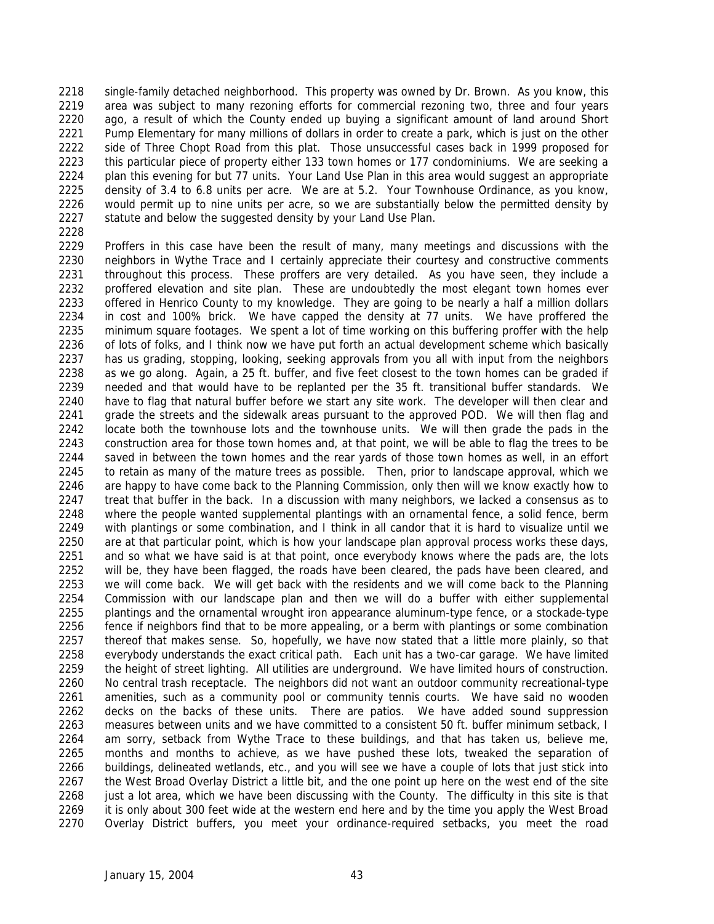single-family detached neighborhood. This property was owned by Dr. Brown. As you know, this area was subject to many rezoning efforts for commercial rezoning two, three and four years ago, a result of which the County ended up buying a significant amount of land around Short Pump Elementary for many millions of dollars in order to create a park, which is just on the other side of Three Chopt Road from this plat. Those unsuccessful cases back in 1999 proposed for this particular piece of property either 133 town homes or 177 condominiums. We are seeking a plan this evening for but 77 units. Your Land Use Plan in this area would suggest an appropriate density of 3.4 to 6.8 units per acre. We are at 5.2. Your Townhouse Ordinance, as you know, would permit up to nine units per acre, so we are substantially below the permitted density by statute and below the suggested density by your Land Use Plan.

 Proffers in this case have been the result of many, many meetings and discussions with the neighbors in Wythe Trace and I certainly appreciate their courtesy and constructive comments throughout this process. These proffers are very detailed. As you have seen, they include a proffered elevation and site plan. These are undoubtedly the most elegant town homes ever offered in Henrico County to my knowledge. They are going to be nearly a half a million dollars in cost and 100% brick. We have capped the density at 77 units. We have proffered the minimum square footages. We spent a lot of time working on this buffering proffer with the help of lots of folks, and I think now we have put forth an actual development scheme which basically has us grading, stopping, looking, seeking approvals from you all with input from the neighbors as we go along. Again, a 25 ft. buffer, and five feet closest to the town homes can be graded if needed and that would have to be replanted per the 35 ft. transitional buffer standards. We have to flag that natural buffer before we start any site work. The developer will then clear and grade the streets and the sidewalk areas pursuant to the approved POD. We will then flag and locate both the townhouse lots and the townhouse units. We will then grade the pads in the construction area for those town homes and, at that point, we will be able to flag the trees to be saved in between the town homes and the rear yards of those town homes as well, in an effort to retain as many of the mature trees as possible. Then, prior to landscape approval, which we are happy to have come back to the Planning Commission, only then will we know exactly how to 2247 treat that buffer in the back. In a discussion with many neighbors, we lacked a consensus as to where the people wanted supplemental plantings with an ornamental fence, a solid fence, berm with plantings or some combination, and I think in all candor that it is hard to visualize until we are at that particular point, which is how your landscape plan approval process works these days, and so what we have said is at that point, once everybody knows where the pads are, the lots will be, they have been flagged, the roads have been cleared, the pads have been cleared, and we will come back. We will get back with the residents and we will come back to the Planning Commission with our landscape plan and then we will do a buffer with either supplemental plantings and the ornamental wrought iron appearance aluminum-type fence, or a stockade-type fence if neighbors find that to be more appealing, or a berm with plantings or some combination thereof that makes sense. So, hopefully, we have now stated that a little more plainly, so that everybody understands the exact critical path. Each unit has a two-car garage. We have limited the height of street lighting. All utilities are underground. We have limited hours of construction. No central trash receptacle. The neighbors did not want an outdoor community recreational-type amenities, such as a community pool or community tennis courts. We have said no wooden decks on the backs of these units. There are patios. We have added sound suppression 2263 measures between units and we have committed to a consistent 50 ft. buffer minimum setback, I am sorry, setback from Wythe Trace to these buildings, and that has taken us, believe me, months and months to achieve, as we have pushed these lots, tweaked the separation of buildings, delineated wetlands, etc., and you will see we have a couple of lots that just stick into the West Broad Overlay District a little bit, and the one point up here on the west end of the site 2268 just a lot area, which we have been discussing with the County. The difficulty in this site is that it is only about 300 feet wide at the western end here and by the time you apply the West Broad Overlay District buffers, you meet your ordinance-required setbacks, you meet the road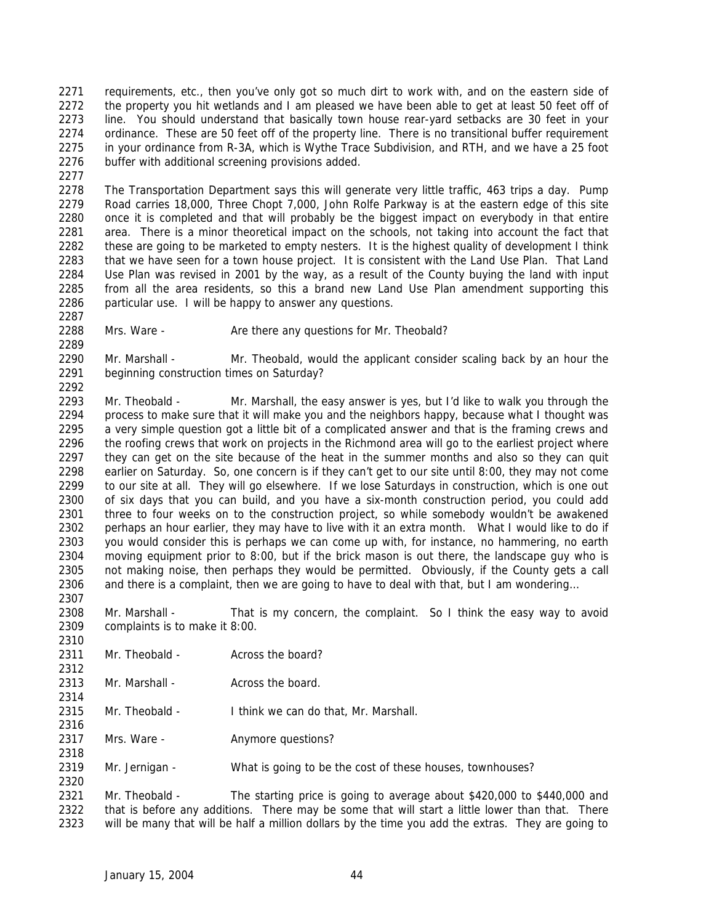2271 requirements, etc., then you've only got so much dirt to work with, and on the eastern side of 2272 the property you hit wetlands and I am pleased we have been able to get at least 50 feet off of line. You should understand that basically town house rear-yard setbacks are 30 feet in your ordinance. These are 50 feet off of the property line. There is no transitional buffer requirement in your ordinance from R-3A, which is Wythe Trace Subdivision, and RTH, and we have a 25 foot buffer with additional screening provisions added.

 The Transportation Department says this will generate very little traffic, 463 trips a day. Pump Road carries 18,000, Three Chopt 7,000, John Rolfe Parkway is at the eastern edge of this site once it is completed and that will probably be the biggest impact on everybody in that entire area. There is a minor theoretical impact on the schools, not taking into account the fact that these are going to be marketed to empty nesters. It is the highest quality of development I think that we have seen for a town house project. It is consistent with the Land Use Plan. That Land Use Plan was revised in 2001 by the way, as a result of the County buying the land with input from all the area residents, so this a brand new Land Use Plan amendment supporting this particular use. I will be happy to answer any questions.

2288 Mrs. Ware - Are there any questions for Mr. Theobald?

2290 Mr. Marshall - Mr. Theobald, would the applicant consider scaling back by an hour the beginning construction times on Saturday? 

 Mr. Theobald - Mr. Marshall, the easy answer is yes, but I'd like to walk you through the process to make sure that it will make you and the neighbors happy, because what I thought was a very simple question got a little bit of a complicated answer and that is the framing crews and 2296 the roofing crews that work on projects in the Richmond area will go to the earliest project where they can get on the site because of the heat in the summer months and also so they can quit earlier on Saturday. So, one concern is if they can't get to our site until 8:00, they may not come to our site at all. They will go elsewhere. If we lose Saturdays in construction, which is one out of six days that you can build, and you have a six-month construction period, you could add three to four weeks on to the construction project, so while somebody wouldn't be awakened perhaps an hour earlier, they may have to live with it an extra month. What I would like to do if you would consider this is perhaps we can come up with, for instance, no hammering, no earth moving equipment prior to 8:00, but if the brick mason is out there, the landscape guy who is not making noise, then perhaps they would be permitted. Obviously, if the County gets a call and there is a complaint, then we are going to have to deal with that, but I am wondering…

 Mr. Marshall - That is my concern, the complaint. So I think the easy way to avoid complaints is to make it 8:00.

- 2311 Mr. Theobald - Across the board?
- 2313 Mr. Marshall Across the board.
- Mr. Theobald I think we can do that, Mr. Marshall.
- 2317 Mrs. Ware **Anymore questions?**
- Mr. Jernigan What is going to be the cost of these houses, townhouses?

 Mr. Theobald - The starting price is going to average about \$420,000 to \$440,000 and that is before any additions. There may be some that will start a little lower than that. There will be many that will be half a million dollars by the time you add the extras. They are going to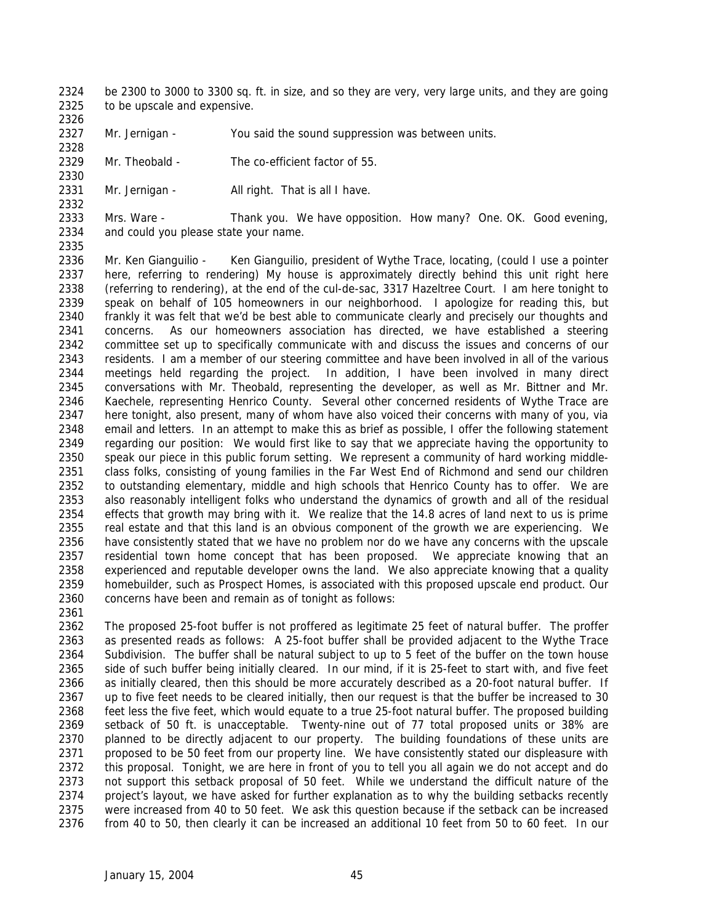- be 2300 to 3000 to 3300 sq. ft. in size, and so they are very, very large units, and they are going 2325 to be upscale and expensive.
- 

Mr. Jernigan - You said the sound suppression was between units.

 Mr. Theobald - The co-efficient factor of 55. 

2331 Mr. Jernigan - All right. That is all I have.

 Mrs. Ware - Thank you. We have opposition. How many? One. OK. Good evening, and could you please state your name.

 Mr. Ken Gianguilio - Ken Gianguilio, president of Wythe Trace, locating, (could I use a pointer here, referring to rendering) My house is approximately directly behind this unit right here (referring to rendering), at the end of the cul-de-sac, 3317 Hazeltree Court. I am here tonight to speak on behalf of 105 homeowners in our neighborhood. I apologize for reading this, but frankly it was felt that we'd be best able to communicate clearly and precisely our thoughts and concerns. As our homeowners association has directed, we have established a steering committee set up to specifically communicate with and discuss the issues and concerns of our residents. I am a member of our steering committee and have been involved in all of the various meetings held regarding the project. In addition, I have been involved in many direct conversations with Mr. Theobald, representing the developer, as well as Mr. Bittner and Mr. Kaechele, representing Henrico County. Several other concerned residents of Wythe Trace are here tonight, also present, many of whom have also voiced their concerns with many of you, via email and letters. In an attempt to make this as brief as possible, I offer the following statement regarding our position: We would first like to say that we appreciate having the opportunity to speak our piece in this public forum setting. We represent a community of hard working middle- class folks, consisting of young families in the Far West End of Richmond and send our children to outstanding elementary, middle and high schools that Henrico County has to offer. We are also reasonably intelligent folks who understand the dynamics of growth and all of the residual effects that growth may bring with it. We realize that the 14.8 acres of land next to us is prime real estate and that this land is an obvious component of the growth we are experiencing. We have consistently stated that we have no problem nor do we have any concerns with the upscale residential town home concept that has been proposed. We appreciate knowing that an experienced and reputable developer owns the land. We also appreciate knowing that a quality homebuilder, such as Prospect Homes, is associated with this proposed upscale end product. Our concerns have been and remain as of tonight as follows:

 The proposed 25-foot buffer is not proffered as legitimate 25 feet of natural buffer. The proffer as presented reads as follows: A 25-foot buffer shall be provided adjacent to the Wythe Trace Subdivision. The buffer shall be natural subject to up to 5 feet of the buffer on the town house side of such buffer being initially cleared. In our mind, if it is 25-feet to start with, and five feet as initially cleared, then this should be more accurately described as a 20-foot natural buffer. If up to five feet needs to be cleared initially, then our request is that the buffer be increased to 30 feet less the five feet, which would equate to a true 25-foot natural buffer. The proposed building setback of 50 ft. is unacceptable. Twenty-nine out of 77 total proposed units or 38% are planned to be directly adjacent to our property. The building foundations of these units are 2371 proposed to be 50 feet from our property line. We have consistently stated our displeasure with this proposal. Tonight, we are here in front of you to tell you all again we do not accept and do not support this setback proposal of 50 feet. While we understand the difficult nature of the project's layout, we have asked for further explanation as to why the building setbacks recently were increased from 40 to 50 feet. We ask this question because if the setback can be increased from 40 to 50, then clearly it can be increased an additional 10 feet from 50 to 60 feet. In our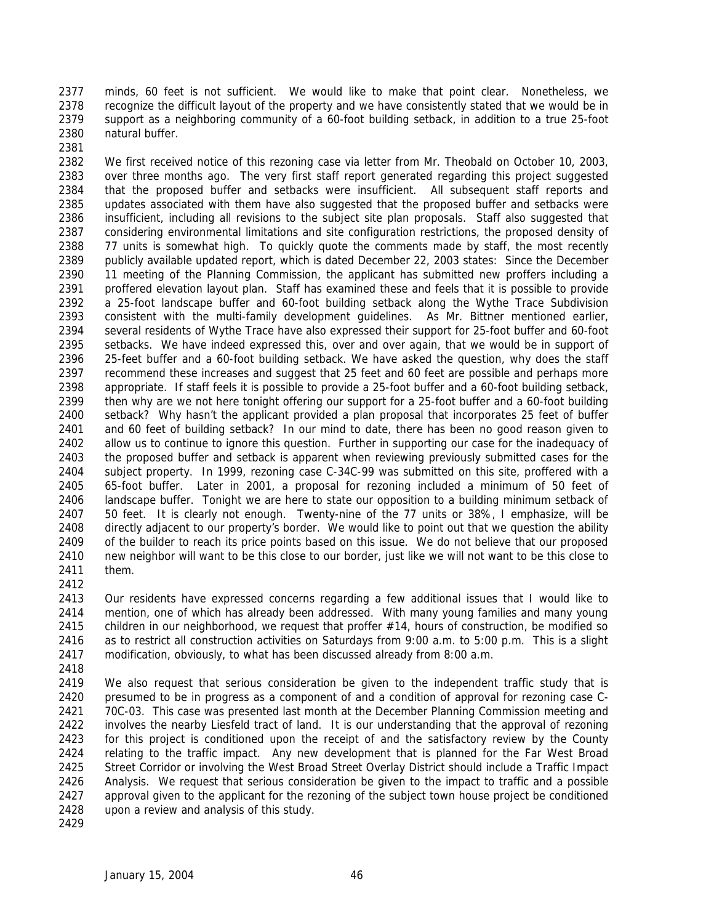minds, 60 feet is not sufficient. We would like to make that point clear. Nonetheless, we recognize the difficult layout of the property and we have consistently stated that we would be in support as a neighboring community of a 60-foot building setback, in addition to a true 25-foot natural buffer.

 We first received notice of this rezoning case via letter from Mr. Theobald on October 10, 2003, over three months ago. The very first staff report generated regarding this project suggested that the proposed buffer and setbacks were insufficient. All subsequent staff reports and updates associated with them have also suggested that the proposed buffer and setbacks were insufficient, including all revisions to the subject site plan proposals. Staff also suggested that considering environmental limitations and site configuration restrictions, the proposed density of 77 units is somewhat high. To quickly quote the comments made by staff, the most recently publicly available updated report, which is dated December 22, 2003 states: Since the December 11 meeting of the Planning Commission, the applicant has submitted new proffers including a proffered elevation layout plan. Staff has examined these and feels that it is possible to provide a 25-foot landscape buffer and 60-foot building setback along the Wythe Trace Subdivision consistent with the multi-family development guidelines. As Mr. Bittner mentioned earlier, several residents of Wythe Trace have also expressed their support for 25-foot buffer and 60-foot setbacks. We have indeed expressed this, over and over again, that we would be in support of 25-feet buffer and a 60-foot building setback. We have asked the question, why does the staff recommend these increases and suggest that 25 feet and 60 feet are possible and perhaps more appropriate. If staff feels it is possible to provide a 25-foot buffer and a 60-foot building setback, then why are we not here tonight offering our support for a 25-foot buffer and a 60-foot building setback? Why hasn't the applicant provided a plan proposal that incorporates 25 feet of buffer and 60 feet of building setback? In our mind to date, there has been no good reason given to allow us to continue to ignore this question. Further in supporting our case for the inadequacy of the proposed buffer and setback is apparent when reviewing previously submitted cases for the subject property. In 1999, rezoning case C-34C-99 was submitted on this site, proffered with a 65-foot buffer. Later in 2001, a proposal for rezoning included a minimum of 50 feet of 2406 landscape buffer. Tonight we are here to state our opposition to a building minimum setback of 50 feet. It is clearly not enough. Twenty-nine of the 77 units or 38%, I emphasize, will be directly adjacent to our property's border. We would like to point out that we question the ability of the builder to reach its price points based on this issue. We do not believe that our proposed new neighbor will want to be this close to our border, just like we will not want to be this close to them.

 Our residents have expressed concerns regarding a few additional issues that I would like to mention, one of which has already been addressed. With many young families and many young children in our neighborhood, we request that proffer #14, hours of construction, be modified so as to restrict all construction activities on Saturdays from 9:00 a.m. to 5:00 p.m. This is a slight modification, obviously, to what has been discussed already from 8:00 a.m.

 We also request that serious consideration be given to the independent traffic study that is presumed to be in progress as a component of and a condition of approval for rezoning case C- 70C-03. This case was presented last month at the December Planning Commission meeting and involves the nearby Liesfeld tract of land. It is our understanding that the approval of rezoning for this project is conditioned upon the receipt of and the satisfactory review by the County relating to the traffic impact. Any new development that is planned for the Far West Broad Street Corridor or involving the West Broad Street Overlay District should include a Traffic Impact Analysis. We request that serious consideration be given to the impact to traffic and a possible approval given to the applicant for the rezoning of the subject town house project be conditioned upon a review and analysis of this study.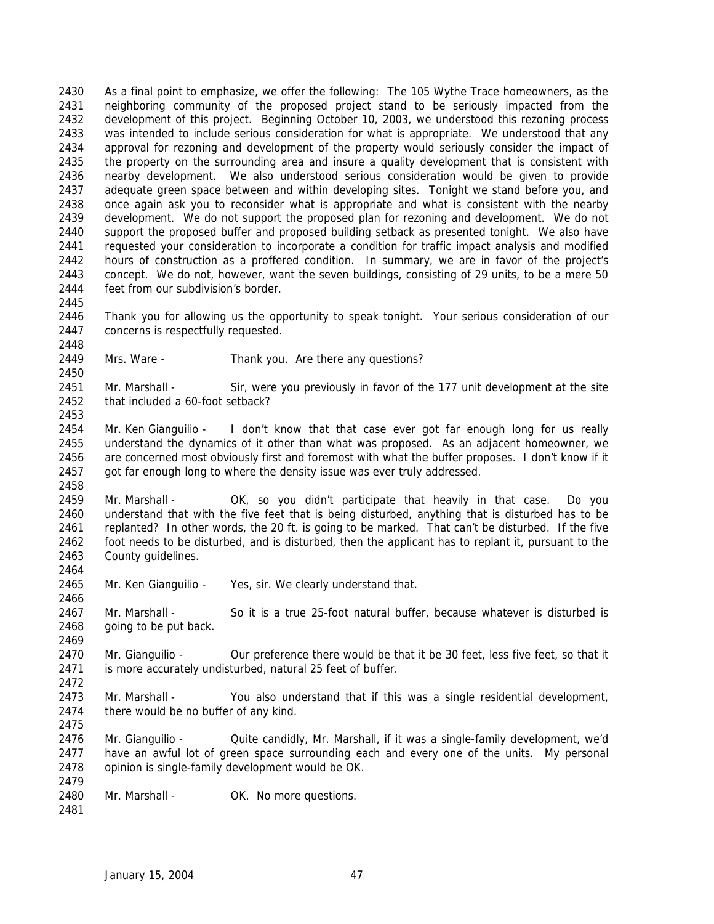As a final point to emphasize, we offer the following: The 105 Wythe Trace homeowners, as the neighboring community of the proposed project stand to be seriously impacted from the development of this project. Beginning October 10, 2003, we understood this rezoning process was intended to include serious consideration for what is appropriate. We understood that any approval for rezoning and development of the property would seriously consider the impact of the property on the surrounding area and insure a quality development that is consistent with nearby development. We also understood serious consideration would be given to provide adequate green space between and within developing sites. Tonight we stand before you, and once again ask you to reconsider what is appropriate and what is consistent with the nearby development. We do not support the proposed plan for rezoning and development. We do not support the proposed buffer and proposed building setback as presented tonight. We also have requested your consideration to incorporate a condition for traffic impact analysis and modified hours of construction as a proffered condition. In summary, we are in favor of the project's concept. We do not, however, want the seven buildings, consisting of 29 units, to be a mere 50 feet from our subdivision's border. 

 Thank you for allowing us the opportunity to speak tonight. Your serious consideration of our concerns is respectfully requested.

Mrs. Ware - Thank you. Are there any questions?

 Mr. Marshall - Sir, were you previously in favor of the 177 unit development at the site that included a 60-foot setback?

2454 Mr. Ken Gianguilio - I don't know that that case ever got far enough long for us really understand the dynamics of it other than what was proposed. As an adjacent homeowner, we are concerned most obviously first and foremost with what the buffer proposes. I don't know if it got far enough long to where the density issue was ever truly addressed.

 Mr. Marshall - OK, so you didn't participate that heavily in that case. Do you understand that with the five feet that is being disturbed, anything that is disturbed has to be replanted? In other words, the 20 ft. is going to be marked. That can't be disturbed. If the five foot needs to be disturbed, and is disturbed, then the applicant has to replant it, pursuant to the County guidelines.

2465 Mr. Ken Gianguilio - Yes, sir. We clearly understand that.

 Mr. Marshall - So it is a true 25-foot natural buffer, because whatever is disturbed is going to be put back.

2470 Mr. Gianguilio - Our preference there would be that it be 30 feet, less five feet, so that it is more accurately undisturbed, natural 25 feet of buffer. 

 Mr. Marshall - You also understand that if this was a single residential development, 2474 there would be no buffer of any kind. 

 Mr. Gianguilio - Quite candidly, Mr. Marshall, if it was a single-family development, we'd 2477 have an awful lot of green space surrounding each and every one of the units. My personal opinion is single-family development would be OK. 

2480 Mr. Marshall - OK. No more questions.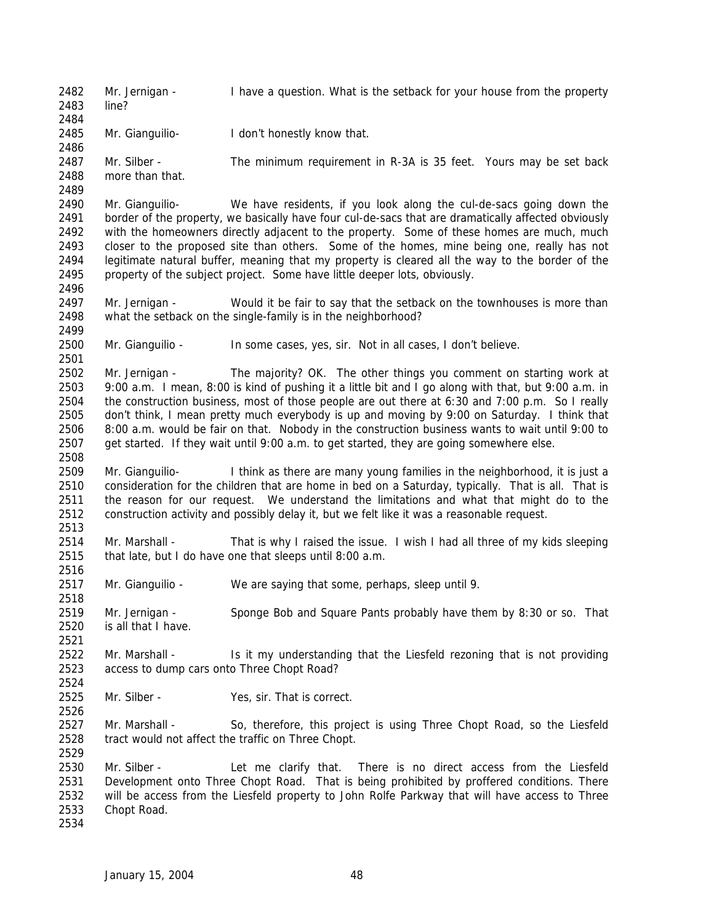Mr. Jernigan - I have a question. What is the setback for your house from the property line? Mr. Gianguilio- I don't honestly know that. Mr. Silber - The minimum requirement in R-3A is 35 feet. Yours may be set back more than that. Mr. Gianguilio- We have residents, if you look along the cul-de-sacs going down the border of the property, we basically have four cul-de-sacs that are dramatically affected obviously with the homeowners directly adjacent to the property. Some of these homes are much, much closer to the proposed site than others. Some of the homes, mine being one, really has not legitimate natural buffer, meaning that my property is cleared all the way to the border of the property of the subject project. Some have little deeper lots, obviously. Mr. Jernigan - Would it be fair to say that the setback on the townhouses is more than what the setback on the single-family is in the neighborhood? Mr. Gianguilio - In some cases, yes, sir. Not in all cases, I don't believe. Mr. Jernigan - The majority? OK. The other things you comment on starting work at 9:00 a.m. I mean, 8:00 is kind of pushing it a little bit and I go along with that, but 9:00 a.m. in the construction business, most of those people are out there at 6:30 and 7:00 p.m. So I really don't think, I mean pretty much everybody is up and moving by 9:00 on Saturday. I think that 8:00 a.m. would be fair on that. Nobody in the construction business wants to wait until 9:00 to get started. If they wait until 9:00 a.m. to get started, they are going somewhere else. Mr. Gianguilio- I think as there are many young families in the neighborhood, it is just a consideration for the children that are home in bed on a Saturday, typically. That is all. That is the reason for our request. We understand the limitations and what that might do to the construction activity and possibly delay it, but we felt like it was a reasonable request. Mr. Marshall - That is why I raised the issue. I wish I had all three of my kids sleeping that late, but I do have one that sleeps until 8:00 a.m. Mr. Gianguilio - We are saying that some, perhaps, sleep until 9. Mr. Jernigan - Sponge Bob and Square Pants probably have them by 8:30 or so. That is all that I have. 2522 Mr. Marshall - Is it my understanding that the Liesfeld rezoning that is not providing access to dump cars onto Three Chopt Road? Mr. Silber - Yes, sir. That is correct. Mr. Marshall - So, therefore, this project is using Three Chopt Road, so the Liesfeld tract would not affect the traffic on Three Chopt. Mr. Silber - Let me clarify that. There is no direct access from the Liesfeld Development onto Three Chopt Road. That is being prohibited by proffered conditions. There will be access from the Liesfeld property to John Rolfe Parkway that will have access to Three Chopt Road.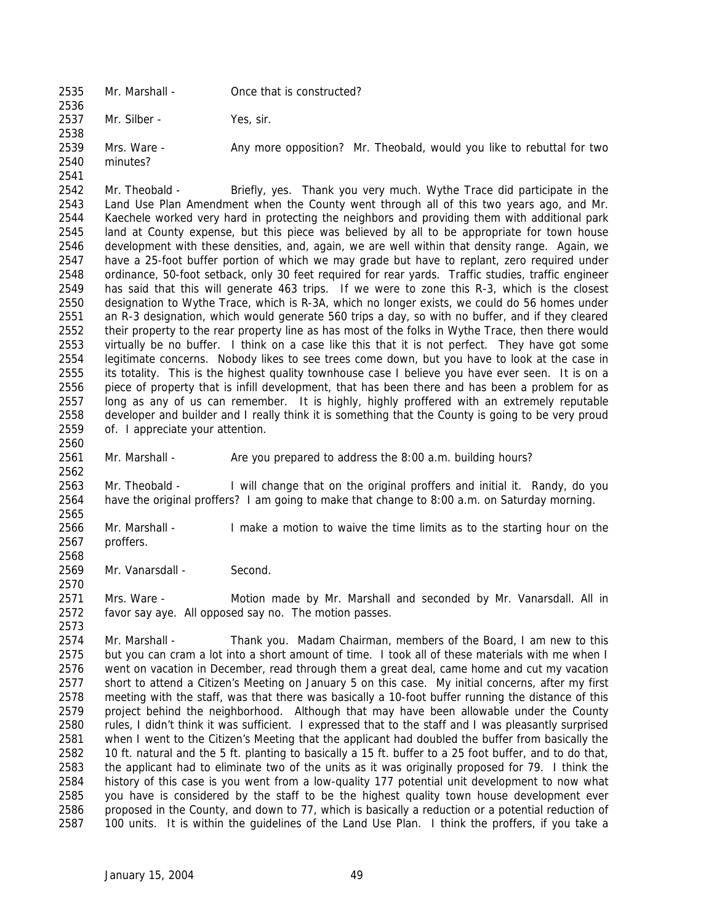- Mr. Marshall Once that is constructed? Mr. Silber - Yes, sir. 2539 Mrs. Ware - Any more opposition? Mr. Theobald, would you like to rebuttal for two minutes?
- Mr. Theobald - Briefly, yes. Thank you very much. Wythe Trace did participate in the Land Use Plan Amendment when the County went through all of this two years ago, and Mr. Kaechele worked very hard in protecting the neighbors and providing them with additional park land at County expense, but this piece was believed by all to be appropriate for town house development with these densities, and, again, we are well within that density range. Again, we have a 25-foot buffer portion of which we may grade but have to replant, zero required under ordinance, 50-foot setback, only 30 feet required for rear yards. Traffic studies, traffic engineer has said that this will generate 463 trips. If we were to zone this R-3, which is the closest designation to Wythe Trace, which is R-3A, which no longer exists, we could do 56 homes under an R-3 designation, which would generate 560 trips a day, so with no buffer, and if they cleared their property to the rear property line as has most of the folks in Wythe Trace, then there would virtually be no buffer. I think on a case like this that it is not perfect. They have got some legitimate concerns. Nobody likes to see trees come down, but you have to look at the case in its totality. This is the highest quality townhouse case I believe you have ever seen. It is on a piece of property that is infill development, that has been there and has been a problem for as long as any of us can remember. It is highly, highly proffered with an extremely reputable developer and builder and I really think it is something that the County is going to be very proud of. I appreciate your attention.
	- Mr. Marshall Are you prepared to address the 8:00 a.m. building hours?
	- Mr. Theobald I will change that on the original proffers and initial it. Randy, do you have the original proffers? I am going to make that change to 8:00 a.m. on Saturday morning.
	- Mr. Marshall I make a motion to waive the time limits as to the starting hour on the proffers.
	- 2569 Mr. Vanarsdall Second.

 Mrs. Ware - Motion made by Mr. Marshall and seconded by Mr. Vanarsdall. All in favor say aye. All opposed say no. The motion passes.

 Mr. Marshall - Thank you. Madam Chairman, members of the Board, I am new to this but you can cram a lot into a short amount of time. I took all of these materials with me when I went on vacation in December, read through them a great deal, came home and cut my vacation short to attend a Citizen's Meeting on January 5 on this case. My initial concerns, after my first meeting with the staff, was that there was basically a 10-foot buffer running the distance of this project behind the neighborhood. Although that may have been allowable under the County 2580 rules, I didn't think it was sufficient. I expressed that to the staff and I was pleasantly surprised when I went to the Citizen's Meeting that the applicant had doubled the buffer from basically the 10 ft. natural and the 5 ft. planting to basically a 15 ft. buffer to a 25 foot buffer, and to do that, the applicant had to eliminate two of the units as it was originally proposed for 79. I think the history of this case is you went from a low-quality 177 potential unit development to now what you have is considered by the staff to be the highest quality town house development ever proposed in the County, and down to 77, which is basically a reduction or a potential reduction of 100 units. It is within the guidelines of the Land Use Plan. I think the proffers, if you take a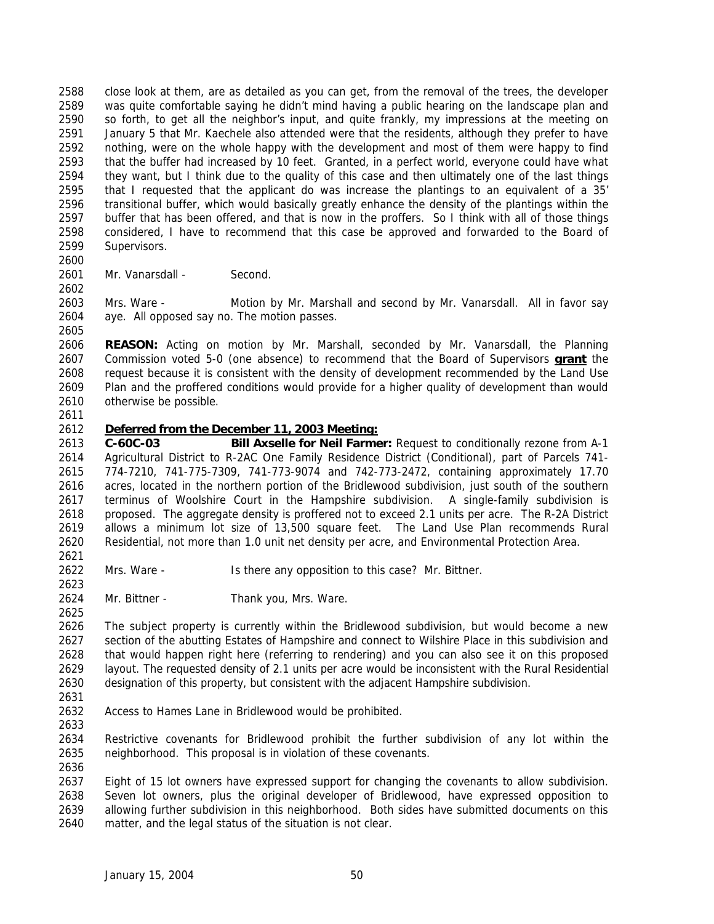close look at them, are as detailed as you can get, from the removal of the trees, the developer was quite comfortable saying he didn't mind having a public hearing on the landscape plan and so forth, to get all the neighbor's input, and quite frankly, my impressions at the meeting on January 5 that Mr. Kaechele also attended were that the residents, although they prefer to have nothing, were on the whole happy with the development and most of them were happy to find that the buffer had increased by 10 feet. Granted, in a perfect world, everyone could have what they want, but I think due to the quality of this case and then ultimately one of the last things that I requested that the applicant do was increase the plantings to an equivalent of a 35' transitional buffer, which would basically greatly enhance the density of the plantings within the buffer that has been offered, and that is now in the proffers. So I think with all of those things considered, I have to recommend that this case be approved and forwarded to the Board of Supervisors.

 2601 Mr. Vanarsdall - Second.

 Mrs. Ware - Motion by Mr. Marshall and second by Mr. Vanarsdall. All in favor say aye. All opposed say no. The motion passes.

 **REASON:** Acting on motion by Mr. Marshall, seconded by Mr. Vanarsdall, the Planning Commission voted 5-0 (one absence) to recommend that the Board of Supervisors **grant** the request because it is consistent with the density of development recommended by the Land Use Plan and the proffered conditions would provide for a higher quality of development than would otherwise be possible.

## *Deferred from the December 11, 2003 Meeting:*

 **C-60C-03 Bill Axselle for Neil Farmer:** Request to conditionally rezone from A-1 Agricultural District to R-2AC One Family Residence District (Conditional), part of Parcels 741- 774-7210, 741-775-7309, 741-773-9074 and 742-773-2472, containing approximately 17.70 acres, located in the northern portion of the Bridlewood subdivision, just south of the southern terminus of Woolshire Court in the Hampshire subdivision. A single-family subdivision is proposed. The aggregate density is proffered not to exceed 2.1 units per acre. The R-2A District allows a minimum lot size of 13,500 square feet. The Land Use Plan recommends Rural Residential, not more than 1.0 unit net density per acre, and Environmental Protection Area. 

- Mrs. Ware Is there any opposition to this case? Mr. Bittner.
- Mr. Bittner Thank you, Mrs. Ware.

 The subject property is currently within the Bridlewood subdivision, but would become a new section of the abutting Estates of Hampshire and connect to Wilshire Place in this subdivision and that would happen right here (referring to rendering) and you can also see it on this proposed layout. The requested density of 2.1 units per acre would be inconsistent with the Rural Residential designation of this property, but consistent with the adjacent Hampshire subdivision.

- Access to Hames Lane in Bridlewood would be prohibited.
- Restrictive covenants for Bridlewood prohibit the further subdivision of any lot within the neighborhood. This proposal is in violation of these covenants.

 Eight of 15 lot owners have expressed support for changing the covenants to allow subdivision. Seven lot owners, plus the original developer of Bridlewood, have expressed opposition to allowing further subdivision in this neighborhood. Both sides have submitted documents on this matter, and the legal status of the situation is not clear.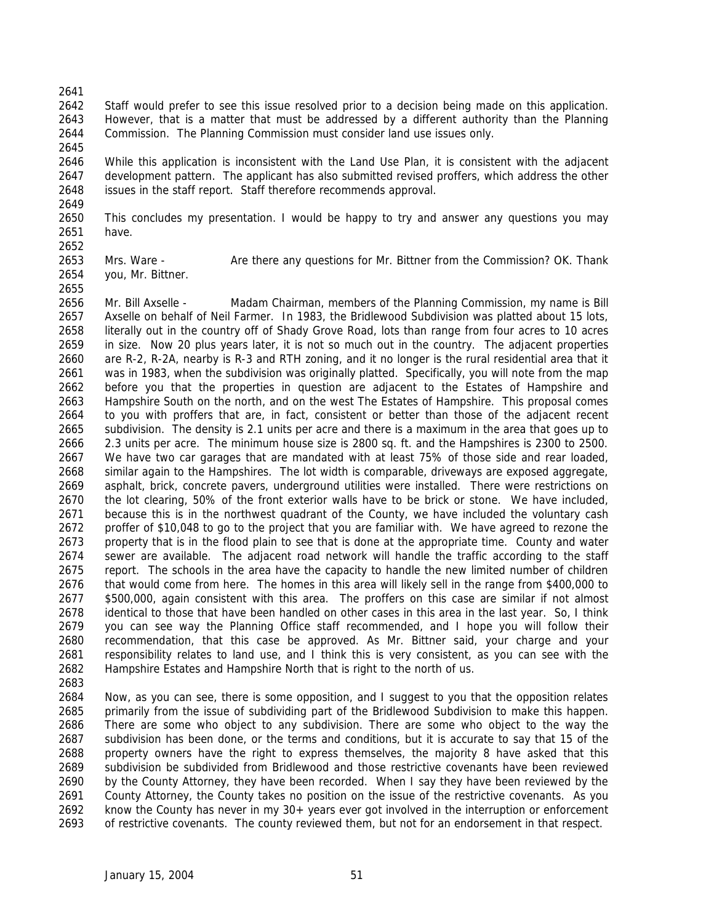- Staff would prefer to see this issue resolved prior to a decision being made on this application. However, that is a matter that must be addressed by a different authority than the Planning Commission. The Planning Commission must consider land use issues only.
- While this application is inconsistent with the Land Use Plan, it is consistent with the adjacent development pattern. The applicant has also submitted revised proffers, which address the other issues in the staff report. Staff therefore recommends approval.
- This concludes my presentation. I would be happy to try and answer any questions you may have.
- Mrs. Ware Are there any questions for Mr. Bittner from the Commission? OK. Thank you, Mr. Bittner.
- Mr. Bill Axselle Madam Chairman, members of the Planning Commission, my name is Bill Axselle on behalf of Neil Farmer. In 1983, the Bridlewood Subdivision was platted about 15 lots, literally out in the country off of Shady Grove Road, lots than range from four acres to 10 acres in size. Now 20 plus years later, it is not so much out in the country. The adjacent properties are R-2, R-2A, nearby is R-3 and RTH zoning, and it no longer is the rural residential area that it was in 1983, when the subdivision was originally platted. Specifically, you will note from the map before you that the properties in question are adjacent to the Estates of Hampshire and Hampshire South on the north, and on the west The Estates of Hampshire. This proposal comes to you with proffers that are, in fact, consistent or better than those of the adjacent recent subdivision. The density is 2.1 units per acre and there is a maximum in the area that goes up to 2.3 units per acre. The minimum house size is 2800 sq. ft. and the Hampshires is 2300 to 2500. We have two car garages that are mandated with at least 75% of those side and rear loaded, similar again to the Hampshires. The lot width is comparable, driveways are exposed aggregate, asphalt, brick, concrete pavers, underground utilities were installed. There were restrictions on the lot clearing, 50% of the front exterior walls have to be brick or stone. We have included, because this is in the northwest quadrant of the County, we have included the voluntary cash proffer of \$10,048 to go to the project that you are familiar with. We have agreed to rezone the property that is in the flood plain to see that is done at the appropriate time. County and water sewer are available. The adjacent road network will handle the traffic according to the staff report. The schools in the area have the capacity to handle the new limited number of children that would come from here. The homes in this area will likely sell in the range from \$400,000 to \$500,000, again consistent with this area. The proffers on this case are similar if not almost identical to those that have been handled on other cases in this area in the last year. So, I think you can see way the Planning Office staff recommended, and I hope you will follow their recommendation, that this case be approved. As Mr. Bittner said, your charge and your 2681 responsibility relates to land use, and I think this is very consistent, as you can see with the Hampshire Estates and Hampshire North that is right to the north of us.
- 

 Now, as you can see, there is some opposition, and I suggest to you that the opposition relates primarily from the issue of subdividing part of the Bridlewood Subdivision to make this happen. There are some who object to any subdivision. There are some who object to the way the subdivision has been done, or the terms and conditions, but it is accurate to say that 15 of the property owners have the right to express themselves, the majority 8 have asked that this subdivision be subdivided from Bridlewood and those restrictive covenants have been reviewed by the County Attorney, they have been recorded. When I say they have been reviewed by the County Attorney, the County takes no position on the issue of the restrictive covenants. As you know the County has never in my 30+ years ever got involved in the interruption or enforcement of restrictive covenants. The county reviewed them, but not for an endorsement in that respect.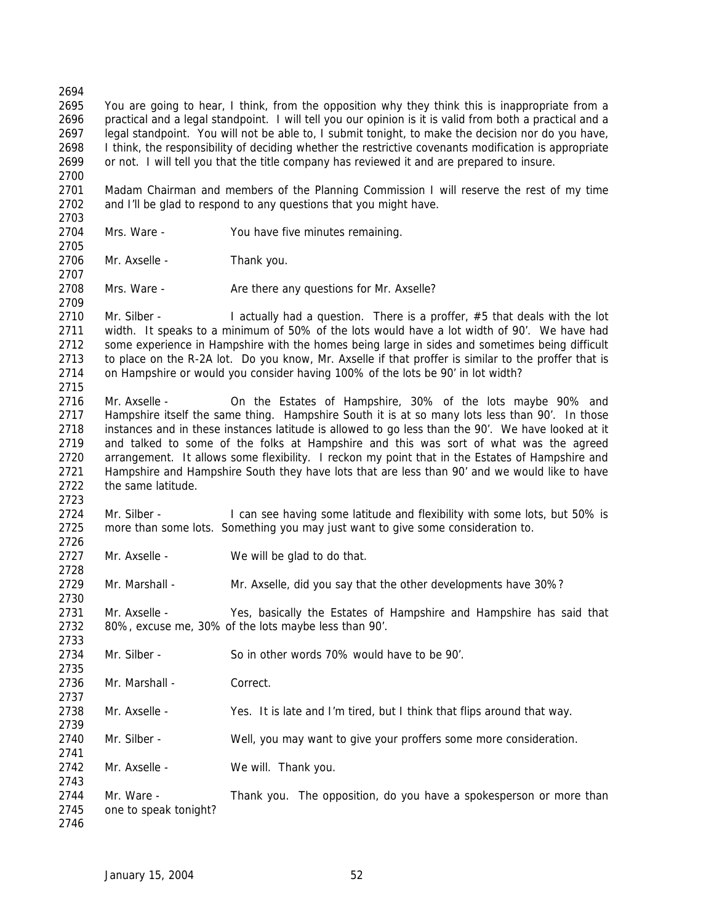You are going to hear, I think, from the opposition why they think this is inappropriate from a practical and a legal standpoint. I will tell you our opinion is it is valid from both a practical and a legal standpoint. You will not be able to, I submit tonight, to make the decision nor do you have, I think, the responsibility of deciding whether the restrictive covenants modification is appropriate or not. I will tell you that the title company has reviewed it and are prepared to insure. Madam Chairman and members of the Planning Commission I will reserve the rest of my time and I'll be glad to respond to any questions that you might have. Mrs. Ware - You have five minutes remaining. Mr. Axselle - Thank you. 2708 Mrs. Ware - Are there any questions for Mr. Axselle? 2710 Mr. Silber - I actually had a question. There is a proffer, #5 that deals with the lot width. It speaks to a minimum of 50% of the lots would have a lot width of 90'. We have had some experience in Hampshire with the homes being large in sides and sometimes being difficult to place on the R-2A lot. Do you know, Mr. Axselle if that proffer is similar to the proffer that is on Hampshire or would you consider having 100% of the lots be 90' in lot width? Mr. Axselle - On the Estates of Hampshire, 30% of the lots maybe 90% and Hampshire itself the same thing. Hampshire South it is at so many lots less than 90'. In those instances and in these instances latitude is allowed to go less than the 90'. We have looked at it and talked to some of the folks at Hampshire and this was sort of what was the agreed arrangement. It allows some flexibility. I reckon my point that in the Estates of Hampshire and Hampshire and Hampshire South they have lots that are less than 90' and we would like to have the same latitude. Mr. Silber - I can see having some latitude and flexibility with some lots, but 50% is more than some lots. Something you may just want to give some consideration to. 2727 Mr. Axselle - We will be glad to do that. Mr. Marshall - Mr. Axselle, did you say that the other developments have 30%? Mr. Axselle - Yes, basically the Estates of Hampshire and Hampshire has said that 80%, excuse me, 30% of the lots maybe less than 90'. Mr. Silber - So in other words 70% would have to be 90'. 2736 Mr. Marshall - Correct. Mr. Axselle - Yes. It is late and I'm tired, but I think that flips around that way. Mr. Silber - Well, you may want to give your proffers some more consideration. Mr. Axselle - We will. Thank you. 2744 Mr. Ware - Thank you. The opposition, do you have a spokesperson or more than one to speak tonight?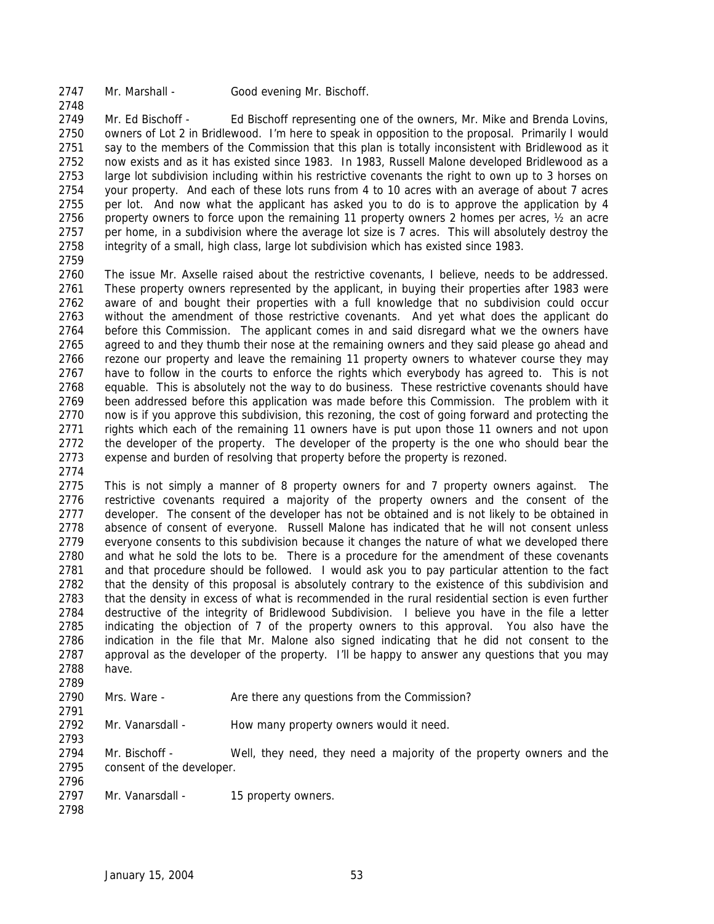2747 Mr. Marshall - Good evening Mr. Bischoff.

 Mr. Ed Bischoff - Ed Bischoff representing one of the owners, Mr. Mike and Brenda Lovins, owners of Lot 2 in Bridlewood. I'm here to speak in opposition to the proposal. Primarily I would say to the members of the Commission that this plan is totally inconsistent with Bridlewood as it now exists and as it has existed since 1983. In 1983, Russell Malone developed Bridlewood as a large lot subdivision including within his restrictive covenants the right to own up to 3 horses on your property. And each of these lots runs from 4 to 10 acres with an average of about 7 acres 2755 per lot. And now what the applicant has asked you to do is to approve the application by 4 2756 property owners to force upon the remaining 11 property owners 2 homes per acres,  $\frac{1}{2}$  an acre per home, in a subdivision where the average lot size is 7 acres. This will absolutely destroy the integrity of a small, high class, large lot subdivision which has existed since 1983.

 The issue Mr. Axselle raised about the restrictive covenants, I believe, needs to be addressed. These property owners represented by the applicant, in buying their properties after 1983 were aware of and bought their properties with a full knowledge that no subdivision could occur without the amendment of those restrictive covenants. And yet what does the applicant do before this Commission. The applicant comes in and said disregard what we the owners have agreed to and they thumb their nose at the remaining owners and they said please go ahead and rezone our property and leave the remaining 11 property owners to whatever course they may have to follow in the courts to enforce the rights which everybody has agreed to. This is not equable. This is absolutely not the way to do business. These restrictive covenants should have been addressed before this application was made before this Commission. The problem with it now is if you approve this subdivision, this rezoning, the cost of going forward and protecting the rights which each of the remaining 11 owners have is put upon those 11 owners and not upon the developer of the property. The developer of the property is the one who should bear the expense and burden of resolving that property before the property is rezoned.

 This is not simply a manner of 8 property owners for and 7 property owners against. The restrictive covenants required a majority of the property owners and the consent of the 2777 developer. The consent of the developer has not be obtained and is not likely to be obtained in absence of consent of everyone. Russell Malone has indicated that he will not consent unless everyone consents to this subdivision because it changes the nature of what we developed there and what he sold the lots to be. There is a procedure for the amendment of these covenants and that procedure should be followed. I would ask you to pay particular attention to the fact that the density of this proposal is absolutely contrary to the existence of this subdivision and that the density in excess of what is recommended in the rural residential section is even further destructive of the integrity of Bridlewood Subdivision. I believe you have in the file a letter indicating the objection of 7 of the property owners to this approval. You also have the indication in the file that Mr. Malone also signed indicating that he did not consent to the 2787 approval as the developer of the property. I'll be happy to answer any questions that you may have. 

Mrs. Ware - Are there any questions from the Commission?

 Mr. Vanarsdall - How many property owners would it need.

 Mr. Bischoff - Well, they need, they need a majority of the property owners and the consent of the developer.

- 2797 Mr. Vanarsdall 15 property owners.
-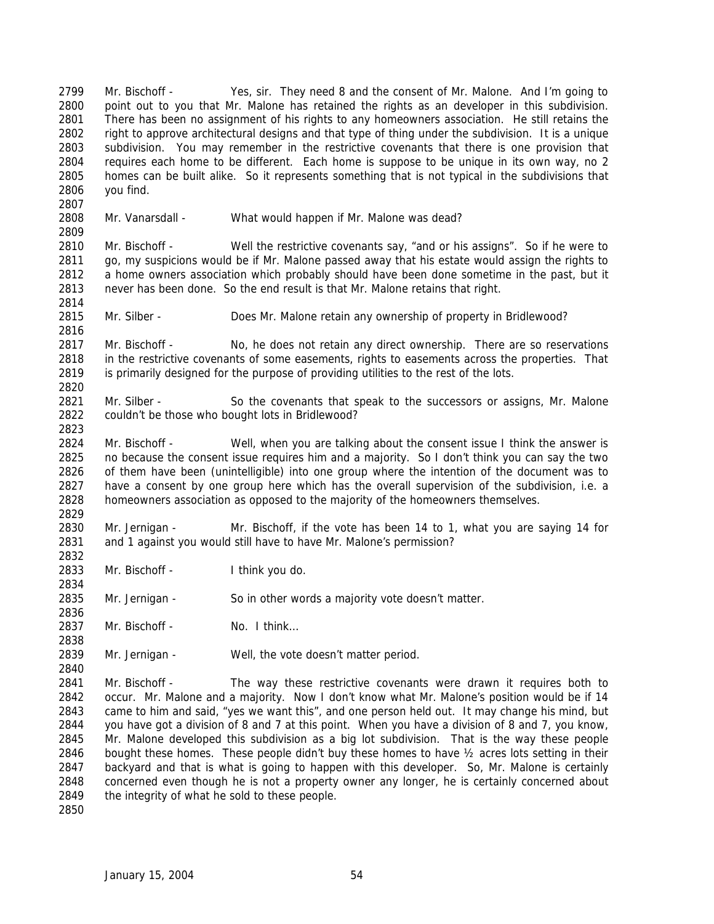Mr. Bischoff - Yes, sir. They need 8 and the consent of Mr. Malone. And I'm going to point out to you that Mr. Malone has retained the rights as an developer in this subdivision. There has been no assignment of his rights to any homeowners association. He still retains the right to approve architectural designs and that type of thing under the subdivision. It is a unique subdivision. You may remember in the restrictive covenants that there is one provision that requires each home to be different. Each home is suppose to be unique in its own way, no 2 homes can be built alike. So it represents something that is not typical in the subdivisions that you find. 

Mr. Vanarsdall - What would happen if Mr. Malone was dead?

 Mr. Bischoff - Well the restrictive covenants say, "and or his assigns". So if he were to go, my suspicions would be if Mr. Malone passed away that his estate would assign the rights to a home owners association which probably should have been done sometime in the past, but it never has been done. So the end result is that Mr. Malone retains that right.

Mr. Silber - Does Mr. Malone retain any ownership of property in Bridlewood?

2817 Mr. Bischoff - No, he does not retain any direct ownership. There are so reservations 2818 in the restrictive covenants of some easements, rights to easements across the properties. That is primarily designed for the purpose of providing utilities to the rest of the lots. 

2821 Mr. Silber - So the covenants that speak to the successors or assigns, Mr. Malone couldn't be those who bought lots in Bridlewood?

 Mr. Bischoff - Well, when you are talking about the consent issue I think the answer is no because the consent issue requires him and a majority. So I don't think you can say the two of them have been (unintelligible) into one group where the intention of the document was to have a consent by one group here which has the overall supervision of the subdivision, i.e. a homeowners association as opposed to the majority of the homeowners themselves.

 Mr. Jernigan - Mr. Bischoff, if the vote has been 14 to 1, what you are saying 14 for and 1 against you would still have to have Mr. Malone's permission?

Mr. Bischoff - I think you do.

Mr. Jernigan - So in other words a majority vote doesn't matter.

2837 Mr. Bischoff - No. I think...

2839 Mr. Jernigan - Well, the vote doesn't matter period.

 Mr. Bischoff - The way these restrictive covenants were drawn it requires both to occur. Mr. Malone and a majority. Now I don't know what Mr. Malone's position would be if 14 came to him and said, "yes we want this", and one person held out. It may change his mind, but you have got a division of 8 and 7 at this point. When you have a division of 8 and 7, you know, Mr. Malone developed this subdivision as a big lot subdivision. That is the way these people bought these homes. These people didn't buy these homes to have ½ acres lots setting in their backyard and that is what is going to happen with this developer. So, Mr. Malone is certainly concerned even though he is not a property owner any longer, he is certainly concerned about 2849 the integrity of what he sold to these people.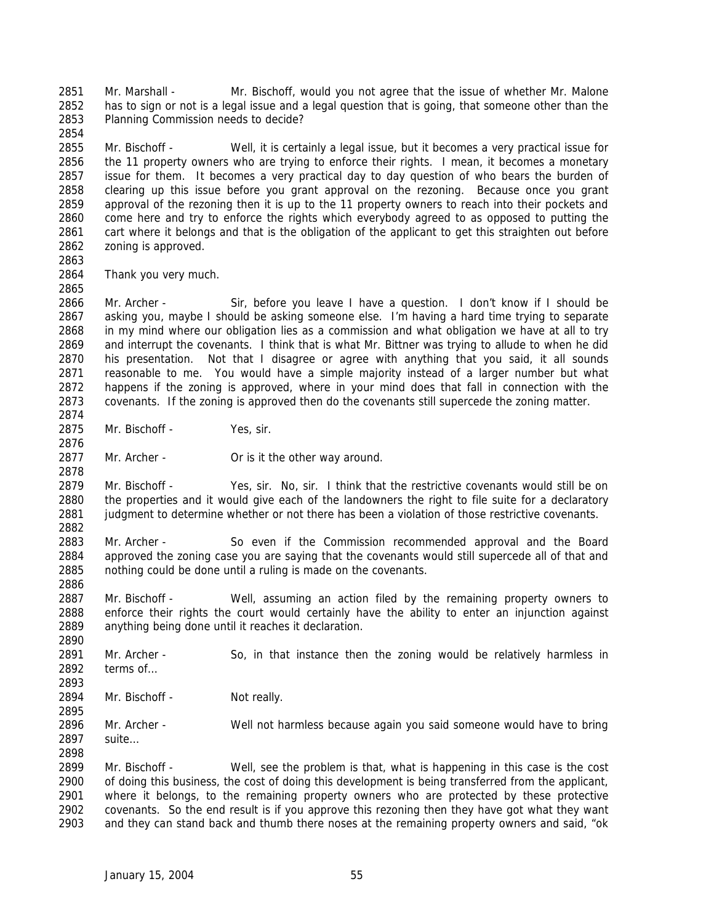Mr. Marshall - Mr. Bischoff, would you not agree that the issue of whether Mr. Malone has to sign or not is a legal issue and a legal question that is going, that someone other than the Planning Commission needs to decide?

 Mr. Bischoff - Well, it is certainly a legal issue, but it becomes a very practical issue for the 11 property owners who are trying to enforce their rights. I mean, it becomes a monetary issue for them. It becomes a very practical day to day question of who bears the burden of clearing up this issue before you grant approval on the rezoning. Because once you grant approval of the rezoning then it is up to the 11 property owners to reach into their pockets and 2860 come here and try to enforce the rights which everybody agreed to as opposed to putting the 2861 cart where it belongs and that is the obligation of the applicant to get this straighten out before cart where it belongs and that is the obligation of the applicant to get this straighten out before zoning is approved.

Thank you very much.

 Mr. Archer - Sir, before you leave I have a question. I don't know if I should be asking you, maybe I should be asking someone else. I'm having a hard time trying to separate in my mind where our obligation lies as a commission and what obligation we have at all to try and interrupt the covenants. I think that is what Mr. Bittner was trying to allude to when he did his presentation. Not that I disagree or agree with anything that you said, it all sounds reasonable to me. You would have a simple majority instead of a larger number but what happens if the zoning is approved, where in your mind does that fall in connection with the covenants. If the zoning is approved then do the covenants still supercede the zoning matter.

Mr. Bischoff - Yes, sir.

2877 Mr. Archer - Or is it the other way around.

 Mr. Bischoff - Yes, sir. No, sir. I think that the restrictive covenants would still be on the properties and it would give each of the landowners the right to file suite for a declaratory 2881 judgment to determine whether or not there has been a violation of those restrictive covenants. 

 Mr. Archer - So even if the Commission recommended approval and the Board approved the zoning case you are saying that the covenants would still supercede all of that and nothing could be done until a ruling is made on the covenants.

 Mr. Bischoff - Well, assuming an action filed by the remaining property owners to enforce their rights the court would certainly have the ability to enter an injunction against anything being done until it reaches it declaration.

 2891 Mr. Archer - So, in that instance then the zoning would be relatively harmless in terms of…

2894 Mr. Bischoff - Not really.

 Mr. Archer - Well not harmless because again you said someone would have to bring suite… 

 Mr. Bischoff - Well, see the problem is that, what is happening in this case is the cost of doing this business, the cost of doing this development is being transferred from the applicant, where it belongs, to the remaining property owners who are protected by these protective covenants. So the end result is if you approve this rezoning then they have got what they want and they can stand back and thumb there noses at the remaining property owners and said, "ok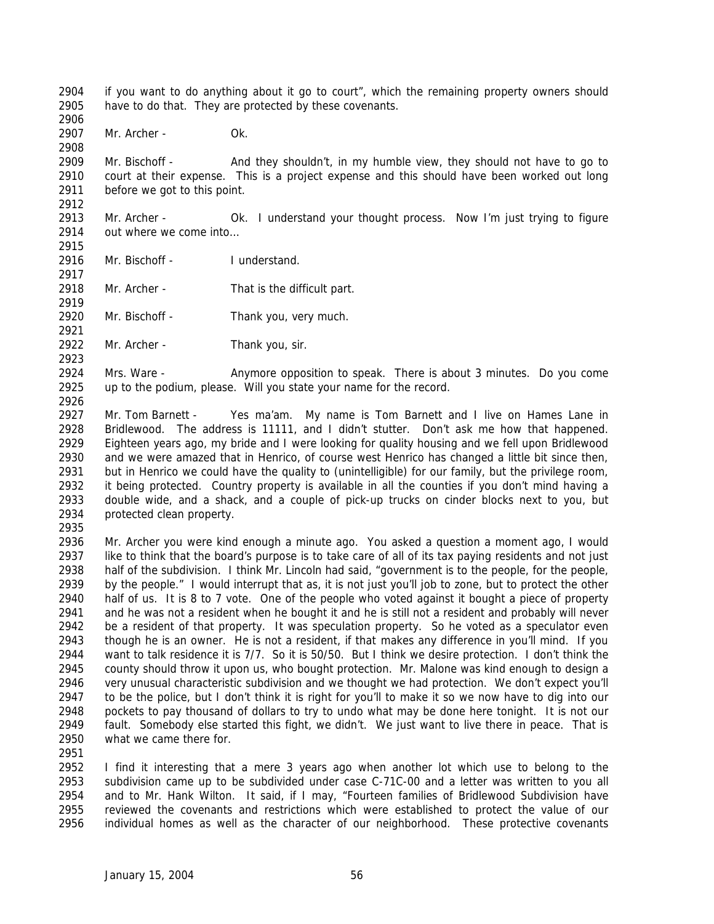if you want to do anything about it go to court", which the remaining property owners should have to do that. They are protected by these covenants. 

Mr. Archer - Ok.

 Mr. Bischoff - And they shouldn't, in my humble view, they should not have to go to court at their expense. This is a project expense and this should have been worked out long before we got to this point.

2913 Mr. Archer - Ok. I understand your thought process. Now I'm just trying to figure out where we come into… 

Mr. Bischoff - I understand.

Mr. Archer - That is the difficult part.

- Mr. Bischoff Thank you, very much.
- Mr. Archer Thank you, sir.

 Mrs. Ware - Anymore opposition to speak. There is about 3 minutes. Do you come up to the podium, please. Will you state your name for the record.

 Mr. Tom Barnett - Yes ma'am. My name is Tom Barnett and I live on Hames Lane in Bridlewood. The address is 11111, and I didn't stutter. Don't ask me how that happened. Eighteen years ago, my bride and I were looking for quality housing and we fell upon Bridlewood and we were amazed that in Henrico, of course west Henrico has changed a little bit since then, but in Henrico we could have the quality to (unintelligible) for our family, but the privilege room, it being protected. Country property is available in all the counties if you don't mind having a double wide, and a shack, and a couple of pick-up trucks on cinder blocks next to you, but protected clean property.

 Mr. Archer you were kind enough a minute ago. You asked a question a moment ago, I would like to think that the board's purpose is to take care of all of its tax paying residents and not just half of the subdivision. I think Mr. Lincoln had said, "government is to the people, for the people, by the people." I would interrupt that as, it is not just you'll job to zone, but to protect the other half of us. It is 8 to 7 vote. One of the people who voted against it bought a piece of property and he was not a resident when he bought it and he is still not a resident and probably will never be a resident of that property. It was speculation property. So he voted as a speculator even though he is an owner. He is not a resident, if that makes any difference in you'll mind. If you want to talk residence it is 7/7. So it is 50/50. But I think we desire protection. I don't think the county should throw it upon us, who bought protection. Mr. Malone was kind enough to design a very unusual characteristic subdivision and we thought we had protection. We don't expect you'll to be the police, but I don't think it is right for you'll to make it so we now have to dig into our pockets to pay thousand of dollars to try to undo what may be done here tonight. It is not our fault. Somebody else started this fight, we didn't. We just want to live there in peace. That is what we came there for.

 I find it interesting that a mere 3 years ago when another lot which use to belong to the subdivision came up to be subdivided under case C-71C-00 and a letter was written to you all and to Mr. Hank Wilton. It said, if I may, "Fourteen families of Bridlewood Subdivision have reviewed the covenants and restrictions which were established to protect the value of our individual homes as well as the character of our neighborhood. These protective covenants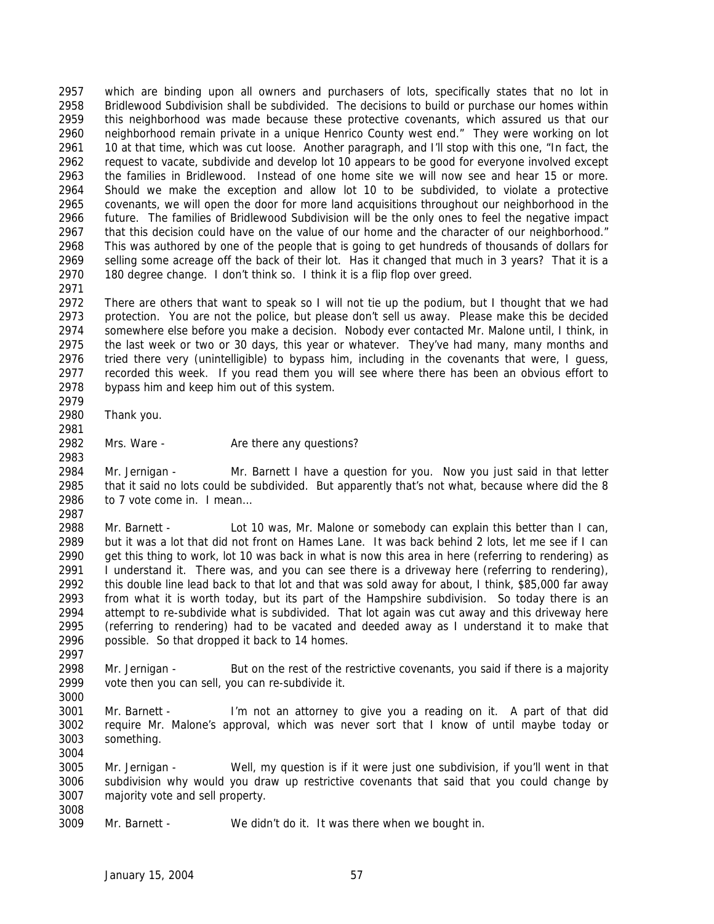which are binding upon all owners and purchasers of lots, specifically states that no lot in Bridlewood Subdivision shall be subdivided. The decisions to build or purchase our homes within this neighborhood was made because these protective covenants, which assured us that our neighborhood remain private in a unique Henrico County west end." They were working on lot 10 at that time, which was cut loose. Another paragraph, and I'll stop with this one, "In fact, the request to vacate, subdivide and develop lot 10 appears to be good for everyone involved except the families in Bridlewood. Instead of one home site we will now see and hear 15 or more. Should we make the exception and allow lot 10 to be subdivided, to violate a protective covenants, we will open the door for more land acquisitions throughout our neighborhood in the future. The families of Bridlewood Subdivision will be the only ones to feel the negative impact that this decision could have on the value of our home and the character of our neighborhood." This was authored by one of the people that is going to get hundreds of thousands of dollars for selling some acreage off the back of their lot. Has it changed that much in 3 years? That it is a 180 degree change. I don't think so. I think it is a flip flop over greed. 

- There are others that want to speak so I will not tie up the podium, but I thought that we had protection. You are not the police, but please don't sell us away. Please make this be decided somewhere else before you make a decision. Nobody ever contacted Mr. Malone until, I think, in the last week or two or 30 days, this year or whatever. They've had many, many months and tried there very (unintelligible) to bypass him, including in the covenants that were, I guess, recorded this week. If you read them you will see where there has been an obvious effort to bypass him and keep him out of this system.
- Thank you.
- 

2982 Mrs. Ware - Are there any questions? 

 Mr. Jernigan - Mr. Barnett I have a question for you. Now you just said in that letter that it said no lots could be subdivided. But apparently that's not what, because where did the 8 to 7 vote come in. I mean… 

 Mr. Barnett - Lot 10 was, Mr. Malone or somebody can explain this better than I can, but it was a lot that did not front on Hames Lane. It was back behind 2 lots, let me see if I can get this thing to work, lot 10 was back in what is now this area in here (referring to rendering) as I understand it. There was, and you can see there is a driveway here (referring to rendering), this double line lead back to that lot and that was sold away for about, I think, \$85,000 far away from what it is worth today, but its part of the Hampshire subdivision. So today there is an attempt to re-subdivide what is subdivided. That lot again was cut away and this driveway here (referring to rendering) had to be vacated and deeded away as I understand it to make that possible. So that dropped it back to 14 homes.

 Mr. Jernigan - But on the rest of the restrictive covenants, you said if there is a majority vote then you can sell, you can re-subdivide it.

 Mr. Barnett - I'm not an attorney to give you a reading on it. A part of that did require Mr. Malone's approval, which was never sort that I know of until maybe today or something.

 Mr. Jernigan - Well, my question is if it were just one subdivision, if you'll went in that subdivision why would you draw up restrictive covenants that said that you could change by majority vote and sell property. 

Mr. Barnett - We didn't do it. It was there when we bought in.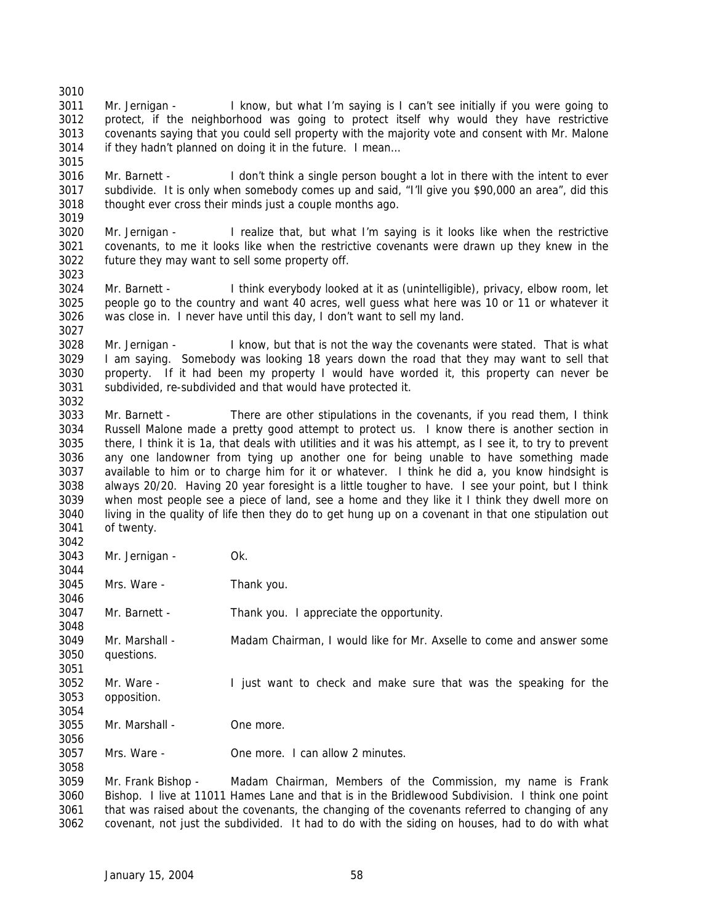Mr. Jernigan - I know, but what I'm saying is I can't see initially if you were going to protect, if the neighborhood was going to protect itself why would they have restrictive covenants saying that you could sell property with the majority vote and consent with Mr. Malone if they hadn't planned on doing it in the future. I mean… 

 Mr. Barnett - I don't think a single person bought a lot in there with the intent to ever subdivide. It is only when somebody comes up and said, "I'll give you \$90,000 an area", did this thought ever cross their minds just a couple months ago. 

 Mr. Jernigan - I realize that, but what I'm saying is it looks like when the restrictive covenants, to me it looks like when the restrictive covenants were drawn up they knew in the future they may want to sell some property off.

 Mr. Barnett - I think everybody looked at it as (unintelligible), privacy, elbow room, let people go to the country and want 40 acres, well guess what here was 10 or 11 or whatever it was close in. I never have until this day, I don't want to sell my land.

 Mr. Jernigan - I know, but that is not the way the covenants were stated. That is what I am saying. Somebody was looking 18 years down the road that they may want to sell that property. If it had been my property I would have worded it, this property can never be subdivided, re-subdivided and that would have protected it. 

 Mr. Barnett - There are other stipulations in the covenants, if you read them, I think Russell Malone made a pretty good attempt to protect us. I know there is another section in there, I think it is 1a, that deals with utilities and it was his attempt, as I see it, to try to prevent any one landowner from tying up another one for being unable to have something made available to him or to charge him for it or whatever. I think he did a, you know hindsight is always 20/20. Having 20 year foresight is a little tougher to have. I see your point, but I think when most people see a piece of land, see a home and they like it I think they dwell more on living in the quality of life then they do to get hung up on a covenant in that one stipulation out of twenty.

 Mr. Jernigan - Ok. Mrs. Ware - Thank you. Mr. Barnett - Thank you. I appreciate the opportunity. Mr. Marshall - Madam Chairman, I would like for Mr. Axselle to come and answer some questions. Mr. Ware - I just want to check and make sure that was the speaking for the opposition. Mr. Marshall - One more. 

Mrs. Ware - One more. I can allow 2 minutes.

 Mr. Frank Bishop - Madam Chairman, Members of the Commission, my name is Frank Bishop. I live at 11011 Hames Lane and that is in the Bridlewood Subdivision. I think one point that was raised about the covenants, the changing of the covenants referred to changing of any covenant, not just the subdivided. It had to do with the siding on houses, had to do with what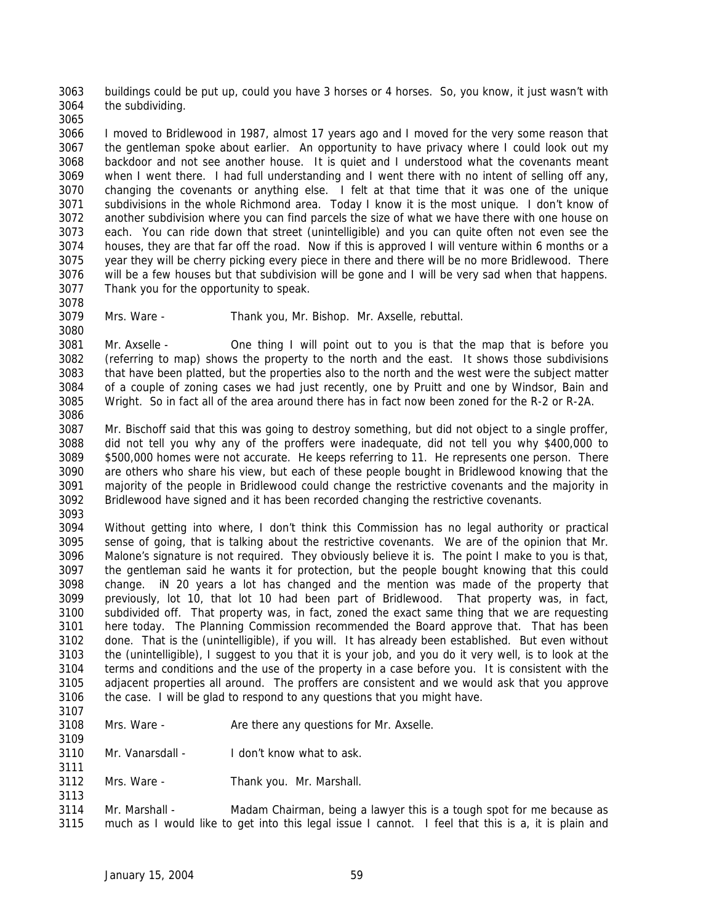buildings could be put up, could you have 3 horses or 4 horses. So, you know, it just wasn't with the subdividing.

 I moved to Bridlewood in 1987, almost 17 years ago and I moved for the very some reason that the gentleman spoke about earlier. An opportunity to have privacy where I could look out my backdoor and not see another house. It is quiet and I understood what the covenants meant when I went there. I had full understanding and I went there with no intent of selling off any, changing the covenants or anything else. I felt at that time that it was one of the unique subdivisions in the whole Richmond area. Today I know it is the most unique. I don't know of another subdivision where you can find parcels the size of what we have there with one house on each. You can ride down that street (unintelligible) and you can quite often not even see the houses, they are that far off the road. Now if this is approved I will venture within 6 months or a year they will be cherry picking every piece in there and there will be no more Bridlewood. There will be a few houses but that subdivision will be gone and I will be very sad when that happens. Thank you for the opportunity to speak.

 

Mrs. Ware - Thank you, Mr. Bishop. Mr. Axselle, rebuttal.

 Mr. Axselle - One thing I will point out to you is that the map that is before you (referring to map) shows the property to the north and the east. It shows those subdivisions that have been platted, but the properties also to the north and the west were the subject matter of a couple of zoning cases we had just recently, one by Pruitt and one by Windsor, Bain and Wright. So in fact all of the area around there has in fact now been zoned for the R-2 or R-2A. 

 Mr. Bischoff said that this was going to destroy something, but did not object to a single proffer, did not tell you why any of the proffers were inadequate, did not tell you why \$400,000 to \$500,000 homes were not accurate. He keeps referring to 11. He represents one person. There are others who share his view, but each of these people bought in Bridlewood knowing that the majority of the people in Bridlewood could change the restrictive covenants and the majority in Bridlewood have signed and it has been recorded changing the restrictive covenants. 

 Without getting into where, I don't think this Commission has no legal authority or practical sense of going, that is talking about the restrictive covenants. We are of the opinion that Mr. Malone's signature is not required. They obviously believe it is. The point I make to you is that, the gentleman said he wants it for protection, but the people bought knowing that this could change. iN 20 years a lot has changed and the mention was made of the property that previously, lot 10, that lot 10 had been part of Bridlewood. That property was, in fact, subdivided off. That property was, in fact, zoned the exact same thing that we are requesting here today. The Planning Commission recommended the Board approve that. That has been done. That is the (unintelligible), if you will. It has already been established. But even without the (unintelligible), I suggest to you that it is your job, and you do it very well, is to look at the terms and conditions and the use of the property in a case before you. It is consistent with the adjacent properties all around. The proffers are consistent and we would ask that you approve the case. I will be glad to respond to any questions that you might have.

- 3108 Mrs. Ware Are there any questions for Mr. Axselle.
- Mr. Vanarsdall I don't know what to ask.
- Mrs. Ware Thank you. Mr. Marshall.

 Mr. Marshall - Madam Chairman, being a lawyer this is a tough spot for me because as much as I would like to get into this legal issue I cannot. I feel that this is a, it is plain and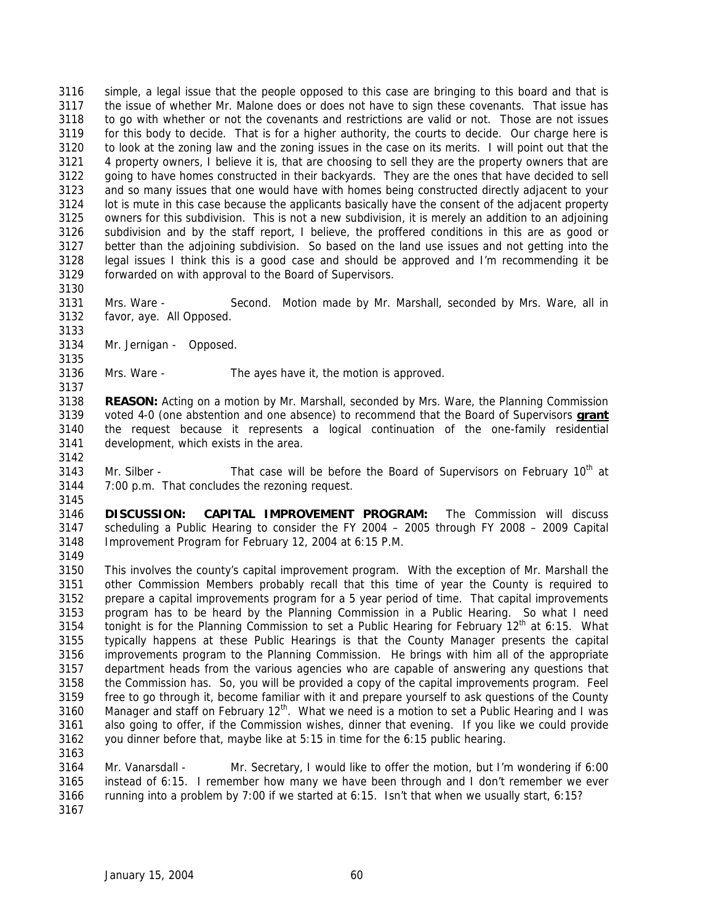simple, a legal issue that the people opposed to this case are bringing to this board and that is the issue of whether Mr. Malone does or does not have to sign these covenants. That issue has to go with whether or not the covenants and restrictions are valid or not. Those are not issues for this body to decide. That is for a higher authority, the courts to decide. Our charge here is to look at the zoning law and the zoning issues in the case on its merits. I will point out that the 4 property owners, I believe it is, that are choosing to sell they are the property owners that are going to have homes constructed in their backyards. They are the ones that have decided to sell and so many issues that one would have with homes being constructed directly adjacent to your lot is mute in this case because the applicants basically have the consent of the adjacent property owners for this subdivision. This is not a new subdivision, it is merely an addition to an adjoining subdivision and by the staff report, I believe, the proffered conditions in this are as good or better than the adjoining subdivision. So based on the land use issues and not getting into the legal issues I think this is a good case and should be approved and I'm recommending it be forwarded on with approval to the Board of Supervisors.

- Mrs. Ware Second. Motion made by Mr. Marshall, seconded by Mrs. Ware, all in favor, aye. All Opposed.
- Mr. Jernigan Opposed.

Mrs. Ware - The ayes have it, the motion is approved.

 **REASON:** Acting on a motion by Mr. Marshall, seconded by Mrs. Ware, the Planning Commission voted 4-0 (one abstention and one absence) to recommend that the Board of Supervisors **grant** the request because it represents a logical continuation of the one-family residential development, which exists in the area.

3143 Mr. Silber - That case will be before the Board of Supervisors on February  $10^{th}$  at 7:00 p.m. That concludes the rezoning request. 

 **DISCUSSION: CAPITAL IMPROVEMENT PROGRAM:** The Commission will discuss scheduling a Public Hearing to consider the FY 2004 – 2005 through FY 2008 – 2009 Capital Improvement Program for February 12, 2004 at 6:15 P.M. 

 This involves the county's capital improvement program. With the exception of Mr. Marshall the other Commission Members probably recall that this time of year the County is required to prepare a capital improvements program for a 5 year period of time. That capital improvements program has to be heard by the Planning Commission in a Public Hearing. So what I need 3154 tonight is for the Planning Commission to set a Public Hearing for February  $12<sup>th</sup>$  at 6:15. What typically happens at these Public Hearings is that the County Manager presents the capital improvements program to the Planning Commission. He brings with him all of the appropriate department heads from the various agencies who are capable of answering any questions that the Commission has. So, you will be provided a copy of the capital improvements program. Feel free to go through it, become familiar with it and prepare yourself to ask questions of the County 3160 Manager and staff on February  $12<sup>th</sup>$ . What we need is a motion to set a Public Hearing and I was also going to offer, if the Commission wishes, dinner that evening. If you like we could provide you dinner before that, maybe like at 5:15 in time for the 6:15 public hearing. 

 Mr. Vanarsdall - Mr. Secretary, I would like to offer the motion, but I'm wondering if 6:00 instead of 6:15. I remember how many we have been through and I don't remember we ever running into a problem by 7:00 if we started at 6:15. Isn't that when we usually start, 6:15?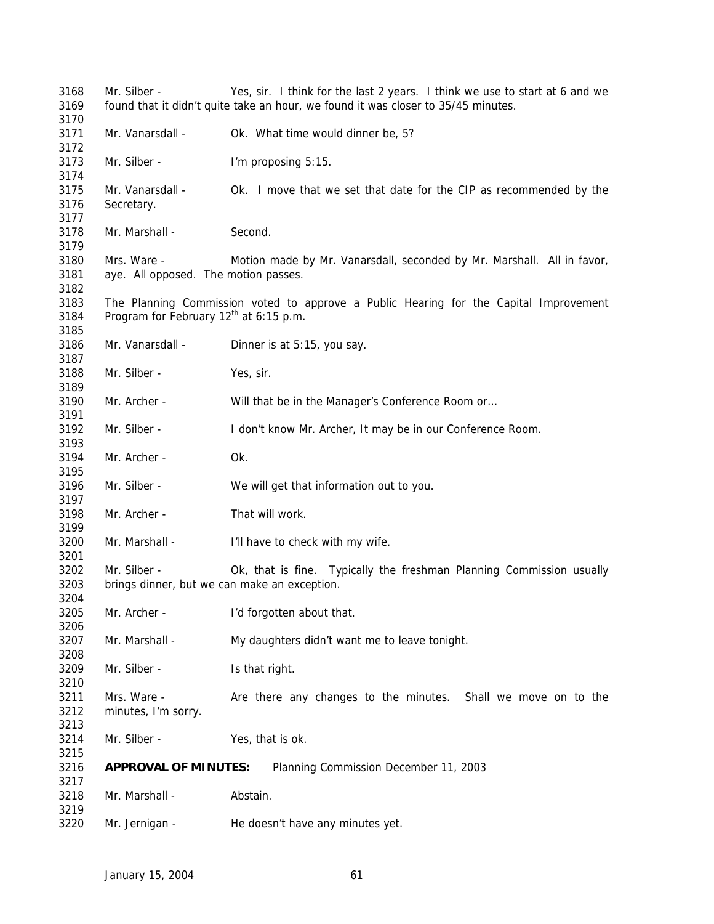Mr. Silber - Yes, sir. I think for the last 2 years. I think we use to start at 6 and we found that it didn't quite take an hour, we found it was closer to 35/45 minutes. Mr. Vanarsdall - Ok. What time would dinner be, 5? Mr. Silber - I'm proposing 5:15. Mr. Vanarsdall - Ok. I move that we set that date for the CIP as recommended by the Secretary. Mr. Marshall - Second. Mrs. Ware - Motion made by Mr. Vanarsdall, seconded by Mr. Marshall. All in favor, aye. All opposed. The motion passes. The Planning Commission voted to approve a Public Hearing for the Capital Improvement 3184 Program for February  $12<sup>th</sup>$  at 6:15 p.m. Mr. Vanarsdall - Dinner is at 5:15, you say. Mr. Silber - Yes, sir. Mr. Archer - Will that be in the Manager's Conference Room or… Mr. Silber - I don't know Mr. Archer, It may be in our Conference Room. Mr. Archer - Ok. Mr. Silber - We will get that information out to you. Mr. Archer - That will work. Mr. Marshall - I'll have to check with my wife. Mr. Silber - Ok, that is fine. Typically the freshman Planning Commission usually brings dinner, but we can make an exception. Mr. Archer - I'd forgotten about that. Mr. Marshall - My daughters didn't want me to leave tonight. Mr. Silber - Is that right. Mrs. Ware - Are there any changes to the minutes. Shall we move on to the minutes, I'm sorry. Mr. Silber - Yes, that is ok. **APPROVAL OF MINUTES:** Planning Commission December 11, 2003 Mr. Marshall - Abstain. Mr. Jernigan - He doesn't have any minutes yet.